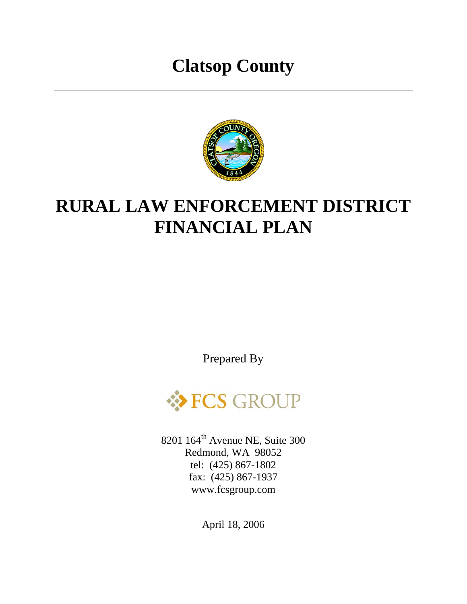# **Clatsop County**



# **RURAL LAW ENFORCEMENT DISTRICT FINANCIAL PLAN**

Prepared By



8201 164<sup>th</sup> Avenue NE, Suite 300 Redmond, WA 98052 tel: (425) 867-1802 fax: (425) 867-1937 www.fcsgroup.com

April 18, 2006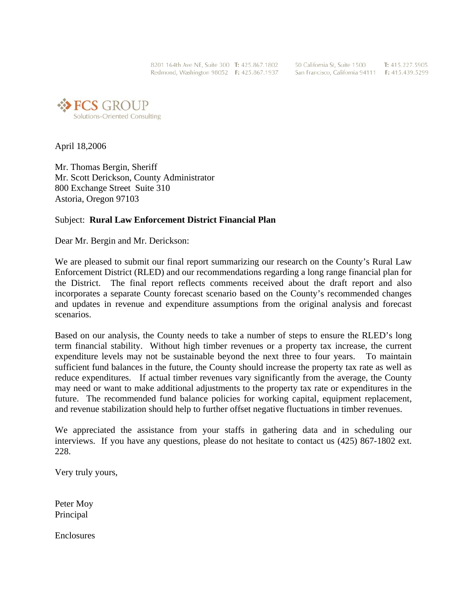8201 164th Ave NE. Suite 300 T: 425.867.1802 Redmond, Washington 98052 F: 425.867.1937 50 California St. Suite 1500 T: 415.227.5905 San Francisco, California 94111 F: 415.439.5299



April 18,2006

Mr. Thomas Bergin, Sheriff Mr. Scott Derickson, County Administrator 800 Exchange Street Suite 310 Astoria, Oregon 97103

#### Subject: **Rural Law Enforcement District Financial Plan**

Dear Mr. Bergin and Mr. Derickson:

We are pleased to submit our final report summarizing our research on the County's Rural Law Enforcement District (RLED) and our recommendations regarding a long range financial plan for the District. The final report reflects comments received about the draft report and also incorporates a separate County forecast scenario based on the County's recommended changes and updates in revenue and expenditure assumptions from the original analysis and forecast scenarios.

Based on our analysis, the County needs to take a number of steps to ensure the RLED's long term financial stability. Without high timber revenues or a property tax increase, the current expenditure levels may not be sustainable beyond the next three to four years. To maintain sufficient fund balances in the future, the County should increase the property tax rate as well as reduce expenditures. If actual timber revenues vary significantly from the average, the County may need or want to make additional adjustments to the property tax rate or expenditures in the future. The recommended fund balance policies for working capital, equipment replacement, and revenue stabilization should help to further offset negative fluctuations in timber revenues.

We appreciated the assistance from your staffs in gathering data and in scheduling our interviews. If you have any questions, please do not hesitate to contact us (425) 867-1802 ext. 228.

Very truly yours,

Peter Moy Principal

**Enclosures**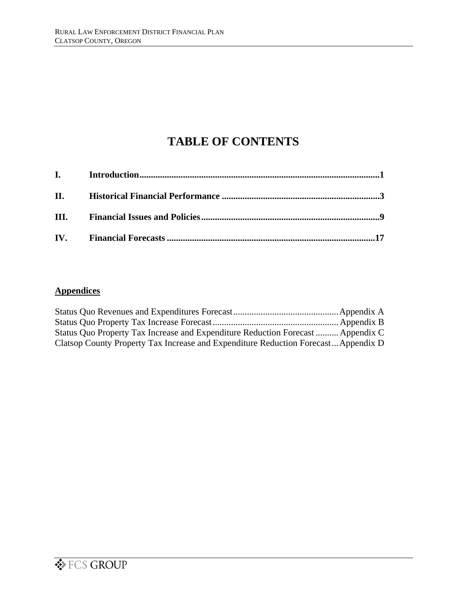## **TABLE OF CONTENTS**

| <b>II.</b> The same of the same of the same of the same of the same of the same of the same of the same of the same of the same of the same of the same of the same of the same of the same of the same of the same of the same of |  |
|------------------------------------------------------------------------------------------------------------------------------------------------------------------------------------------------------------------------------------|--|
|                                                                                                                                                                                                                                    |  |
|                                                                                                                                                                                                                                    |  |

### **Appendices**

| Status Quo Property Tax Increase and Expenditure Reduction Forecast  Appendix C    |  |
|------------------------------------------------------------------------------------|--|
| Clatsop County Property Tax Increase and Expenditure Reduction Forecast Appendix D |  |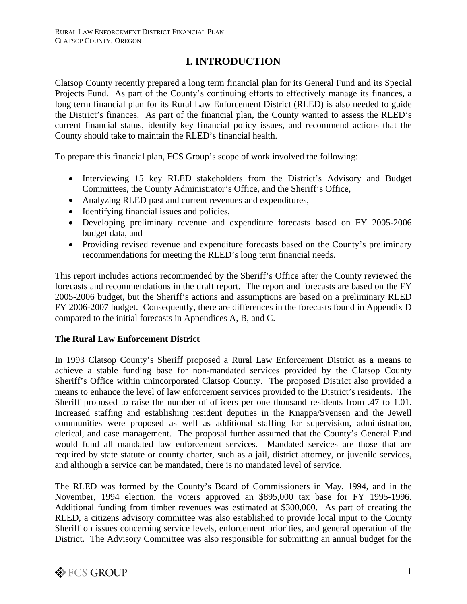## **I. INTRODUCTION**

Clatsop County recently prepared a long term financial plan for its General Fund and its Special Projects Fund. As part of the County's continuing efforts to effectively manage its finances, a long term financial plan for its Rural Law Enforcement District (RLED) is also needed to guide the District's finances. As part of the financial plan, the County wanted to assess the RLED's current financial status, identify key financial policy issues, and recommend actions that the County should take to maintain the RLED's financial health.

To prepare this financial plan, FCS Group's scope of work involved the following:

- Interviewing 15 key RLED stakeholders from the District's Advisory and Budget Committees, the County Administrator's Office, and the Sheriff's Office,
- Analyzing RLED past and current revenues and expenditures,
- Identifying financial issues and policies,
- Developing preliminary revenue and expenditure forecasts based on FY 2005-2006 budget data, and
- Providing revised revenue and expenditure forecasts based on the County's preliminary recommendations for meeting the RLED's long term financial needs.

This report includes actions recommended by the Sheriff's Office after the County reviewed the forecasts and recommendations in the draft report. The report and forecasts are based on the FY 2005-2006 budget, but the Sheriff's actions and assumptions are based on a preliminary RLED FY 2006-2007 budget. Consequently, there are differences in the forecasts found in Appendix D compared to the initial forecasts in Appendices A, B, and C.

#### **The Rural Law Enforcement District**

In 1993 Clatsop County's Sheriff proposed a Rural Law Enforcement District as a means to achieve a stable funding base for non-mandated services provided by the Clatsop County Sheriff's Office within unincorporated Clatsop County. The proposed District also provided a means to enhance the level of law enforcement services provided to the District's residents. The Sheriff proposed to raise the number of officers per one thousand residents from .47 to 1.01. Increased staffing and establishing resident deputies in the Knappa/Svensen and the Jewell communities were proposed as well as additional staffing for supervision, administration, clerical, and case management. The proposal further assumed that the County's General Fund would fund all mandated law enforcement services. Mandated services are those that are required by state statute or county charter, such as a jail, district attorney, or juvenile services, and although a service can be mandated, there is no mandated level of service.

The RLED was formed by the County's Board of Commissioners in May, 1994, and in the November, 1994 election, the voters approved an \$895,000 tax base for FY 1995-1996. Additional funding from timber revenues was estimated at \$300,000. As part of creating the RLED, a citizens advisory committee was also established to provide local input to the County Sheriff on issues concerning service levels, enforcement priorities, and general operation of the District. The Advisory Committee was also responsible for submitting an annual budget for the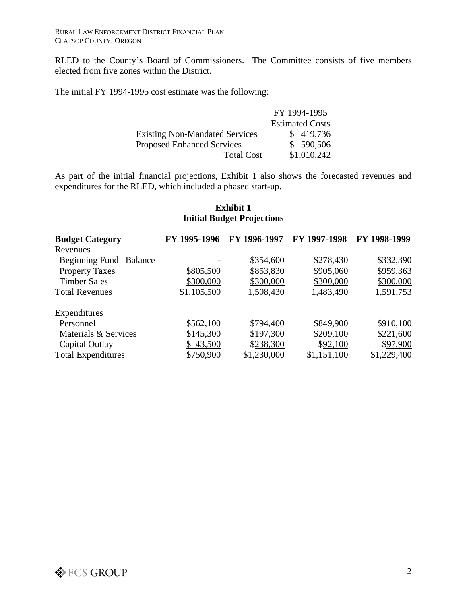RLED to the County's Board of Commissioners. The Committee consists of five members elected from five zones within the District.

The initial FY 1994-1995 cost estimate was the following:

|                                       | FY 1994-1995           |
|---------------------------------------|------------------------|
|                                       | <b>Estimated Costs</b> |
| <b>Existing Non-Mandated Services</b> | \$419,736              |
| <b>Proposed Enhanced Services</b>     | \$590,506              |
| <b>Total Cost</b>                     | \$1,010,242            |

As part of the initial financial projections, Exhibit 1 also shows the forecasted revenues and expenditures for the RLED, which included a phased start-up.

#### **Exhibit 1 Initial Budget Projections**

| <b>Budget Category</b>    | FY 1995-1996 | FY 1996-1997 | FY 1997-1998 | FY 1998-1999 |
|---------------------------|--------------|--------------|--------------|--------------|
| Revenues                  |              |              |              |              |
| Beginning Fund Balance    |              | \$354,600    | \$278,430    | \$332,390    |
| <b>Property Taxes</b>     | \$805,500    | \$853,830    | \$905,060    | \$959,363    |
| <b>Timber Sales</b>       | \$300,000    | \$300,000    | \$300,000    | \$300,000    |
| <b>Total Revenues</b>     | \$1,105,500  | 1,508,430    | 1,483,490    | 1,591,753    |
| Expenditures              |              |              |              |              |
| Personnel                 | \$562,100    | \$794,400    | \$849,900    | \$910,100    |
| Materials & Services      | \$145,300    | \$197,300    | \$209,100    | \$221,600    |
| Capital Outlay            | \$43,500     | \$238,300    | \$92,100     | \$97,900     |
| <b>Total Expenditures</b> | \$750,900    | \$1,230,000  | \$1,151,100  | \$1,229,400  |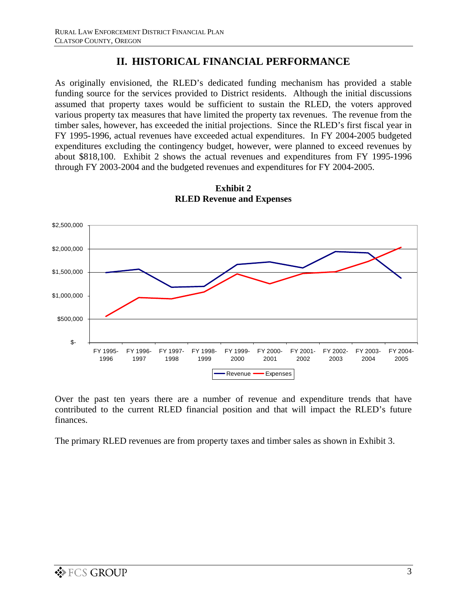## **II. HISTORICAL FINANCIAL PERFORMANCE**

As originally envisioned, the RLED's dedicated funding mechanism has provided a stable funding source for the services provided to District residents. Although the initial discussions assumed that property taxes would be sufficient to sustain the RLED, the voters approved various property tax measures that have limited the property tax revenues. The revenue from the timber sales, however, has exceeded the initial projections. Since the RLED's first fiscal year in FY 1995-1996, actual revenues have exceeded actual expenditures. In FY 2004-2005 budgeted expenditures excluding the contingency budget, however, were planned to exceed revenues by about \$818,100. Exhibit 2 shows the actual revenues and expenditures from FY 1995-1996 through FY 2003-2004 and the budgeted revenues and expenditures for FY 2004-2005.



**Exhibit 2 RLED Revenue and Expenses**

Over the past ten years there are a number of revenue and expenditure trends that have contributed to the current RLED financial position and that will impact the RLED's future finances.

The primary RLED revenues are from property taxes and timber sales as shown in Exhibit 3.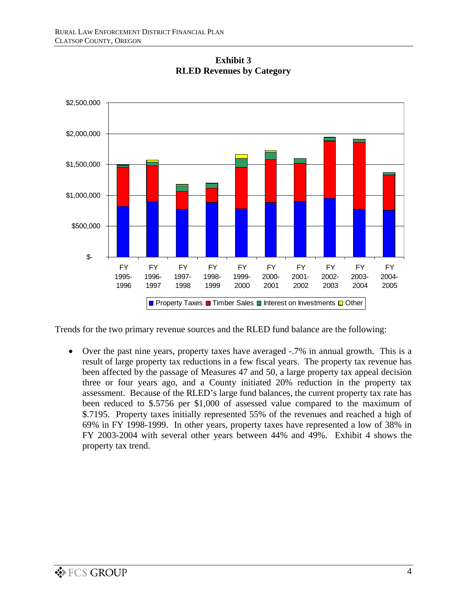

**Exhibit 3 RLED Revenues by Category**

Trends for the two primary revenue sources and the RLED fund balance are the following:

• Over the past nine years, property taxes have averaged -.7% in annual growth. This is a result of large property tax reductions in a few fiscal years. The property tax revenue has been affected by the passage of Measures 47 and 50, a large property tax appeal decision three or four years ago, and a County initiated 20% reduction in the property tax assessment. Because of the RLED's large fund balances, the current property tax rate has been reduced to \$.5756 per \$1,000 of assessed value compared to the maximum of \$.7195. Property taxes initially represented 55% of the revenues and reached a high of 69% in FY 1998-1999. In other years, property taxes have represented a low of 38% in FY 2003-2004 with several other years between 44% and 49%. Exhibit 4 shows the property tax trend.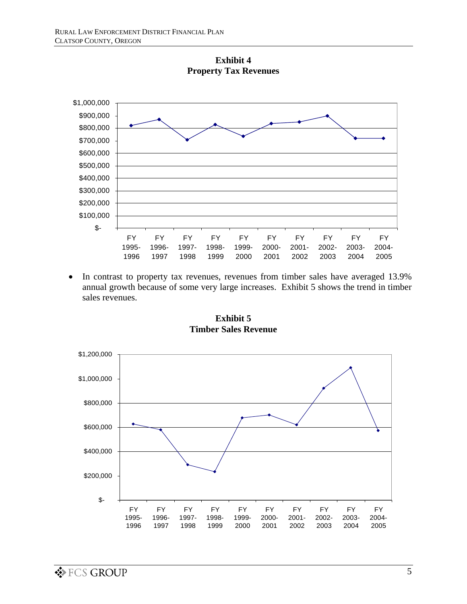

**Exhibit 4 Property Tax Revenues**

• In contrast to property tax revenues, revenues from timber sales have averaged 13.9% annual growth because of some very large increases. Exhibit 5 shows the trend in timber sales revenues.



**Exhibit 5 Timber Sales Revenue**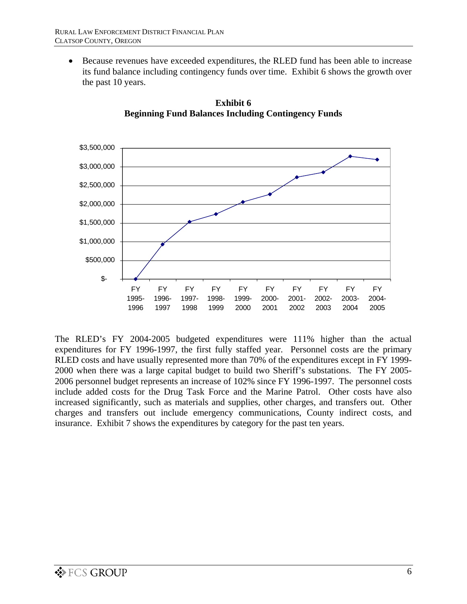• Because revenues have exceeded expenditures, the RLED fund has been able to increase its fund balance including contingency funds over time. Exhibit 6 shows the growth over the past 10 years.



**Exhibit 6 Beginning Fund Balances Including Contingency Funds** 

The RLED's FY 2004-2005 budgeted expenditures were 111% higher than the actual expenditures for FY 1996-1997, the first fully staffed year. Personnel costs are the primary RLED costs and have usually represented more than 70% of the expenditures except in FY 1999- 2000 when there was a large capital budget to build two Sheriff's substations. The FY 2005- 2006 personnel budget represents an increase of 102% since FY 1996-1997. The personnel costs include added costs for the Drug Task Force and the Marine Patrol. Other costs have also increased significantly, such as materials and supplies, other charges, and transfers out. Other charges and transfers out include emergency communications, County indirect costs, and insurance. Exhibit 7 shows the expenditures by category for the past ten years.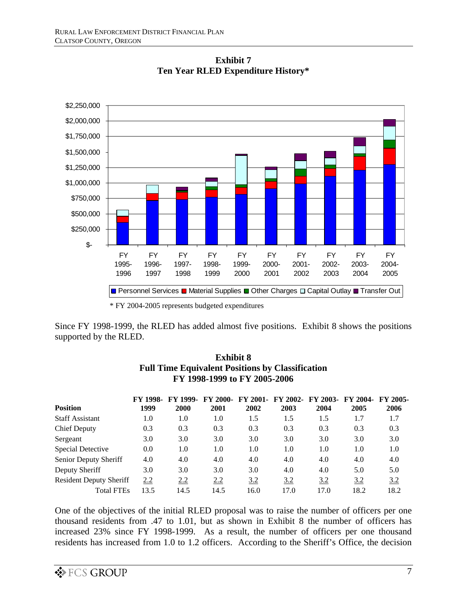

**Exhibit 7 Ten Year RLED Expenditure History\***

\* FY 2004-2005 represents budgeted expenditures

Since FY 1998-1999, the RLED has added almost five positions. Exhibit 8 shows the positions supported by the RLED.

| <b>Position</b>                | <b>FY 1998-</b><br>1999 | <b>FY 1999.</b><br>2000 | <b>FY 2000-</b><br>2001 | <b>FY 2001-</b><br>2002 | 2003 | FY 2002- FY 2003-<br>2004 | <b>FY 2004-</b><br>2005 | <b>FY 2005-</b><br>2006 |  |
|--------------------------------|-------------------------|-------------------------|-------------------------|-------------------------|------|---------------------------|-------------------------|-------------------------|--|
| <b>Staff Assistant</b>         | 1.0                     | 1.0                     | 1.0                     | 1.5                     | 1.5  | 1.5                       | 1.7                     | 1.7                     |  |
| <b>Chief Deputy</b>            | 0.3                     | 0.3                     | 0.3                     | 0.3                     | 0.3  | 0.3                       | 0.3                     | 0.3                     |  |
| Sergeant                       | 3.0                     | 3.0                     | 3.0                     | 3.0                     | 3.0  | 3.0                       | 3.0                     | 3.0                     |  |
| Special Detective              | 0.0                     | 1.0                     | 1.0                     | 1.0                     | 1.0  | 1.0                       | 1.0                     | 1.0                     |  |
| Senior Deputy Sheriff          | 4.0                     | 4.0                     | 4.0                     | 4.0                     | 4.0  | 4.0                       | 4.0                     | 4.0                     |  |
| Deputy Sheriff                 | 3.0                     | 3.0                     | 3.0                     | 3.0                     | 4.0  | 4.0                       | 5.0                     | 5.0                     |  |
| <b>Resident Deputy Sheriff</b> | <u>2.2</u>              | 2.2                     | <u>2.2</u>              | <u>3.2</u>              | 3.2  | <u>3.2</u>                | <u>3.2</u>              | 3.2                     |  |
| <b>Total FTEs</b>              | 13.5                    | 14.5                    | 14.5                    | 16.0                    | 17.0 | 17.0                      | 18.2                    | 18.2                    |  |

#### **Exhibit 8 Full Time Equivalent Positions by Classification FY 1998-1999 to FY 2005-2006**

One of the objectives of the initial RLED proposal was to raise the number of officers per one thousand residents from .47 to 1.01, but as shown in Exhibit 8 the number of officers has increased 23% since FY 1998-1999. As a result, the number of officers per one thousand residents has increased from 1.0 to 1.2 officers. According to the Sheriff's Office, the decision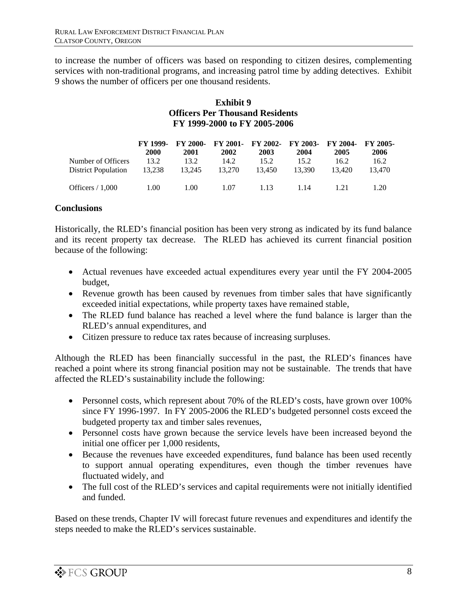to increase the number of officers was based on responding to citizen desires, complementing services with non-traditional programs, and increasing patrol time by adding detectives. Exhibit 9 shows the number of officers per one thousand residents.

#### **Exhibit 9 Officers Per Thousand Residents FY 1999-2000 to FY 2005-2006**

|                            | <b>FY 1999.</b><br><b>2000</b> | 2001   | 2002   | FY 2000- FY 2001- FY 2002- FY 2003- FY 2004- FY 2005-<br>2003 | 2004   | 2005   | 2006   |
|----------------------------|--------------------------------|--------|--------|---------------------------------------------------------------|--------|--------|--------|
| Number of Officers         | 13.2                           | 13.2   | 14.2   | 15.2                                                          | 15.2   | 16.2   | 16.2   |
| <b>District Population</b> | 13.238                         | 13.245 | 13.270 | 13.450                                                        | 13.390 | 13.420 | 13.470 |
| Officers $/ 1,000$         | 1.00                           | 1.00   | 1.07   | 1.13                                                          | 1.14   | 1 2 1  | 1.20   |

### **Conclusions**

Historically, the RLED's financial position has been very strong as indicated by its fund balance and its recent property tax decrease. The RLED has achieved its current financial position because of the following:

- Actual revenues have exceeded actual expenditures every year until the FY 2004-2005 budget,
- Revenue growth has been caused by revenues from timber sales that have significantly exceeded initial expectations, while property taxes have remained stable,
- The RLED fund balance has reached a level where the fund balance is larger than the RLED's annual expenditures, and
- Citizen pressure to reduce tax rates because of increasing surpluses.

Although the RLED has been financially successful in the past, the RLED's finances have reached a point where its strong financial position may not be sustainable. The trends that have affected the RLED's sustainability include the following:

- Personnel costs, which represent about 70% of the RLED's costs, have grown over 100% since FY 1996-1997. In FY 2005-2006 the RLED's budgeted personnel costs exceed the budgeted property tax and timber sales revenues,
- Personnel costs have grown because the service levels have been increased beyond the initial one officer per 1,000 residents,
- Because the revenues have exceeded expenditures, fund balance has been used recently to support annual operating expenditures, even though the timber revenues have fluctuated widely, and
- The full cost of the RLED's services and capital requirements were not initially identified and funded.

Based on these trends, Chapter IV will forecast future revenues and expenditures and identify the steps needed to make the RLED's services sustainable.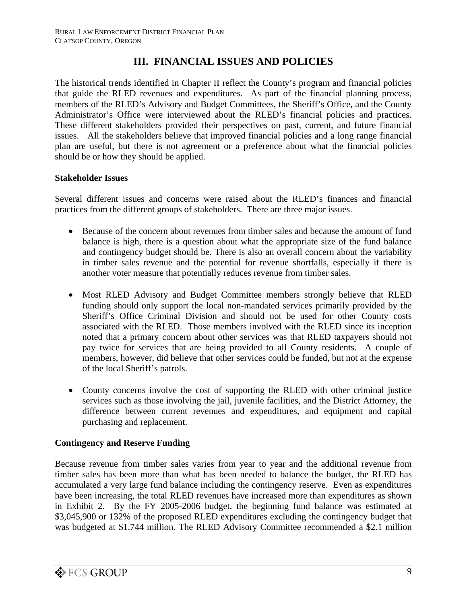## **III. FINANCIAL ISSUES AND POLICIES**

The historical trends identified in Chapter II reflect the County's program and financial policies that guide the RLED revenues and expenditures. As part of the financial planning process, members of the RLED's Advisory and Budget Committees, the Sheriff's Office, and the County Administrator's Office were interviewed about the RLED's financial policies and practices. These different stakeholders provided their perspectives on past, current, and future financial issues. All the stakeholders believe that improved financial policies and a long range financial plan are useful, but there is not agreement or a preference about what the financial policies should be or how they should be applied.

### **Stakeholder Issues**

Several different issues and concerns were raised about the RLED's finances and financial practices from the different groups of stakeholders. There are three major issues.

- Because of the concern about revenues from timber sales and because the amount of fund balance is high, there is a question about what the appropriate size of the fund balance and contingency budget should be. There is also an overall concern about the variability in timber sales revenue and the potential for revenue shortfalls, especially if there is another voter measure that potentially reduces revenue from timber sales.
- Most RLED Advisory and Budget Committee members strongly believe that RLED funding should only support the local non-mandated services primarily provided by the Sheriff's Office Criminal Division and should not be used for other County costs associated with the RLED. Those members involved with the RLED since its inception noted that a primary concern about other services was that RLED taxpayers should not pay twice for services that are being provided to all County residents. A couple of members, however, did believe that other services could be funded, but not at the expense of the local Sheriff's patrols.
- County concerns involve the cost of supporting the RLED with other criminal justice services such as those involving the jail, juvenile facilities, and the District Attorney, the difference between current revenues and expenditures, and equipment and capital purchasing and replacement.

### **Contingency and Reserve Funding**

Because revenue from timber sales varies from year to year and the additional revenue from timber sales has been more than what has been needed to balance the budget, the RLED has accumulated a very large fund balance including the contingency reserve. Even as expenditures have been increasing, the total RLED revenues have increased more than expenditures as shown in Exhibit 2. By the FY 2005-2006 budget, the beginning fund balance was estimated at \$3,045,900 or 132% of the proposed RLED expenditures excluding the contingency budget that was budgeted at \$1.744 million. The RLED Advisory Committee recommended a \$2.1 million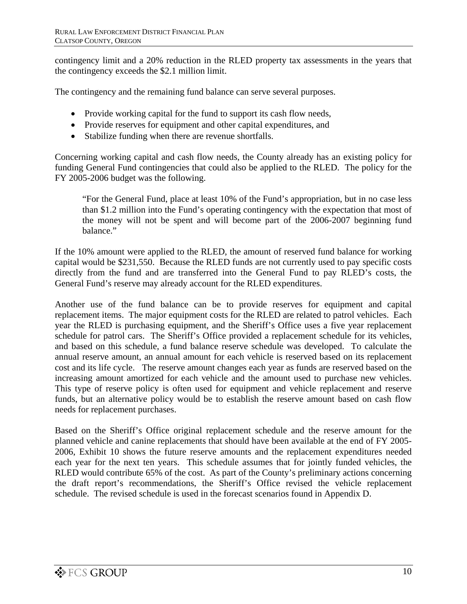contingency limit and a 20% reduction in the RLED property tax assessments in the years that the contingency exceeds the \$2.1 million limit.

The contingency and the remaining fund balance can serve several purposes.

- Provide working capital for the fund to support its cash flow needs,
- Provide reserves for equipment and other capital expenditures, and
- Stabilize funding when there are revenue shortfalls.

Concerning working capital and cash flow needs, the County already has an existing policy for funding General Fund contingencies that could also be applied to the RLED. The policy for the FY 2005-2006 budget was the following.

"For the General Fund, place at least 10% of the Fund's appropriation, but in no case less than \$1.2 million into the Fund's operating contingency with the expectation that most of the money will not be spent and will become part of the 2006-2007 beginning fund balance."

If the 10% amount were applied to the RLED, the amount of reserved fund balance for working capital would be \$231,550. Because the RLED funds are not currently used to pay specific costs directly from the fund and are transferred into the General Fund to pay RLED's costs, the General Fund's reserve may already account for the RLED expenditures.

Another use of the fund balance can be to provide reserves for equipment and capital replacement items. The major equipment costs for the RLED are related to patrol vehicles. Each year the RLED is purchasing equipment, and the Sheriff's Office uses a five year replacement schedule for patrol cars. The Sheriff's Office provided a replacement schedule for its vehicles, and based on this schedule, a fund balance reserve schedule was developed. To calculate the annual reserve amount, an annual amount for each vehicle is reserved based on its replacement cost and its life cycle. The reserve amount changes each year as funds are reserved based on the increasing amount amortized for each vehicle and the amount used to purchase new vehicles. This type of reserve policy is often used for equipment and vehicle replacement and reserve funds, but an alternative policy would be to establish the reserve amount based on cash flow needs for replacement purchases.

Based on the Sheriff's Office original replacement schedule and the reserve amount for the planned vehicle and canine replacements that should have been available at the end of FY 2005- 2006, Exhibit 10 shows the future reserve amounts and the replacement expenditures needed each year for the next ten years. This schedule assumes that for jointly funded vehicles, the RLED would contribute 65% of the cost. As part of the County's preliminary actions concerning the draft report's recommendations, the Sheriff's Office revised the vehicle replacement schedule. The revised schedule is used in the forecast scenarios found in Appendix D.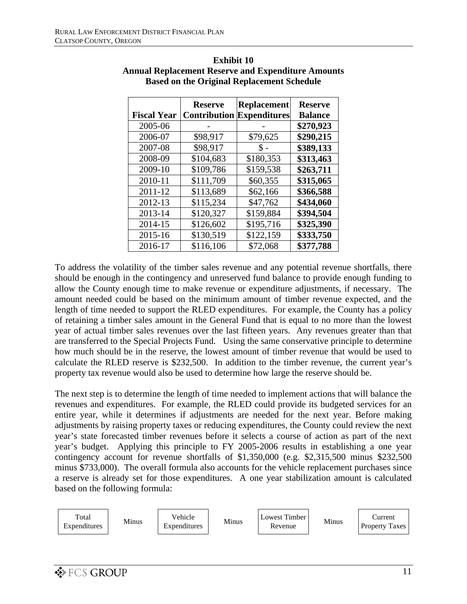|                    | <b>Reserve</b> | <b>Replacement</b>               | <b>Reserve</b> |
|--------------------|----------------|----------------------------------|----------------|
| <b>Fiscal Year</b> |                | <b>Contribution Expenditures</b> | <b>Balance</b> |
| 2005-06            |                |                                  | \$270,923      |
| 2006-07            | \$98,917       | \$79,625                         | \$290,215      |
| 2007-08            | \$98,917       | \$ -                             | \$389,133      |
| 2008-09            | \$104,683      | \$180,353                        | \$313,463      |
| 2009-10            | \$109,786      | \$159,538                        | \$263,711      |
| 2010-11            | \$111,709      | \$60,355                         | \$315,065      |
| 2011-12            | \$113,689      | \$62,166                         | \$366,588      |
| 2012-13            | \$115,234      | \$47,762                         | \$434,060      |
| 2013-14            | \$120,327      | \$159,884                        | \$394,504      |
| 2014-15            | \$126,602      | \$195,716                        | \$325,390      |
| 2015-16            | \$130,519      | \$122,159                        | \$333,750      |
| 2016-17            | \$116,106      | \$72,068                         | \$377,788      |

**Exhibit 10 Annual Replacement Reserve and Expenditure Amounts Based on the Original Replacement Schedule**

To address the volatility of the timber sales revenue and any potential revenue shortfalls, there should be enough in the contingency and unreserved fund balance to provide enough funding to allow the County enough time to make revenue or expenditure adjustments, if necessary. The amount needed could be based on the minimum amount of timber revenue expected, and the length of time needed to support the RLED expenditures. For example, the County has a policy of retaining a timber sales amount in the General Fund that is equal to no more than the lowest year of actual timber sales revenues over the last fifteen years. Any revenues greater than that are transferred to the Special Projects Fund. Using the same conservative principle to determine how much should be in the reserve, the lowest amount of timber revenue that would be used to calculate the RLED reserve is \$232,500. In addition to the timber revenue, the current year's property tax revenue would also be used to determine how large the reserve should be.

The next step is to determine the length of time needed to implement actions that will balance the revenues and expenditures. For example, the RLED could provide its budgeted services for an entire year, while it determines if adjustments are needed for the next year. Before making adjustments by raising property taxes or reducing expenditures, the County could review the next year's state forecasted timber revenues before it selects a course of action as part of the next year's budget. Applying this principle to FY 2005-2006 results in establishing a one year contingency account for revenue shortfalls of \$1,350,000 (e.g. \$2,315,500 minus \$232,500 minus \$733,000). The overall formula also accounts for the vehicle replacement purchases since a reserve is already set for those expenditures. A one year stabilization amount is calculated based on the following formula:

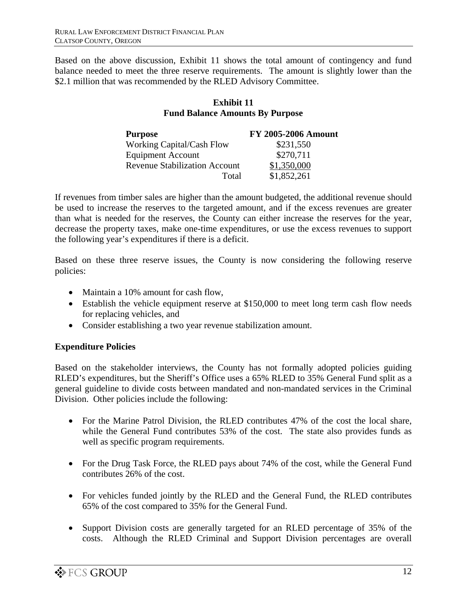Based on the above discussion, Exhibit 11 shows the total amount of contingency and fund balance needed to meet the three reserve requirements. The amount is slightly lower than the \$2.1 million that was recommended by the RLED Advisory Committee.

#### **Exhibit 11 Fund Balance Amounts By Purpose**

| <b>Purpose</b>                       | <b>FY 2005-2006 Amount</b> |
|--------------------------------------|----------------------------|
| <b>Working Capital/Cash Flow</b>     | \$231,550                  |
| <b>Equipment Account</b>             | \$270,711                  |
| <b>Revenue Stabilization Account</b> | \$1,350,000                |
| Total                                | \$1,852,261                |

If revenues from timber sales are higher than the amount budgeted, the additional revenue should be used to increase the reserves to the targeted amount, and if the excess revenues are greater than what is needed for the reserves, the County can either increase the reserves for the year, decrease the property taxes, make one-time expenditures, or use the excess revenues to support the following year's expenditures if there is a deficit.

Based on these three reserve issues, the County is now considering the following reserve policies:

- Maintain a 10% amount for cash flow,
- Establish the vehicle equipment reserve at \$150,000 to meet long term cash flow needs for replacing vehicles, and
- Consider establishing a two year revenue stabilization amount.

### **Expenditure Policies**

Based on the stakeholder interviews, the County has not formally adopted policies guiding RLED's expenditures, but the Sheriff's Office uses a 65% RLED to 35% General Fund split as a general guideline to divide costs between mandated and non-mandated services in the Criminal Division. Other policies include the following:

- For the Marine Patrol Division, the RLED contributes 47% of the cost the local share, while the General Fund contributes 53% of the cost. The state also provides funds as well as specific program requirements.
- For the Drug Task Force, the RLED pays about 74% of the cost, while the General Fund contributes 26% of the cost.
- For vehicles funded jointly by the RLED and the General Fund, the RLED contributes 65% of the cost compared to 35% for the General Fund.
- Support Division costs are generally targeted for an RLED percentage of 35% of the costs. Although the RLED Criminal and Support Division percentages are overall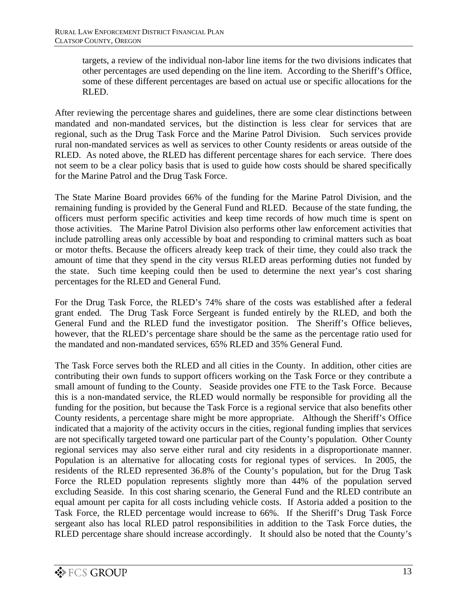targets, a review of the individual non-labor line items for the two divisions indicates that other percentages are used depending on the line item. According to the Sheriff's Office, some of these different percentages are based on actual use or specific allocations for the RLED.

After reviewing the percentage shares and guidelines, there are some clear distinctions between mandated and non-mandated services, but the distinction is less clear for services that are regional, such as the Drug Task Force and the Marine Patrol Division. Such services provide rural non-mandated services as well as services to other County residents or areas outside of the RLED. As noted above, the RLED has different percentage shares for each service. There does not seem to be a clear policy basis that is used to guide how costs should be shared specifically for the Marine Patrol and the Drug Task Force.

The State Marine Board provides 66% of the funding for the Marine Patrol Division, and the remaining funding is provided by the General Fund and RLED. Because of the state funding, the officers must perform specific activities and keep time records of how much time is spent on those activities. The Marine Patrol Division also performs other law enforcement activities that include patrolling areas only accessible by boat and responding to criminal matters such as boat or motor thefts. Because the officers already keep track of their time, they could also track the amount of time that they spend in the city versus RLED areas performing duties not funded by the state. Such time keeping could then be used to determine the next year's cost sharing percentages for the RLED and General Fund.

For the Drug Task Force, the RLED's 74% share of the costs was established after a federal grant ended. The Drug Task Force Sergeant is funded entirely by the RLED, and both the General Fund and the RLED fund the investigator position. The Sheriff's Office believes, however, that the RLED's percentage share should be the same as the percentage ratio used for the mandated and non-mandated services, 65% RLED and 35% General Fund.

The Task Force serves both the RLED and all cities in the County. In addition, other cities are contributing their own funds to support officers working on the Task Force or they contribute a small amount of funding to the County. Seaside provides one FTE to the Task Force. Because this is a non-mandated service, the RLED would normally be responsible for providing all the funding for the position, but because the Task Force is a regional service that also benefits other County residents, a percentage share might be more appropriate. Although the Sheriff's Office indicated that a majority of the activity occurs in the cities, regional funding implies that services are not specifically targeted toward one particular part of the County's population. Other County regional services may also serve either rural and city residents in a disproportionate manner. Population is an alternative for allocating costs for regional types of services. In 2005, the residents of the RLED represented 36.8% of the County's population, but for the Drug Task Force the RLED population represents slightly more than 44% of the population served excluding Seaside. In this cost sharing scenario, the General Fund and the RLED contribute an equal amount per capita for all costs including vehicle costs. If Astoria added a position to the Task Force, the RLED percentage would increase to 66%. If the Sheriff's Drug Task Force sergeant also has local RLED patrol responsibilities in addition to the Task Force duties, the RLED percentage share should increase accordingly. It should also be noted that the County's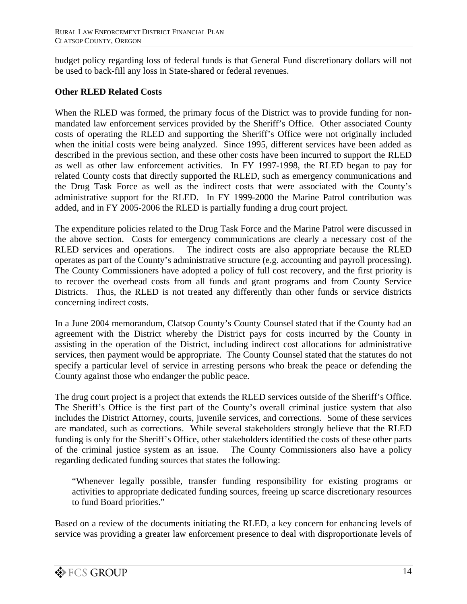budget policy regarding loss of federal funds is that General Fund discretionary dollars will not be used to back-fill any loss in State-shared or federal revenues.

### **Other RLED Related Costs**

When the RLED was formed, the primary focus of the District was to provide funding for nonmandated law enforcement services provided by the Sheriff's Office. Other associated County costs of operating the RLED and supporting the Sheriff's Office were not originally included when the initial costs were being analyzed. Since 1995, different services have been added as described in the previous section, and these other costs have been incurred to support the RLED as well as other law enforcement activities. In FY 1997-1998, the RLED began to pay for related County costs that directly supported the RLED, such as emergency communications and the Drug Task Force as well as the indirect costs that were associated with the County's administrative support for the RLED. In FY 1999-2000 the Marine Patrol contribution was added, and in FY 2005-2006 the RLED is partially funding a drug court project.

The expenditure policies related to the Drug Task Force and the Marine Patrol were discussed in the above section. Costs for emergency communications are clearly a necessary cost of the RLED services and operations. The indirect costs are also appropriate because the RLED operates as part of the County's administrative structure (e.g. accounting and payroll processing). The County Commissioners have adopted a policy of full cost recovery, and the first priority is to recover the overhead costs from all funds and grant programs and from County Service Districts. Thus, the RLED is not treated any differently than other funds or service districts concerning indirect costs.

In a June 2004 memorandum, Clatsop County's County Counsel stated that if the County had an agreement with the District whereby the District pays for costs incurred by the County in assisting in the operation of the District, including indirect cost allocations for administrative services, then payment would be appropriate. The County Counsel stated that the statutes do not specify a particular level of service in arresting persons who break the peace or defending the County against those who endanger the public peace.

The drug court project is a project that extends the RLED services outside of the Sheriff's Office. The Sheriff's Office is the first part of the County's overall criminal justice system that also includes the District Attorney, courts, juvenile services, and corrections. Some of these services are mandated, such as corrections. While several stakeholders strongly believe that the RLED funding is only for the Sheriff's Office, other stakeholders identified the costs of these other parts of the criminal justice system as an issue. The County Commissioners also have a policy regarding dedicated funding sources that states the following:

"Whenever legally possible, transfer funding responsibility for existing programs or activities to appropriate dedicated funding sources, freeing up scarce discretionary resources to fund Board priorities."

Based on a review of the documents initiating the RLED, a key concern for enhancing levels of service was providing a greater law enforcement presence to deal with disproportionate levels of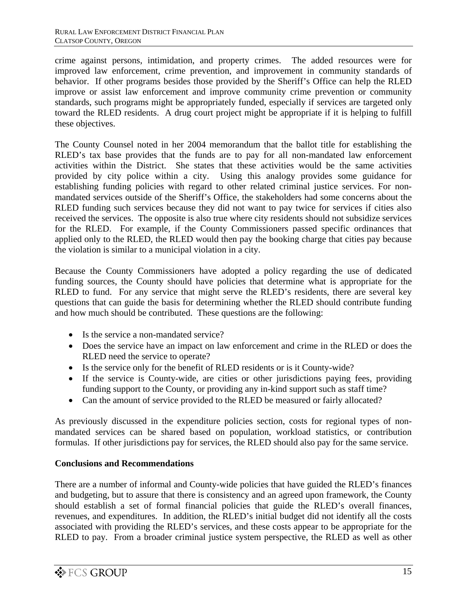crime against persons, intimidation, and property crimes. The added resources were for improved law enforcement, crime prevention, and improvement in community standards of behavior. If other programs besides those provided by the Sheriff's Office can help the RLED improve or assist law enforcement and improve community crime prevention or community standards, such programs might be appropriately funded, especially if services are targeted only toward the RLED residents. A drug court project might be appropriate if it is helping to fulfill these objectives.

The County Counsel noted in her 2004 memorandum that the ballot title for establishing the RLED's tax base provides that the funds are to pay for all non-mandated law enforcement activities within the District. She states that these activities would be the same activities provided by city police within a city. Using this analogy provides some guidance for establishing funding policies with regard to other related criminal justice services. For nonmandated services outside of the Sheriff's Office, the stakeholders had some concerns about the RLED funding such services because they did not want to pay twice for services if cities also received the services. The opposite is also true where city residents should not subsidize services for the RLED. For example, if the County Commissioners passed specific ordinances that applied only to the RLED, the RLED would then pay the booking charge that cities pay because the violation is similar to a municipal violation in a city.

Because the County Commissioners have adopted a policy regarding the use of dedicated funding sources, the County should have policies that determine what is appropriate for the RLED to fund. For any service that might serve the RLED's residents, there are several key questions that can guide the basis for determining whether the RLED should contribute funding and how much should be contributed. These questions are the following:

- Is the service a non-mandated service?
- Does the service have an impact on law enforcement and crime in the RLED or does the RLED need the service to operate?
- Is the service only for the benefit of RLED residents or is it County-wide?
- If the service is County-wide, are cities or other jurisdictions paying fees, providing funding support to the County, or providing any in-kind support such as staff time?
- Can the amount of service provided to the RLED be measured or fairly allocated?

As previously discussed in the expenditure policies section, costs for regional types of nonmandated services can be shared based on population, workload statistics, or contribution formulas. If other jurisdictions pay for services, the RLED should also pay for the same service.

#### **Conclusions and Recommendations**

There are a number of informal and County-wide policies that have guided the RLED's finances and budgeting, but to assure that there is consistency and an agreed upon framework, the County should establish a set of formal financial policies that guide the RLED's overall finances, revenues, and expenditures. In addition, the RLED's initial budget did not identify all the costs associated with providing the RLED's services, and these costs appear to be appropriate for the RLED to pay. From a broader criminal justice system perspective, the RLED as well as other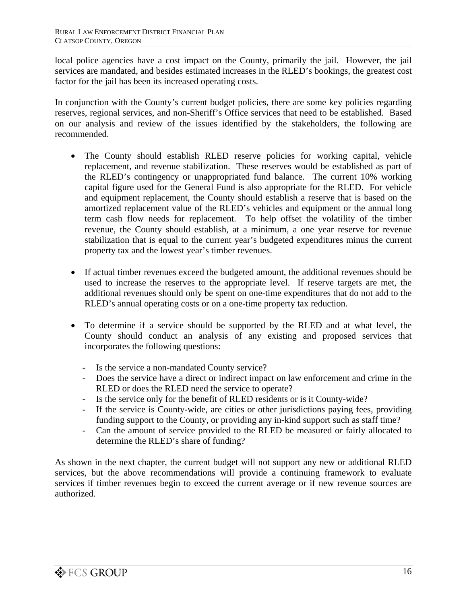local police agencies have a cost impact on the County, primarily the jail. However, the jail services are mandated, and besides estimated increases in the RLED's bookings, the greatest cost factor for the jail has been its increased operating costs.

In conjunction with the County's current budget policies, there are some key policies regarding reserves, regional services, and non-Sheriff's Office services that need to be established. Based on our analysis and review of the issues identified by the stakeholders, the following are recommended.

- The County should establish RLED reserve policies for working capital, vehicle replacement, and revenue stabilization. These reserves would be established as part of the RLED's contingency or unappropriated fund balance. The current 10% working capital figure used for the General Fund is also appropriate for the RLED. For vehicle and equipment replacement, the County should establish a reserve that is based on the amortized replacement value of the RLED's vehicles and equipment or the annual long term cash flow needs for replacement. To help offset the volatility of the timber revenue, the County should establish, at a minimum, a one year reserve for revenue stabilization that is equal to the current year's budgeted expenditures minus the current property tax and the lowest year's timber revenues.
- If actual timber revenues exceed the budgeted amount, the additional revenues should be used to increase the reserves to the appropriate level. If reserve targets are met, the additional revenues should only be spent on one-time expenditures that do not add to the RLED's annual operating costs or on a one-time property tax reduction.
- To determine if a service should be supported by the RLED and at what level, the County should conduct an analysis of any existing and proposed services that incorporates the following questions:
	- Is the service a non-mandated County service?
	- Does the service have a direct or indirect impact on law enforcement and crime in the RLED or does the RLED need the service to operate?
	- Is the service only for the benefit of RLED residents or is it County-wide?
	- If the service is County-wide, are cities or other jurisdictions paying fees, providing funding support to the County, or providing any in-kind support such as staff time?
	- Can the amount of service provided to the RLED be measured or fairly allocated to determine the RLED's share of funding?

As shown in the next chapter, the current budget will not support any new or additional RLED services, but the above recommendations will provide a continuing framework to evaluate services if timber revenues begin to exceed the current average or if new revenue sources are authorized.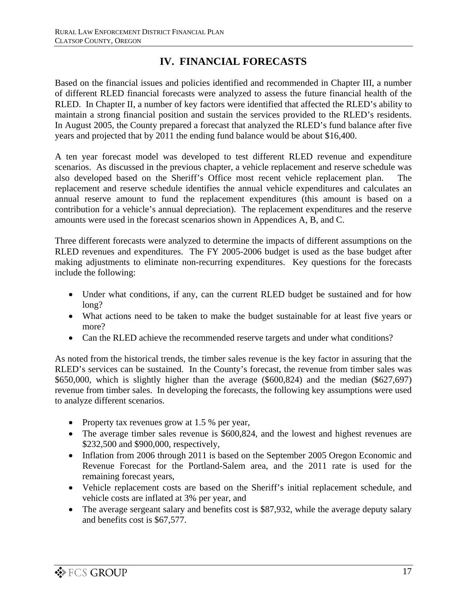## **IV. FINANCIAL FORECASTS**

Based on the financial issues and policies identified and recommended in Chapter III, a number of different RLED financial forecasts were analyzed to assess the future financial health of the RLED. In Chapter II, a number of key factors were identified that affected the RLED's ability to maintain a strong financial position and sustain the services provided to the RLED's residents. In August 2005, the County prepared a forecast that analyzed the RLED's fund balance after five years and projected that by 2011 the ending fund balance would be about \$16,400.

A ten year forecast model was developed to test different RLED revenue and expenditure scenarios. As discussed in the previous chapter, a vehicle replacement and reserve schedule was also developed based on the Sheriff's Office most recent vehicle replacement plan. The replacement and reserve schedule identifies the annual vehicle expenditures and calculates an annual reserve amount to fund the replacement expenditures (this amount is based on a contribution for a vehicle's annual depreciation). The replacement expenditures and the reserve amounts were used in the forecast scenarios shown in Appendices A, B, and C.

Three different forecasts were analyzed to determine the impacts of different assumptions on the RLED revenues and expenditures. The FY 2005-2006 budget is used as the base budget after making adjustments to eliminate non-recurring expenditures. Key questions for the forecasts include the following:

- Under what conditions, if any, can the current RLED budget be sustained and for how long?
- What actions need to be taken to make the budget sustainable for at least five years or more?
- Can the RLED achieve the recommended reserve targets and under what conditions?

As noted from the historical trends, the timber sales revenue is the key factor in assuring that the RLED's services can be sustained. In the County's forecast, the revenue from timber sales was \$650,000, which is slightly higher than the average  $(\$600,824)$  and the median  $(\$627,697)$ revenue from timber sales. In developing the forecasts, the following key assumptions were used to analyze different scenarios.

- Property tax revenues grow at 1.5 % per year,
- The average timber sales revenue is \$600,824, and the lowest and highest revenues are \$232,500 and \$900,000, respectively,
- Inflation from 2006 through 2011 is based on the September 2005 Oregon Economic and Revenue Forecast for the Portland-Salem area, and the 2011 rate is used for the remaining forecast years,
- Vehicle replacement costs are based on the Sheriff's initial replacement schedule, and vehicle costs are inflated at 3% per year, and
- The average sergeant salary and benefits cost is \$87,932, while the average deputy salary and benefits cost is \$67,577.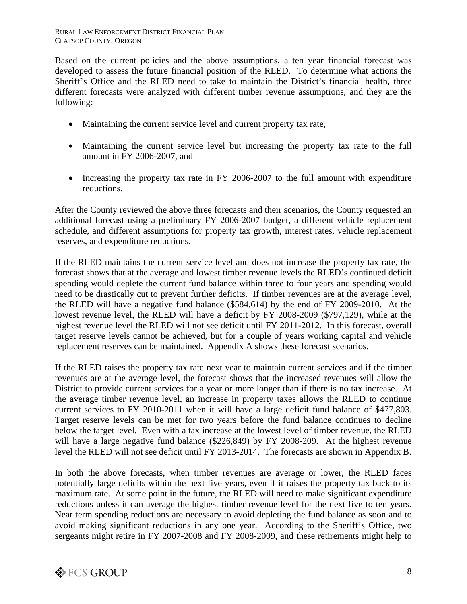Based on the current policies and the above assumptions, a ten year financial forecast was developed to assess the future financial position of the RLED. To determine what actions the Sheriff's Office and the RLED need to take to maintain the District's financial health, three different forecasts were analyzed with different timber revenue assumptions, and they are the following:

- Maintaining the current service level and current property tax rate,
- Maintaining the current service level but increasing the property tax rate to the full amount in FY 2006-2007, and
- Increasing the property tax rate in FY 2006-2007 to the full amount with expenditure reductions.

After the County reviewed the above three forecasts and their scenarios, the County requested an additional forecast using a preliminary FY 2006-2007 budget, a different vehicle replacement schedule, and different assumptions for property tax growth, interest rates, vehicle replacement reserves, and expenditure reductions.

If the RLED maintains the current service level and does not increase the property tax rate, the forecast shows that at the average and lowest timber revenue levels the RLED's continued deficit spending would deplete the current fund balance within three to four years and spending would need to be drastically cut to prevent further deficits. If timber revenues are at the average level, the RLED will have a negative fund balance (\$584,614) by the end of FY 2009-2010. At the lowest revenue level, the RLED will have a deficit by FY 2008-2009 (\$797,129), while at the highest revenue level the RLED will not see deficit until FY 2011-2012. In this forecast, overall target reserve levels cannot be achieved, but for a couple of years working capital and vehicle replacement reserves can be maintained. Appendix A shows these forecast scenarios.

If the RLED raises the property tax rate next year to maintain current services and if the timber revenues are at the average level, the forecast shows that the increased revenues will allow the District to provide current services for a year or more longer than if there is no tax increase. At the average timber revenue level, an increase in property taxes allows the RLED to continue current services to FY 2010-2011 when it will have a large deficit fund balance of \$477,803. Target reserve levels can be met for two years before the fund balance continues to decline below the target level. Even with a tax increase at the lowest level of timber revenue, the RLED will have a large negative fund balance (\$226,849) by FY 2008-209. At the highest revenue level the RLED will not see deficit until FY 2013-2014. The forecasts are shown in Appendix B.

In both the above forecasts, when timber revenues are average or lower, the RLED faces potentially large deficits within the next five years, even if it raises the property tax back to its maximum rate. At some point in the future, the RLED will need to make significant expenditure reductions unless it can average the highest timber revenue level for the next five to ten years. Near term spending reductions are necessary to avoid depleting the fund balance as soon and to avoid making significant reductions in any one year. According to the Sheriff's Office, two sergeants might retire in FY 2007-2008 and FY 2008-2009, and these retirements might help to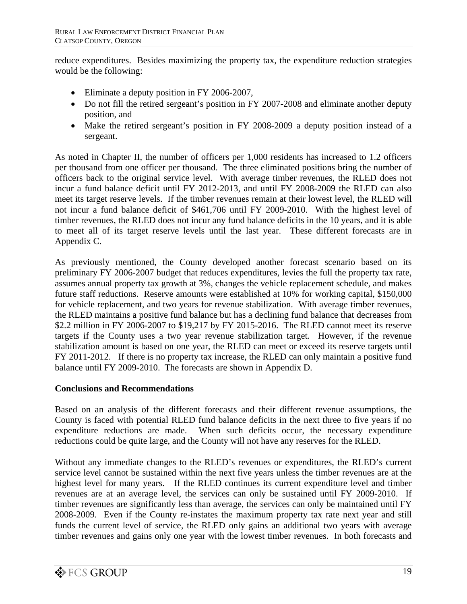reduce expenditures. Besides maximizing the property tax, the expenditure reduction strategies would be the following:

- Eliminate a deputy position in FY 2006-2007,
- Do not fill the retired sergeant's position in FY 2007-2008 and eliminate another deputy position, and
- Make the retired sergeant's position in FY 2008-2009 a deputy position instead of a sergeant.

As noted in Chapter II, the number of officers per 1,000 residents has increased to 1.2 officers per thousand from one officer per thousand. The three eliminated positions bring the number of officers back to the original service level. With average timber revenues, the RLED does not incur a fund balance deficit until FY 2012-2013, and until FY 2008-2009 the RLED can also meet its target reserve levels. If the timber revenues remain at their lowest level, the RLED will not incur a fund balance deficit of \$461,706 until FY 2009-2010. With the highest level of timber revenues, the RLED does not incur any fund balance deficits in the 10 years, and it is able to meet all of its target reserve levels until the last year. These different forecasts are in Appendix C.

As previously mentioned, the County developed another forecast scenario based on its preliminary FY 2006-2007 budget that reduces expenditures, levies the full the property tax rate, assumes annual property tax growth at 3%, changes the vehicle replacement schedule, and makes future staff reductions. Reserve amounts were established at 10% for working capital, \$150,000 for vehicle replacement, and two years for revenue stabilization. With average timber revenues, the RLED maintains a positive fund balance but has a declining fund balance that decreases from \$2.2 million in FY 2006-2007 to \$19,217 by FY 2015-2016. The RLED cannot meet its reserve targets if the County uses a two year revenue stabilization target. However, if the revenue stabilization amount is based on one year, the RLED can meet or exceed its reserve targets until FY 2011-2012. If there is no property tax increase, the RLED can only maintain a positive fund balance until FY 2009-2010. The forecasts are shown in Appendix D.

#### **Conclusions and Recommendations**

Based on an analysis of the different forecasts and their different revenue assumptions, the County is faced with potential RLED fund balance deficits in the next three to five years if no expenditure reductions are made. When such deficits occur, the necessary expenditure reductions could be quite large, and the County will not have any reserves for the RLED.

Without any immediate changes to the RLED's revenues or expenditures, the RLED's current service level cannot be sustained within the next five years unless the timber revenues are at the highest level for many years. If the RLED continues its current expenditure level and timber revenues are at an average level, the services can only be sustained until FY 2009-2010. If timber revenues are significantly less than average, the services can only be maintained until FY 2008-2009. Even if the County re-instates the maximum property tax rate next year and still funds the current level of service, the RLED only gains an additional two years with average timber revenues and gains only one year with the lowest timber revenues. In both forecasts and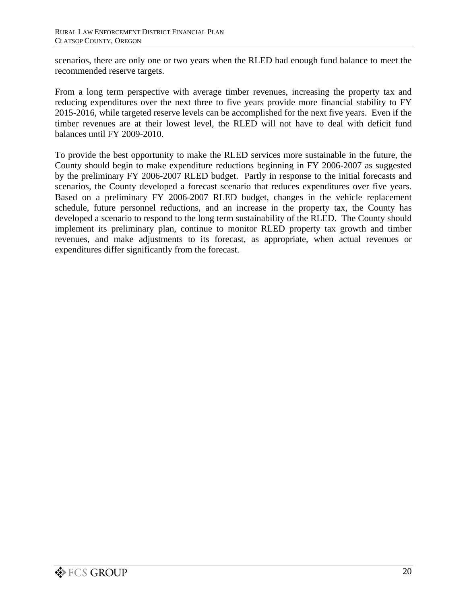scenarios, there are only one or two years when the RLED had enough fund balance to meet the recommended reserve targets.

From a long term perspective with average timber revenues, increasing the property tax and reducing expenditures over the next three to five years provide more financial stability to FY 2015-2016, while targeted reserve levels can be accomplished for the next five years. Even if the timber revenues are at their lowest level, the RLED will not have to deal with deficit fund balances until FY 2009-2010.

To provide the best opportunity to make the RLED services more sustainable in the future, the County should begin to make expenditure reductions beginning in FY 2006-2007 as suggested by the preliminary FY 2006-2007 RLED budget. Partly in response to the initial forecasts and scenarios, the County developed a forecast scenario that reduces expenditures over five years. Based on a preliminary FY 2006-2007 RLED budget, changes in the vehicle replacement schedule, future personnel reductions, and an increase in the property tax, the County has developed a scenario to respond to the long term sustainability of the RLED. The County should implement its preliminary plan, continue to monitor RLED property tax growth and timber revenues, and make adjustments to its forecast, as appropriate, when actual revenues or expenditures differ significantly from the forecast.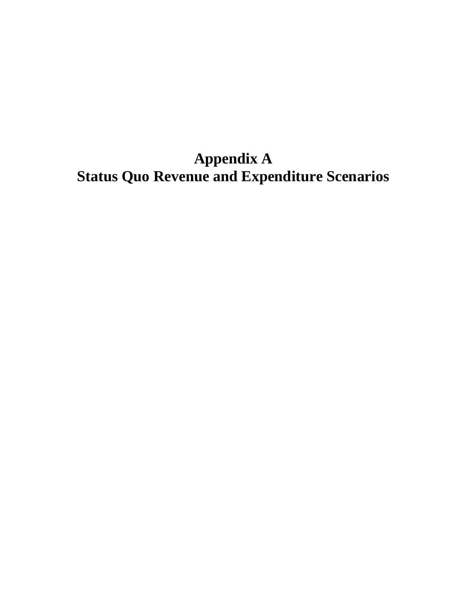**Appendix A Status Quo Revenue and Expenditure Scenarios**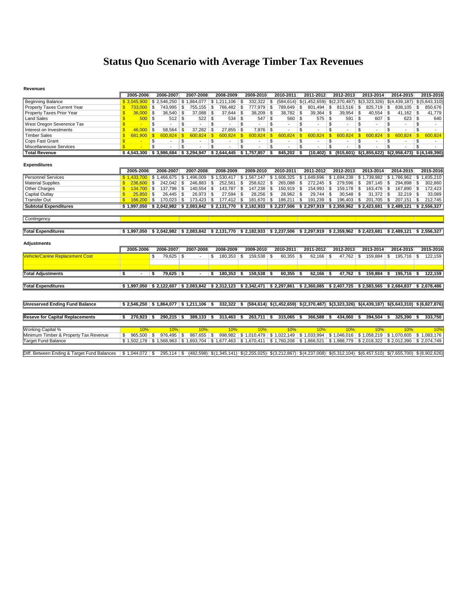## **Status Quo Scenario with Average Timber Tax Revenues**

#### **Revenues**

|                                             | 2005-2006                      | 2006-2007                    | 2007-2008                                                                                                                            | 2008-2009          | 2009-2010            | 2010-2011                                                                                   | 2011-2012                     | 2012-2013               | 2013-2014                                                                                                   | 2014-2015               | 2015-2016                                                                                                         |
|---------------------------------------------|--------------------------------|------------------------------|--------------------------------------------------------------------------------------------------------------------------------------|--------------------|----------------------|---------------------------------------------------------------------------------------------|-------------------------------|-------------------------|-------------------------------------------------------------------------------------------------------------|-------------------------|-------------------------------------------------------------------------------------------------------------------|
| <b>Beginning Balance</b>                    | \$3,045,900                    |                              | $\frac{1}{2}$ \$ 2,546,250 \$ 1,864,077 \$ 1,211,106 \$                                                                              |                    | $332.322$ \$         |                                                                                             |                               |                         | $(584, 614)$ \$ $(1, 452, 659)$ \$ $(2, 370, 487)$ \$ $(3, 323, 326)$ \$ $(4, 439, 187)$ \$ $(5, 643, 310)$ |                         |                                                                                                                   |
| Property Taxes Current Year                 | 733,000<br><sup>\$</sup>       | S.<br>743.995 \$             | 755.155                                                                                                                              | \$<br>766.482 \$   | 777.979 \$           | 789.649 \$                                                                                  | $801.494$ \ \$                | 813.516                 | \$<br>$825.719$ \$                                                                                          | $838.105$ \$            | 850.676                                                                                                           |
| Property Taxes Prior Year                   | 36,000                         | <b>S</b><br>$36,540$ \$      | $37,088$ \$                                                                                                                          | 37,644             | $38,209$ \$<br>\$    | $38,782$ \$                                                                                 | $39,364$ \$                   | 39,954                  | \$<br>$40,554$ \$                                                                                           | $41,162$ \$             | 41,779                                                                                                            |
| <b>Land Sales</b>                           | $500$ \ \$<br>$\mathbf{s}$     |                              |                                                                                                                                      | $534$ \ \$         | $547$ \$             | $560$ \$                                                                                    | $575$ \$                      | 591                     | <b>S</b><br>$607$ \$                                                                                        | $623$ \$                | 640                                                                                                               |
| West Oregon Severence Tax                   | <sub>\$</sub>                  | <b>S</b>                     | \$                                                                                                                                   | \$<br>$\sim$       | \$                   | \$<br>$\sim$                                                                                | S<br>$\blacksquare$           | \$<br>$\sim$            | S<br>$\blacksquare$                                                                                         | \$<br>$\sim$            | \$<br>$\sim$                                                                                                      |
| Interest on Investments                     | 46,000<br>$\mathbf{s}$         | $58,564$ \$<br>-\$           | $37,282$ \$                                                                                                                          | $27,855$ \$        | $7,976$ \$           | $\overline{\phantom{a}}$                                                                    | \$<br>÷                       | \$                      | \$                                                                                                          | \$                      | \$                                                                                                                |
| <b>Timber Sales</b>                         | 681,900<br>$\mathbf{s}$        | $600.824$ \$<br>$\mathbf{s}$ | 600,824                                                                                                                              | l \$<br>600,824    | <b>S</b><br>600,824  | $\sqrt[6]{3}$<br>600,824                                                                    | $\sqrt{s}$<br>600,824         | $\sqrt{s}$<br>600,824   | $\mathbf{s}$<br>600,824                                                                                     | 600.824<br>$\mathbf{s}$ | $\mathbf{s}$<br>600,824                                                                                           |
| Cops Fast Grant                             | S.<br><b>Contract Contract</b> | \$                           | \$                                                                                                                                   | \$                 | \$<br>٠              | \$                                                                                          | \$<br>$\sim$                  | \$                      | \$                                                                                                          | \$                      | \$                                                                                                                |
| Miscellaneouse Services                     | $\mathbf{s}$                   | $\overline{\mathbf{s}}$      | $\overline{\mathbb{s}}$                                                                                                              | $\overline{s}$     | \$                   | $\overline{s}$<br>$\overline{a}$                                                            | $\overline{\mathbb{S}}$<br>÷, | $\overline{\mathbb{s}}$ | $\overline{s}$                                                                                              | \$                      | $\overline{\mathbb{S}}$                                                                                           |
| <b>Total Revenue</b>                        |                                |                              | $$4,543,300$ $$3,986,684$ $$3,294,947$ $$2,644,445$ $$1,757,857$                                                                     |                    |                      | 845,202<br><b>S</b>                                                                         | $(10, 402)$ \$<br>l S         | (915,601)               |                                                                                                             |                         | $$(1,855,622)$ $$(2,958,473)$ $$(4,149,390)$                                                                      |
|                                             |                                |                              |                                                                                                                                      |                    |                      |                                                                                             |                               |                         |                                                                                                             |                         |                                                                                                                   |
| <b>Expenditures</b>                         |                                |                              |                                                                                                                                      |                    |                      |                                                                                             |                               |                         |                                                                                                             |                         |                                                                                                                   |
|                                             | 2005-2006                      | 2006-2007                    | 2007-2008                                                                                                                            | 2008-2009          | 2009-2010            | 2010-2011                                                                                   | 2011-2012                     | 2012-2013               | 2013-2014                                                                                                   | 2014-2015               | 2015-2016                                                                                                         |
| <b>Personnel Services</b>                   |                                |                              | $$1,433,700$ $$1,466,675$ $$1,496,009$                                                                                               |                    |                      | $$1,530,417$ $$1,567,147$ $$1,606,325$ $$1,649,696$ $$1,694,238$                            |                               |                         | $$1,739,982$ $$1,786,962$ $$1,835,210$                                                                      |                         |                                                                                                                   |
| <b>Material Supplies</b>                    | $236,600$ \$<br>S.             | $242,042$ \$                 | 246,883                                                                                                                              | \$<br>$252,561$ \$ | $258,622$ \ \$       | $265,088$ \ \$                                                                              | $272,245$ \$                  | 279,596                 | \$<br>$287,145$ \$                                                                                          | $294,898$ \$            | 302,860                                                                                                           |
| Other Charges                               | $134.700$ \ \$<br>$\mathbf{s}$ | 137,798 \$                   | 140,554                                                                                                                              | \$<br>143,787 \$   | $147,238$ \$         | $150,919$ \$                                                                                | 154,993 \$                    | $159,178$ \$            | 163,476 \$                                                                                                  | 167,890 \$              | 172,423                                                                                                           |
| Capital Outlay                              | 25.850<br>\$.                  | <b>S</b><br>$26.445$ \$      | $26,973$ \$                                                                                                                          | $27,594$ \$        | $28,256$ \$          | $28,962$ \$                                                                                 | $29,744$ \\$                  | $30,548$ \$             | $31,372$ \$                                                                                                 | $32,219$ \$             | 33,089                                                                                                            |
| <b>Transfer Out</b>                         | 166,200<br>\$.                 | <b>S</b>                     | 173.423                                                                                                                              | \$                 | $181.670$ \ \$       | $186.211$ \ \$                                                                              | 191,239 \$                    | 196.403                 | \$<br>201.705                                                                                               | 207.151<br>∣\$.         | 212,745<br>\$                                                                                                     |
| <b>Subtotal Expenditures</b>                |                                |                              | \$1,997,050 \$2,042,982 \$2,083,842 \$2,131,770 \$2,182,933 \$2,237,506 \$2,297,919 \$2,359,962 \$2,423,681 \$2,489,121 \$2,556,327  |                    |                      |                                                                                             |                               |                         |                                                                                                             |                         |                                                                                                                   |
|                                             |                                |                              |                                                                                                                                      |                    |                      |                                                                                             |                               |                         |                                                                                                             |                         |                                                                                                                   |
| Contingency                                 |                                |                              |                                                                                                                                      |                    |                      |                                                                                             |                               |                         |                                                                                                             |                         |                                                                                                                   |
|                                             |                                |                              |                                                                                                                                      |                    |                      |                                                                                             |                               |                         |                                                                                                             |                         |                                                                                                                   |
| <b>Total Expenditures</b>                   | \$1.997.050                    |                              | $$2.042.982$ $$2.083.842$                                                                                                            |                    |                      | $$2,131,770$ $$2,182,933$ $$2,237,506$ $$2,297,919$ $$2,359,962$                            |                               |                         | \$2.423.681                                                                                                 | \$2.489.121             | \$2.556.327                                                                                                       |
|                                             |                                |                              |                                                                                                                                      |                    |                      |                                                                                             |                               |                         |                                                                                                             |                         |                                                                                                                   |
| <b>Adjustments</b>                          |                                |                              |                                                                                                                                      |                    |                      |                                                                                             |                               |                         |                                                                                                             |                         |                                                                                                                   |
|                                             | 2005-2006                      | 2006-2007                    | 2007-2008                                                                                                                            | 2008-2009          | 2009-2010            | 2010-2011                                                                                   | 2011-2012                     | 2012-2013               | 2013-2014                                                                                                   | 2014-2015               | 2015-2016                                                                                                         |
|                                             |                                |                              |                                                                                                                                      |                    |                      |                                                                                             |                               |                         |                                                                                                             |                         |                                                                                                                   |
| <b>Vehicle/Canine Replacement Cost</b>      |                                | $79,625$ \$<br>-S            |                                                                                                                                      | 180.353<br>\$.     | $159,538$ \$<br>\$   | $60,355$ \$                                                                                 | $62,166$ \$                   | 47.762                  | 159,884<br>S.                                                                                               | 195,716<br>\$           | \$<br>122,159                                                                                                     |
|                                             |                                |                              |                                                                                                                                      |                    |                      |                                                                                             |                               |                         |                                                                                                             |                         |                                                                                                                   |
|                                             |                                |                              |                                                                                                                                      |                    |                      |                                                                                             |                               |                         |                                                                                                             |                         |                                                                                                                   |
| <b>Total Adjustments</b>                    | s<br>$\sim$                    | $79,625$ \$<br>ŝ             | $\overline{\phantom{a}}$                                                                                                             | \$<br>180.353      | $159.538$ \$<br>∣\$. | $60.355$ \$                                                                                 | $62.166$ \$                   | 47.762                  | 159.884<br>s.                                                                                               | 195.716<br>∣\$.         | 122.159<br>- \$                                                                                                   |
|                                             |                                |                              |                                                                                                                                      |                    |                      |                                                                                             |                               |                         |                                                                                                             |                         |                                                                                                                   |
| <b>Total Expenditures</b>                   |                                |                              | \$1,997,050 \$2,122,607 \$2,083,842 \$2,312,123 \$2,342,471 \$2,297,861 \$2,360,085 \$2,407,725 \$2,583,565 \$2,684,837 \$2,678,486  |                    |                      |                                                                                             |                               |                         |                                                                                                             |                         |                                                                                                                   |
|                                             |                                |                              |                                                                                                                                      |                    |                      |                                                                                             |                               |                         |                                                                                                             |                         |                                                                                                                   |
|                                             |                                |                              |                                                                                                                                      |                    |                      |                                                                                             |                               |                         |                                                                                                             |                         |                                                                                                                   |
| <b>Unreserved Ending Fund Balance</b>       |                                |                              | $$2,546,250$ $$1,864,077$ $$1,211,106$ $$$                                                                                           | $332,322$ \$       |                      |                                                                                             |                               |                         |                                                                                                             |                         | $(584,614)$ \$ $(1,452,659)$ \$ $(2,370,487)$ \$ $(3,323,326)$ \$ $(4,439,187)$ \$ $(5,643,310)$ \$ $(6,827,876)$ |
|                                             |                                |                              |                                                                                                                                      |                    |                      | $263,711$ \$ 315,065 \$                                                                     | $366,588$ \$                  |                         |                                                                                                             |                         |                                                                                                                   |
| <b>Reseve for Capital Replacements</b>      | $270,923$ \$<br>s              | $290,215$ \$                 | $389,133$ \$                                                                                                                         | $313,463$ \$       |                      |                                                                                             |                               | $434,060$ \$            | $394,504$ \$                                                                                                | $325,390$ \$            | 333,750                                                                                                           |
| Working Capital %                           | 10%                            | 10%                          | 10%                                                                                                                                  | 10%                | 10%                  | 10%                                                                                         | 10%                           | 10%                     | 10%                                                                                                         | 10%                     | 10%                                                                                                               |
| Minimum Timber & Property Tax Revenue       | S.<br>$965.500$ \$             | 976,495 \$                   | 987,655 \$                                                                                                                           |                    |                      | 998,982 \$1,010,479 \$1,022,149 \$1,033,994 \$1,046,016 \$1,058,219 \$1,070,605 \$1,083,176 |                               |                         |                                                                                                             |                         |                                                                                                                   |
|                                             |                                |                              | \$1,502,178 \$1,568,963 \$1,693,704 \$1,677,463 \$1,670,411 \$1,760,208 \$1,866,521 \$1,988,779 \$2,018,322 \$2,012,390 \$2,074,749  |                    |                      |                                                                                             |                               |                         |                                                                                                             |                         |                                                                                                                   |
| <b>Target Fund Balance</b>                  |                                |                              |                                                                                                                                      |                    |                      |                                                                                             |                               |                         |                                                                                                             |                         |                                                                                                                   |
|                                             |                                |                              |                                                                                                                                      |                    |                      |                                                                                             |                               |                         |                                                                                                             |                         |                                                                                                                   |
| Diff, Between Ending & Target Fund Balances |                                |                              | 295,114 \$ (482,598) \$(1,345,141) \$(2,255,025) \$(3,212,867) \$(4,237,008) \$(5,312,104) \$(6,457,510) \$(7,655,700) \$(8,902,626) |                    |                      |                                                                                             |                               |                         |                                                                                                             |                         |                                                                                                                   |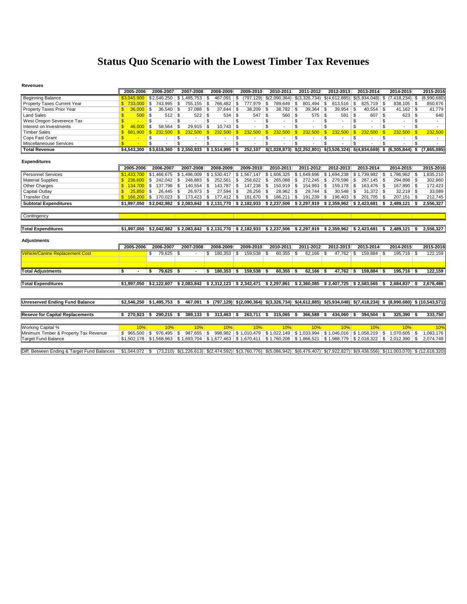## **Status Quo Scenario with the Lowest Timber Tax Revenues**

#### **Revenues**

|                                        | 2005-2006               |                | 2006-2007                    | 2007-2008                 | 2008-2009                                                        | 2009-2010                   | 2010-2011                           | 2011-2012                                                                                                            | 2012-2013                      | 2013-2014               | 2014-2015                                                                                                                      | 2015-2016               |
|----------------------------------------|-------------------------|----------------|------------------------------|---------------------------|------------------------------------------------------------------|-----------------------------|-------------------------------------|----------------------------------------------------------------------------------------------------------------------|--------------------------------|-------------------------|--------------------------------------------------------------------------------------------------------------------------------|-------------------------|
| <b>Beginning Balance</b>               | \$3.045.900             |                | \$2,546,250                  |                           | $467,091$ \\$                                                    |                             |                                     | $(797, 129)$ \$ $(2,090,364)$ \$ $(3,326,734)$ \$ $(4,612,885)$ \$ $(5,934,048)$ \$                                  |                                |                         | $(7, 418, 234)$ \$                                                                                                             | (8,990,680)             |
| Property Taxes Current Year            | \$733,000               |                | 743,995<br><b>S</b>          | \$<br>755,155             | -S<br>766,482 \$                                                 | 777,979                     | \$<br>789,649 \$                    | 801,494                                                                                                              | \$<br>813,516                  | \$<br>$825,719$ \$      | 838,105 \$                                                                                                                     | 850,676                 |
| Property Taxes Prior Year              |                         | $36,000$ \$    | $36,540$ \$                  | 37,088                    | \$<br>$37,644$ \$                                                | 38,209                      | \$<br>$38,782$ \$                   | $39,364$ \$                                                                                                          | $39,954$ \$                    | $40,554$ \$             | $41,162$ \$                                                                                                                    | 41,779                  |
| <b>Land Sales</b>                      | $\mathbf{R}$            | $500$ \$       | $512$ \$                     | 522                       | $534$ \$<br>\$                                                   | 547                         | $\overline{\mathbf{s}}$<br>$560$ \$ | $575$ \$                                                                                                             | $591$ \$                       | $607$ \$                | $623$ \$                                                                                                                       | 640                     |
| West Oregon Severence Tax              |                         |                | \$<br>÷,                     | \$                        | \$<br>$\overline{a}$                                             | \$<br>$\sim$                | \$<br>$\blacksquare$                | \$<br>$\sim$                                                                                                         | \$<br>$\overline{a}$           | \$<br>$\overline{a}$    | \$<br>$\blacksquare$                                                                                                           | \$<br>$\sim$            |
| Interest on Investments                | $\mathbf{s}$            | 46.000         | 58,564<br>l \$               | $29,915$ \$<br>5          | $10,743$ \$                                                      | $\overline{\phantom{a}}$    | \$<br>$\sim$                        | \$<br>٠                                                                                                              | \$<br>$\sim$                   | \$<br>$\sim$            | \$<br>$\sim$                                                                                                                   | \$<br>$\sim$            |
| <b>Timber Sales</b>                    | $\mathbf{s}$<br>681.900 |                | $\mathbf{s}$<br>232.500      | $\mathbf{s}$<br>232.500   | $\mathbf{s}$<br>232.500                                          | $\mathbf{s}$<br>232.500     | $\mathbf{s}$<br>232.500             | $\mathbf{s}$<br>232.500                                                                                              | $\mathbf{s}$<br>232.500        | $\mathbf{s}$<br>232.500 | 232.500<br>$\mathbf{s}$                                                                                                        | $\mathbf{s}$<br>232.500 |
| Cops Fast Grant                        | \$                      | $\sim$         | \$<br>$\sim$                 | \$<br>$\sim$              | \$<br>$\sim$                                                     | \$<br>$\sim$                | \$<br>$\overline{\phantom{a}}$      | \$<br>$\overline{\phantom{a}}$                                                                                       | \$<br>$\overline{\phantom{a}}$ | \$<br>$\sim$            | \$<br>$\sim$                                                                                                                   | \$<br>$\sim$            |
| Miscellaneouse Services                |                         |                | \$                           | \$                        | \$.                                                              | $\overline{\mathbf{s}}$     | $\overline{\mathbf{s}}$             | \$                                                                                                                   | $\overline{\mathbf{s}}$        | $\overline{\mathbf{s}}$ | \$                                                                                                                             | $\overline{\mathbf{s}}$ |
| <b>Total Revenue</b>                   | \$4,543,300             |                |                              | $$3.618.360$ $$2.550.933$ | $$1,514,995$ \$                                                  | 252.107                     |                                     |                                                                                                                      |                                |                         | $$(1,028,873)$ $$(2,252,801)$ $$(3,526,324)$ $$(4,834,669)$ \$ $(6,305,844)$ \$                                                | (7.865.085)             |
| <b>Expenditures</b>                    | 2005-2006               |                | 2006-2007                    | 2007-2008                 | 2008-2009                                                        | 2009-2010                   | 2010-2011                           | 2011-2012                                                                                                            | 2012-2013                      | 2013-2014               | 2014-2015                                                                                                                      | 2015-2016               |
| <b>Personnel Services</b>              | \$1,433,700             |                | \$1,466,675                  | \$1,496,009               |                                                                  | $$1,530,417$ \ $$1,567,147$ |                                     | $$1,606,325 \mid $1,649,696$                                                                                         |                                |                         | $1,786,962$ \$                                                                                                                 | 1,835,210               |
| <b>Material Supplies</b>               |                         |                | $$236.600$ \$ 242.042 \ \$   | $246.883$ \$              | $252,561$ \$                                                     | $258,622$ \$                | $265.088$ \ \$                      | $272,245$ \$                                                                                                         | 279,596 \$                     | $287.145$ \$            | 294,898 \$                                                                                                                     | 302,860                 |
| Other Charges                          | \$134.700               |                | 137.798 \$<br>$\blacksquare$ | 140.554                   | $143.787$ \$<br>\$                                               | 147,238                     | S.<br>$150,919$ \$                  | $154.993$ \$                                                                                                         | 159,178 \$                     | $163.476$ \$            | 167,890 \$                                                                                                                     | 172,423                 |
| Capital Outlay                         | $\mathbf{s}$            | $25.850$ \$    | $26,445$ \$                  | 26,973                    | $27.594$ \$<br>\$                                                | 28,256                      | -S<br>$28.962$ \$                   | $29,744$ \$                                                                                                          | $30.548$ \$                    | $31,372$ \$             | $32,219$ \$                                                                                                                    | 33,089                  |
| <b>Transfer Out</b>                    |                         |                | $$166,200$ \$ 170,023 \ \$   |                           | $177,412$ \$                                                     | 181,670 \$                  | $186,211$ \$                        | 191,239 \$                                                                                                           | $196,403$ \ \$                 |                         | $207,151$ \$                                                                                                                   | 212,745                 |
| <b>Subtotal Expenditures</b>           |                         |                |                              |                           |                                                                  |                             |                                     | $$1,997,050$ $$2,042,982$ $$2,083,842$ $$2,131,770$ $$2,182,933$ $$2,237,506$ $$2,297,919$ $$2,359,962$ $$2,423,681$ |                                |                         | $2.489.121$ \$<br>- \$                                                                                                         | 2,556,327               |
|                                        |                         |                |                              |                           |                                                                  |                             |                                     |                                                                                                                      |                                |                         |                                                                                                                                |                         |
| Contingency                            |                         |                |                              |                           |                                                                  |                             |                                     |                                                                                                                      |                                |                         |                                                                                                                                |                         |
|                                        |                         |                |                              |                           |                                                                  |                             |                                     |                                                                                                                      |                                |                         |                                                                                                                                |                         |
|                                        |                         |                |                              |                           |                                                                  |                             |                                     |                                                                                                                      |                                |                         |                                                                                                                                |                         |
| <b>Total Expenditures</b>              | \$1.997.050             |                |                              |                           |                                                                  |                             |                                     | $$2,042,982$ $$2,083,842$ $$2,131,770$ $$2,182,933$ $$2,237,506$ $$2,297,919$ $$2,359,962$ $$2,423,681$              |                                |                         | ∣ \$<br>$2.489.121$ \$                                                                                                         | 2.556.327               |
| <b>Adjustments</b>                     |                         |                |                              |                           |                                                                  |                             |                                     |                                                                                                                      |                                |                         |                                                                                                                                |                         |
|                                        | 2005-2006               |                | 2006-2007                    | 2007-2008                 | 2008-2009                                                        | 2009-2010                   | 2010-2011                           | 2011-2012                                                                                                            | 2012-2013                      | 2013-2014               | 2014-2015                                                                                                                      | 2015-2016               |
| <b>Vehicle/Canine Replacement Cost</b> |                         |                | \$<br>$79,625$ \$            |                           | $180,353$ \$<br>\$                                               | 159,538                     | - \$<br>$60,355$ \$                 | 62.166                                                                                                               | $\mathfrak{s}$<br>$47,762$ \$  | 159.884                 | $195,716$ \$<br>- \$                                                                                                           | 122,159                 |
|                                        |                         |                |                              |                           |                                                                  |                             |                                     |                                                                                                                      |                                |                         |                                                                                                                                |                         |
| <b>Total Adjustments</b>               | \$                      | $\blacksquare$ | $79,625$ \$<br>\$            |                           | \$<br>$180.353$ \$                                               | $159.538$ \$                | $60,355$ \$                         | $62,166$ \$                                                                                                          | $47,762$ \$                    | $159.884$ \$            | $195,716$ \$                                                                                                                   | 122,159                 |
|                                        |                         |                |                              |                           |                                                                  |                             |                                     |                                                                                                                      |                                |                         |                                                                                                                                |                         |
| <b>Total Expenditures</b>              |                         |                |                              |                           | $$1,997,050$ $$2,122,607$ $$2,083,842$ $$2,312,123$ $$2,342,471$ |                             |                                     | $$2,297,861$ $$2,360,085$ $$2,407,725$ $$2,583,565$ $$$                                                              |                                |                         | $2.684.837$ \$                                                                                                                 | 2,678,486               |
|                                        |                         |                |                              |                           |                                                                  |                             |                                     |                                                                                                                      |                                |                         |                                                                                                                                |                         |
| <b>Unreserved Ending Fund Balance</b>  |                         |                | $$2,546,250$ $$1,495,753$ \$ |                           |                                                                  |                             |                                     |                                                                                                                      |                                |                         | 467,091 \$ (797,129) \$ (2,090,364) \$ (3,326,734) \$ (4,612,885) \$ (5,934,048) \$ (7,418,234) \$ (8,990,680) \$ (10,543,571) |                         |
|                                        |                         |                |                              |                           |                                                                  |                             |                                     |                                                                                                                      |                                |                         |                                                                                                                                |                         |
| <b>Reseve for Capital Replacements</b> | $$270,923$ \$           |                | $290,215$ \$                 | $389,133$ \$              | $313,463$ \$                                                     |                             | $263,711$ \$ 315,065 \$             | $366,588$ \$                                                                                                         | $434,060$ \$                   | $394,504$   \$          | $325,390$ \$                                                                                                                   | 333,750                 |
|                                        |                         |                |                              |                           |                                                                  |                             |                                     |                                                                                                                      |                                |                         |                                                                                                                                |                         |
| <b>Working Capital %</b>               |                         | 10%            | 10%                          | 10%                       | 10%                                                              | 10%                         | 10%                                 | 10%                                                                                                                  | 10%                            | 10%                     | 10%                                                                                                                            | 10%                     |
| Minimum Timber & Property Tax Revenue  | \$965,500               |                | $976,495$ \$<br>∣\$.         | 987,655                   | \$                                                               |                             |                                     | $998,982$ \$1,010,479 \$1,022,149 \$1,033,994 \$1,046,016 \$1,058,219 \$                                             |                                |                         | $1,070,605$ \$                                                                                                                 | 1,083,176               |
| <b>Target Fund Balance</b>             | \$1,502,178             |                |                              | \$1.568.963 \$1.693.704   |                                                                  |                             |                                     | \$1,677,463 \$1,670,411 \$1,760,208 \$1,866,521 \$1,988,779 \$2,018,322                                              |                                |                         | \$<br>2.012.390                                                                                                                | 2.074.749<br>\$         |

Diff. Between Ending & Target Fund Balances | \$1,044,072 | \$ (73,210) \$ (1,226,613) \$ (2,474,592) \$ (3,760,776) \$ (5,086,942) \$ (6,479,407) \$ (7,922,827) \$ (9,436,556) \$ (11,003,070) \$ (12,618,320)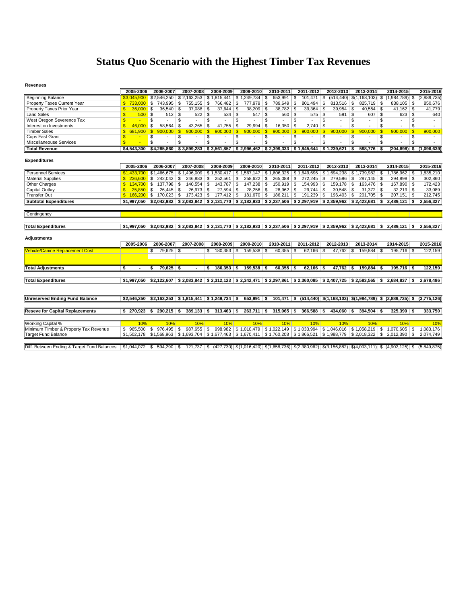## **Status Quo Scenario with the Highest Timber Tax Revenues**

#### **Revenues**

|                                             | 2005-2006                                | 2006-2007                    | 2007-2008                                                          | 2008-2009                    | 2009-2010               | 2010-2011               | 2011-2012                                                                                               | 2012-2013                                           | 2013-2014                                                                                                                         | 2014-2015                                                                                           | 2015-2016   |
|---------------------------------------------|------------------------------------------|------------------------------|--------------------------------------------------------------------|------------------------------|-------------------------|-------------------------|---------------------------------------------------------------------------------------------------------|-----------------------------------------------------|-----------------------------------------------------------------------------------------------------------------------------------|-----------------------------------------------------------------------------------------------------|-------------|
| <b>Beginning Balance</b>                    | \$3.045.900                              | \$2,546,250                  | \$2.163.253                                                        | \$1.815.441                  | \$1,249,734             | 653,991   \$<br>\$      | 101.471                                                                                                 | \$                                                  | $(514, 440)$ $\mid$ \$(1,168,103) $\mid$ \$                                                                                       | $(1,984,789)$ \$                                                                                    | (2,889,735) |
| Property Taxes Current Year                 | $$733.000$ \$                            | 743,995 \$                   | $755,155$ \\$                                                      | 766,482 \$                   | 777,979 \$              | 789,649 \$              | 801,494                                                                                                 | \$<br>$813,516$ \$                                  | $825,719$ \\$                                                                                                                     | 838,105 \$                                                                                          | 850,676     |
| Property Taxes Prior Year                   | $36,000$ \$                              | $36,540$ \$                  | $37,088$ \$                                                        | $37,644$ \$                  | 38,209                  | \$<br>38,782 \$         | $39,364$ \$                                                                                             | $39,954$ \$                                         | $40,554$ \$                                                                                                                       |                                                                                                     | 41,779      |
| <b>Land Sales</b>                           | $500$ \ \$<br><b>S</b>                   | $512$ \$                     | $522$ \$                                                           |                              | 547                     | \$<br>$560$ \$          | $575$ \$                                                                                                | $591$ \$                                            |                                                                                                                                   | $623$ $\sqrt{5}$                                                                                    | 640         |
| West Oregon Severence Tax                   | \$.                                      | \$                           | \$                                                                 | \$                           | \$<br>$\mathbf{r}$      | \$                      | S<br>$\overline{a}$                                                                                     | \$<br>$\overline{a}$                                | \$<br>$\sim$                                                                                                                      | \$<br>S<br>$\sim$                                                                                   | $\sim$      |
| Interest on Investments                     | 46,000<br>£.                             | 58,564<br>- \$               | $43,265$ \$<br>\$                                                  | $41,755$ \$                  | 29,994                  | \$<br>$16,350$ \$       | $2.740$ \$                                                                                              |                                                     | \$<br>$\overline{a}$                                                                                                              | \$<br>\$<br>$\sim$                                                                                  |             |
| <b>Timber Sales</b>                         | $\mathbf{s}$<br>681.900                  | $\mathbf{s}$<br>$900.000$ \$ | 900.000                                                            | $900.000$ \$<br>$\mathbf{S}$ | 900.000                 | $\mathbf{s}$<br>900.000 | $\sqrt{s}$<br>900.000                                                                                   | 900.000<br>$\mathbf{s}$                             | $\mathbf{s}$<br>900.000<br>-\$                                                                                                    | 900.000<br>-\$                                                                                      | 900,000     |
| Cops Fast Grant                             |                                          | \$                           | \$                                                                 | \$<br>$\sim$                 | \$                      | \$                      | \$                                                                                                      | \$<br>$\sim$                                        | \$<br>$\overline{\phantom{a}}$                                                                                                    | \$<br>\$                                                                                            |             |
| Miscellaneouse Services                     | $\mathbf{s}$<br>$\overline{\phantom{a}}$ | \$                           | $\overline{\mathbb{S}}$                                            | \$                           | $\overline{\mathbf{s}}$ | <b>S</b><br>$\sim$      | s                                                                                                       | $\overline{\mathbf{s}}$<br>$\overline{\phantom{a}}$ | $\overline{\mathbb{S}}$<br>٠                                                                                                      | <sub>\$</sub><br>S.<br>$\overline{\phantom{a}}$                                                     | $\sim$      |
| <b>Total Revenue</b>                        | \$4,543,300                              |                              |                                                                    |                              |                         |                         | $$4,285,860$ $$3,899,283$ $$3,561,857$ $$2,996,462$ $$2,399,333$ $$1,845,644$                           |                                                     | 598.776                                                                                                                           | $(204.898)$ \$                                                                                      | (1.096.639) |
|                                             |                                          |                              |                                                                    |                              |                         |                         |                                                                                                         |                                                     |                                                                                                                                   |                                                                                                     |             |
| <b>Expenditures</b>                         |                                          |                              |                                                                    |                              |                         |                         |                                                                                                         |                                                     |                                                                                                                                   |                                                                                                     |             |
|                                             | 2005-2006                                | 2006-2007                    | 2007-2008                                                          | 2008-2009                    | 2009-2010               | 2010-2011               | 2011-2012                                                                                               | 2012-2013                                           | 2013-2014                                                                                                                         | 2014-2015                                                                                           | 2015-2016   |
| <b>Personnel Services</b>                   | \$1,433,700                              | \$1,466,675                  | \$1,496,009                                                        | \$1,530,417                  | \$1,567,147             | \$1,606,325             | $\frac{1}{2}$ \$1,649,696                                                                               | \$1.694.238                                         | \$1,739,982                                                                                                                       | $1,786,962$ \$<br>- \$                                                                              | 1,835,210   |
| <b>Material Supplies</b>                    | \$.<br>236,600                           | $\blacksquare$<br>242.042    | Ŝ.                                                                 | 252,561 \$                   | 258.622                 | <b>S</b><br>265,088 \$  | 272,245                                                                                                 | \$<br>279,596 \$                                    | $287.145$ \$                                                                                                                      |                                                                                                     | 302,860     |
| <b>Other Charges</b>                        | $134,700$ \$                             | 137,798 \$                   | $140,554$ \ \$                                                     | 143,787 \$                   | 147,238 \$              | 150,919 \$              | 154,993 \$                                                                                              | $159,178$ \$                                        | $163,476$ \ \$                                                                                                                    | 167,890 \$                                                                                          | 172,423     |
| Capital Outlay                              | $25.850$ \$                              | $26,445$ \$                  | $26,973$ \$                                                        | $27,594$ \$                  | $28,256$ \$             | $28,962$ \$             | 29,744                                                                                                  | \$<br>$30,548$ \$                                   | $31,372$ \$                                                                                                                       | $32,219$ \$                                                                                         | 33,089      |
| <b>Transfer Out</b>                         | $$166.200$ \$                            | $170,023$ \$                 |                                                                    | $177,412$ \$                 | 181,670 \$              | $186,211$ \ \$          | $191,239$ \$                                                                                            | $196,403$ \$                                        | $201,705$ \$                                                                                                                      | $207,151$ \$                                                                                        | 212,745     |
| <b>Subtotal Expenditures</b>                | \$1.997.050                              |                              |                                                                    |                              |                         |                         | $$2,042,982$ $$2,083,842$ $$2,131,770$ $$2,182,933$ $$2,237,506$ $$2,297,919$ $$2,359,962$ $$2,423,681$ |                                                     |                                                                                                                                   | 2.489.121<br>-S<br>- \$                                                                             | 2.556.327   |
|                                             |                                          |                              |                                                                    |                              |                         |                         |                                                                                                         |                                                     |                                                                                                                                   |                                                                                                     |             |
| Contingency                                 |                                          |                              |                                                                    |                              |                         |                         |                                                                                                         |                                                     |                                                                                                                                   |                                                                                                     |             |
|                                             |                                          |                              |                                                                    |                              |                         |                         |                                                                                                         |                                                     |                                                                                                                                   |                                                                                                     |             |
| <b>Total Expenditures</b>                   |                                          |                              |                                                                    |                              |                         |                         |                                                                                                         |                                                     | $$1,997,050$ $$2,042,982$ $$2,083,842$ $$2,131,770$ $$2,182,933$ $$2,237,506$ $$2,297,919$ $$2,359,962$ $$2,423,681$ $$2,489,121$ | l \$                                                                                                | 2,556,327   |
|                                             |                                          |                              |                                                                    |                              |                         |                         |                                                                                                         |                                                     |                                                                                                                                   |                                                                                                     |             |
| <b>Adjustments</b>                          |                                          |                              |                                                                    |                              |                         |                         |                                                                                                         |                                                     |                                                                                                                                   |                                                                                                     |             |
|                                             |                                          |                              |                                                                    |                              |                         |                         |                                                                                                         |                                                     |                                                                                                                                   |                                                                                                     |             |
|                                             | 2005-2006                                | 2006-2007                    | 2007-2008                                                          | 2008-2009                    | 2009-2010               | 2010-2011               | 2011-2012                                                                                               | 2012-2013                                           | 2013-2014                                                                                                                         | 2014-2015                                                                                           | 2015-2016   |
| <b>Vehicle/Canine Replacement Cost</b>      |                                          | 79,625<br>\$                 | - \$                                                               | 180,353                      | $159,538$ \ \$<br>∣\$   | $60,355$ \$             | 62,166                                                                                                  | $47,762$ \$<br>- \$                                 | 159,884<br>- \$                                                                                                                   | $195,716$ \\$                                                                                       | 122,159     |
|                                             |                                          |                              |                                                                    |                              |                         |                         |                                                                                                         |                                                     |                                                                                                                                   |                                                                                                     |             |
|                                             |                                          |                              |                                                                    |                              |                         |                         |                                                                                                         |                                                     |                                                                                                                                   |                                                                                                     |             |
| <b>Total Adjustments</b>                    | - \$                                     | $79,625$ \$<br>S.            |                                                                    | $180,353$ \$<br>- \$         | $159,538$ \$            | $60,355$ \$             | $62,166$ \$                                                                                             | $47,762$ \$                                         | $159,884$ \$                                                                                                                      | $195,716$ \$                                                                                        | 122,159     |
|                                             |                                          |                              |                                                                    |                              |                         |                         |                                                                                                         |                                                     |                                                                                                                                   |                                                                                                     |             |
| <b>Total Expenditures</b>                   | \$1.997.050                              |                              |                                                                    |                              |                         |                         | $$2,122,607$ $$2,083,842$ $$2,312,123$ $$2,342,471$ $$2,297,861$ $$2,360,085$ $$2,407,725$ $$2,583,565$ |                                                     |                                                                                                                                   | $2,684,837$ \$<br>-S                                                                                | 2,678,486   |
|                                             |                                          |                              |                                                                    |                              |                         |                         |                                                                                                         |                                                     |                                                                                                                                   |                                                                                                     |             |
|                                             |                                          |                              |                                                                    |                              |                         |                         |                                                                                                         |                                                     |                                                                                                                                   |                                                                                                     |             |
| <b>Unreserved Ending Fund Balance</b>       | \$2.546.250                              |                              | $\mid$ \$2,163,253 $\mid$ \$1,815,441 $\mid$ \$1,249,734 $\mid$ \$ |                              | $653,991$ \$            |                         |                                                                                                         |                                                     |                                                                                                                                   | $101,471$ \$ $(514,440)$ \$ $(1,168,103)$ \$ $(1,984,789)$ \$ $(2,889,735)$ \$ $(3,775,126)$        |             |
|                                             |                                          |                              |                                                                    |                              |                         |                         |                                                                                                         |                                                     |                                                                                                                                   |                                                                                                     |             |
| <b>Reseve for Capital Replacements</b>      | 270.923                                  | $290.215$ \$<br>-S           | $389,133$ \$                                                       | $313,463$ \$                 | $263,711$ \$            | $315,065$ \$            | 366,588                                                                                                 | 434.060 \$<br>-S                                    | 394,504                                                                                                                           | $325.390$ \$                                                                                        | 333,750     |
|                                             |                                          |                              |                                                                    |                              |                         |                         |                                                                                                         |                                                     |                                                                                                                                   |                                                                                                     |             |
| <b>Working Capital %</b>                    | 10%                                      | 10%                          | 10%                                                                | 10%                          | 10%                     | 10%                     | 10%                                                                                                     | 10%                                                 | 10%                                                                                                                               | 10%                                                                                                 | 10%         |
| Minimum Timber & Property Tax Revenue       | \$965,500                                | ∣\$.<br>976.495              | 987,655 \$<br>\$                                                   |                              | 998,982 \$1,010,479     |                         | \$1,022,149 \$1,033,994                                                                                 |                                                     | \$1,046,016 \$1,058,219                                                                                                           | \$<br>$1,070,605$ \$                                                                                | 1,083,176   |
| <b>Target Fund Balance</b>                  |                                          |                              |                                                                    |                              |                         |                         |                                                                                                         |                                                     | \$1,562,178 \$1,568,963 \$1,693,704 \$1,677,463 \$1,670,411 \$1,760,208 \$1,866,521 \$1,988,779 \$2,018,322 \$                    | $2,012,390$ \$                                                                                      | 2,074,749   |
|                                             |                                          |                              |                                                                    |                              |                         |                         |                                                                                                         |                                                     |                                                                                                                                   |                                                                                                     |             |
| Diff. Between Ending & Target Fund Balances | \$1,044,072                              | 594,290<br>\$                | $121,737$ \$<br>\$                                                 |                              |                         |                         |                                                                                                         |                                                     |                                                                                                                                   | $(427,730)$ \$(1,016,420) \$(1,658,736) \$(2,380,962) \$(3,156,882) \$(4,003,111) \$ (4,902,125) \$ | (5,849,875) |
|                                             |                                          |                              |                                                                    |                              |                         |                         |                                                                                                         |                                                     |                                                                                                                                   |                                                                                                     |             |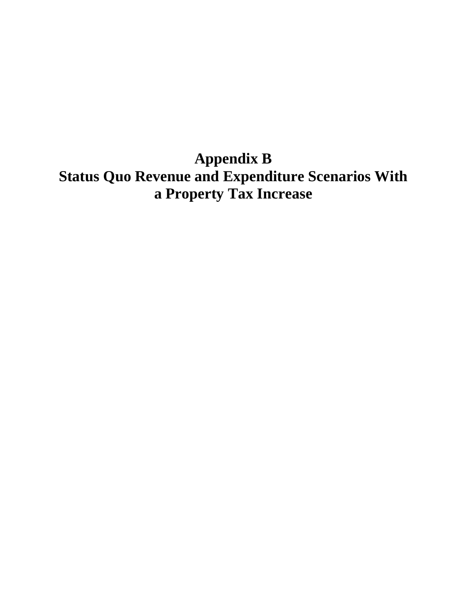**Appendix B Status Quo Revenue and Expenditure Scenarios With a Property Tax Increase**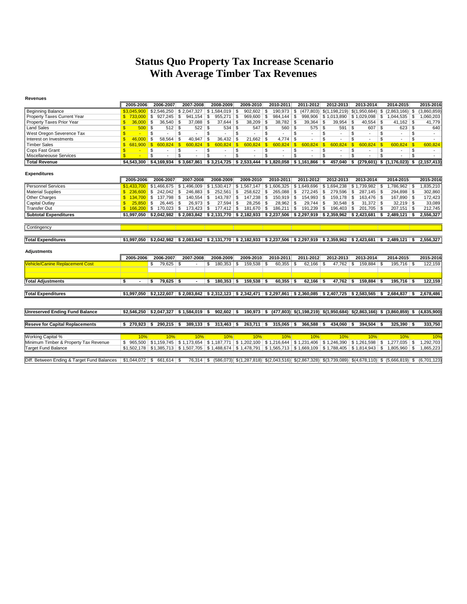## **Status Quo Property Tax Increase Scenario With Average Timber Tax Revenues**

| Revenues                               |                             |                           |                                            |                                                                  |                           |                                |                                     |                         |                                                                                                                                            |                                                                                    |                |
|----------------------------------------|-----------------------------|---------------------------|--------------------------------------------|------------------------------------------------------------------|---------------------------|--------------------------------|-------------------------------------|-------------------------|--------------------------------------------------------------------------------------------------------------------------------------------|------------------------------------------------------------------------------------|----------------|
|                                        | 2005-2006                   | 2006-2007                 | 2007-2008                                  | 2008-2009                                                        | 2009-2010                 | 2010-2011                      | 2011-2012                           | 2012-2013               | 2013-2014                                                                                                                                  | 2014-2015                                                                          | 2015-2016      |
| <b>Beginning Balance</b>               | \$3.045.900                 | \$2,546,250               | \$2.047.327                                | \$1,584,019                                                      | 902,602<br>\$             | $190,973$ \$<br>\$             |                                     |                         | $(477,803)$ $$(1,198,219)$ $$(1,950,684)$ \$                                                                                               | $(2,863,166)$ \$                                                                   | (3,860,859)    |
| Property Taxes Current Year            | \$.<br>733.000              | \$<br>927.245             | \$<br>941.154                              | l \$<br>955,271                                                  | \$<br>969,600             | \$<br>$984.144$ \ \$           | 998,906                             | \$1,013,890             | $$1,029,098$ \ \$                                                                                                                          | $1,044,535$ \$                                                                     | 1,060,203      |
| Property Taxes Prior Year              | 36,000<br>\$.               | \$<br>36,540              | \$<br>37,088                               | 5<br>$37,644$ \$                                                 | 38,209                    | $38,782$ \$<br>\$              | 39,364                              | 39,954<br>- \$          | $40,554$ \$<br>\$                                                                                                                          | $41,162$ \$                                                                        | 41,779         |
| <b>Land Sales</b>                      | $\mathbf{s}$<br>500         | \$<br>$512$ \$            | $522$ \$                                   | $534$ \$                                                         | 547                       | \$<br>$560$ \$                 | $575$ \$                            | 591                     | \$<br>$607$ \$                                                                                                                             | $623$ \$                                                                           | 640            |
| West Oregon Severence Tax              | $\mathbf{s}$<br>$\sim$      | \$                        | \$<br>٠                                    | \$                                                               | \$                        | \$<br>$\blacksquare$           | \$<br>$\sim$                        | \$<br>$\sim$            | \$<br>$\sim$                                                                                                                               | \$<br>\$<br>$\sim$                                                                 | $\overline{a}$ |
| Interest on Investments                | $\mathbf{s}$<br>46.000      | 58.564<br>\$              | $40.947$ \$<br>\$                          | 36.432                                                           | <b>S</b><br>21.662        | $4.774$ \$<br>\$               |                                     | \$                      | \$                                                                                                                                         | \$<br>\$                                                                           |                |
| <b>Timber Sales</b>                    | $\mathbf{s}$<br>681.900     | $\mathbf{s}$<br>600.824   | -\$<br>600.824                             | l \$<br>600.824                                                  | $\mathbf{s}$<br>600.824   | l S<br>$600.824$ \$            | 600.824                             | $\mathbf{s}$<br>600.824 | 600.824<br>$\mathbf{s}$<br>l \$                                                                                                            | 600.824<br>$\mathbf{s}$                                                            | 600,824        |
| Cops Fast Grant                        | $\mathbf{s}$<br>$\sim$      | \$<br>$\sim$              | \$<br>$\sim$                               | \$<br>$\sim$                                                     | \$<br>$\sim$              | \$<br>$\overline{\phantom{a}}$ | \$<br>$\overline{\phantom{a}}$      | Ŝ.<br>$\sim$            | \$<br>$\sim$                                                                                                                               | \$<br>\$<br>$\sim$                                                                 | $\sim$         |
| Miscellaneouse Services                | $\mathbf{s}$                | \$                        | \$                                         | \$                                                               | \$                        | \$                             | \$<br>$\overline{\phantom{a}}$      | \$                      | \$                                                                                                                                         | \$<br>\$                                                                           |                |
| <b>Total Revenue</b>                   | \$4,543,300                 | \$4.169.934               |                                            | $$3.667.861$ $$3.214.725$ $$2.533.444$ $$1.820.058$ $$1.161.866$ |                           |                                |                                     | 457.040<br>- \$         | s.                                                                                                                                         | $(279.601)$ \$ $(1.176.023)$ \$ $(2.157.413)$                                      |                |
|                                        |                             |                           |                                            |                                                                  |                           |                                |                                     |                         |                                                                                                                                            |                                                                                    |                |
| <b>Expenditures</b>                    |                             |                           |                                            |                                                                  |                           |                                |                                     |                         |                                                                                                                                            |                                                                                    |                |
|                                        | 2005-2006                   | 2006-2007                 | 2007-2008                                  | 2008-2009                                                        | 2009-2010                 | 2010-2011                      | 2011-2012                           | 2012-2013               | 2013-2014                                                                                                                                  | 2014-2015                                                                          | 2015-2016      |
| <b>Personnel Services</b>              | \$1,433,700                 | \$1,466,675               | \$1,496,009                                | \$1,530,417                                                      | \$1,567,147               |                                | $$1,606,325 \mid $1,649,696$        | \$1,694,238             | $$1,739,982$ \ \$                                                                                                                          | 1,786,962 \$                                                                       | 1,835,210      |
| <b>Material Supplies</b>               | \$236,600                   |                           | $246,883$ \$                               | $252,561$ \$                                                     | 258.622                   | \$<br>$265.088$ \$             | $272.245$ \$                        | 279.596                 | \$<br>$287.145$ \ \$                                                                                                                       | 294.898 \$                                                                         | 302,860        |
| Other Charges                          | \$134.700                   | $137.798$ \ \$<br>\$      | $140.554$ \$                               | 143.787                                                          | $\mathfrak{s}$<br>147,238 | \$<br>$150,919$ \$             | $154.993$ \$                        | 159.178                 | Ŝ.<br>163.476 \$                                                                                                                           | 167,890 \$                                                                         | 172,423        |
| Capital Outlay                         | $25.850$ \$<br>$\mathbf{s}$ | $26.445$ \$               | $26,973$ \$                                | $27.594$ \$                                                      | $28,256$ \$               | $28.962$ \$                    | $29.744$ \$                         | 30.548                  | \$<br>$31.372$ \$                                                                                                                          | $32.219$ \$                                                                        | 33,089         |
| <b>Transfer Out</b>                    | $$166.200$ \ \$             | $170,023$ \$              | 173,423 \$                                 | 177,412 \$                                                       | 181,670 \$                | $186,211$ \$                   | 191,239 \$                          | 196,403                 | $201,705$ \$<br>\$                                                                                                                         | $207,151$ \$                                                                       | 212,745        |
| <b>Subtotal Expenditures</b>           |                             |                           |                                            |                                                                  |                           |                                |                                     |                         | $$1,997,050$ $$2,042,982$ $$2,083,842$ $$2,131,770$ $$2,182,933$ $$2,237,506$ $$2,297,919$ $$2,359,962$ $$2,423,681$ $$$                   | $2.489.121$ S                                                                      | 2,556,327      |
|                                        |                             |                           |                                            |                                                                  |                           |                                |                                     |                         |                                                                                                                                            |                                                                                    |                |
| Contingency                            |                             |                           |                                            |                                                                  |                           |                                |                                     |                         |                                                                                                                                            |                                                                                    |                |
|                                        |                             |                           |                                            |                                                                  |                           |                                |                                     |                         |                                                                                                                                            |                                                                                    |                |
|                                        |                             |                           |                                            |                                                                  |                           |                                |                                     |                         |                                                                                                                                            |                                                                                    |                |
| <b>Total Expenditures</b>              |                             |                           |                                            |                                                                  |                           |                                |                                     |                         | $$1,997,050$ $$2,042,982$ $$2,083,842$ $$2,131,770$ $$2,182,933$ $$2,237,506$ $$2,297,919$ $$2,359,962$ $$2,423,681$ $$$                   | $2.489.121$ S                                                                      | 2,556,327      |
|                                        |                             |                           |                                            |                                                                  |                           |                                |                                     |                         |                                                                                                                                            |                                                                                    |                |
| <b>Adjustments</b>                     |                             |                           |                                            |                                                                  |                           |                                |                                     |                         |                                                                                                                                            |                                                                                    |                |
|                                        | 2005-2006                   | 2006-2007                 | 2007-2008                                  | 2008-2009                                                        | 2009-2010                 | 2010-2011                      | 2011-2012                           | 2012-2013               | 2013-2014                                                                                                                                  | 2014-2015                                                                          | 2015-2016      |
| <b>Vehicle/Canine Replacement Cost</b> |                             | 79,625<br>\$              | -S<br>$\overline{a}$                       | 180.353<br>\$                                                    | 159.538<br>\$             | 60.355<br>\$                   | 62.166<br>\$                        | 47.762<br>-S            | 159.884 \$<br>S.                                                                                                                           | $195.716$ \$                                                                       | 122,159        |
|                                        |                             |                           |                                            |                                                                  |                           |                                |                                     |                         |                                                                                                                                            |                                                                                    |                |
|                                        |                             |                           |                                            |                                                                  |                           |                                |                                     |                         |                                                                                                                                            |                                                                                    |                |
| <b>Total Adiustments</b>               | S,                          | $79.625$ \$<br>\$         |                                            | $180.353$ \$<br>\$                                               | $159.538$ \$              | $60.355$ \$                    | $62.166$ \$                         | $47.762$ \$             | 159.884 \$                                                                                                                                 | $195.716$ \$                                                                       | 122,159        |
|                                        |                             |                           |                                            |                                                                  |                           |                                |                                     |                         |                                                                                                                                            |                                                                                    |                |
| <b>Total Expenditures</b>              |                             | $$1.997.050$ $$2.122.607$ |                                            |                                                                  |                           |                                |                                     |                         | $$2.083.842$ $$2.312.123$ $$2.342.471$ $$2.297.861$ $$2.360.085$ $$2.407.725$ $$2.583.565$ $$$                                             | 2.684.837                                                                          | 2.678.486      |
|                                        |                             |                           |                                            |                                                                  |                           |                                |                                     |                         |                                                                                                                                            |                                                                                    |                |
|                                        |                             |                           |                                            |                                                                  |                           |                                |                                     |                         |                                                                                                                                            |                                                                                    |                |
| <b>Unreserved Ending Fund Balance</b>  |                             |                           | $$2,546,250$ $$2,047,327$ $$1,584,019$ $$$ | $902,602$ \$                                                     | $190,973$ \$              |                                |                                     |                         |                                                                                                                                            | $(477,803)$ \$ $(1,198,219)$ \$ $(1,950,684)$ \$ $(2,863,166)$ \$ $(3,860,859)$ \$ | (4,835,900)    |
|                                        |                             |                           |                                            |                                                                  |                           |                                |                                     |                         |                                                                                                                                            |                                                                                    |                |
| <b>Reseve for Capital Replacements</b> | \$<br>270.923               | s.<br>$290,215$ \$        | $389,133$ \$                               | $313,463$ \$                                                     | $263,711$ \$              | $315,065$ \$                   | 366,588                             | - \$<br>434,060         | s.<br>$394,504$ \$                                                                                                                         | $325,390$ \$                                                                       | 333,750        |
|                                        |                             |                           |                                            |                                                                  |                           |                                |                                     |                         |                                                                                                                                            |                                                                                    |                |
|                                        |                             |                           |                                            |                                                                  |                           |                                |                                     |                         |                                                                                                                                            |                                                                                    |                |
| <b>Working Capital %</b>               | 10%                         | 10%                       | 10%                                        | 10%                                                              | 10%                       | 10%                            | 10%                                 | 10%                     | 10%                                                                                                                                        | 10%                                                                                | 10%            |
| Minimum Timber & Property Tax Revenue  | \$965.500                   |                           |                                            | $$1,159,745$ $$1,173,654$ $$1,187,771$                           | \$1,202,100               |                                | \$1,216,644 \$1,231,406 \$1,246,390 |                         | $$1,261,598$ \ \$                                                                                                                          | $1,277,035$ \$                                                                     | 1,292,703      |
| <b>Target Fund Balance</b>             |                             |                           |                                            |                                                                  |                           |                                |                                     |                         | $$1,502,178$   $$1,385,713$   $$1,507,705$   $$1,488,674$   $$1,478,791$   $$1,565,713$   $$1,669,109$   $$1,788,405$   $$1,814,943$   $$$ | $1.805.960$ \ \$                                                                   | 1,865,223      |
|                                        |                             |                           |                                            |                                                                  |                           |                                |                                     |                         |                                                                                                                                            |                                                                                    |                |

Diff. Between Ending & Target Fund Balances | \$1,044,072 | \$ 661,614 | \$ 76,314 | \$ (586,073) \$ (1,287,818) \$ (2,043,516) \$ (2,043,516) \$ (2,867,328) \$ (3,739,089) \$ (4,678,110) \$ (5,666,819) \$ (6,701,123)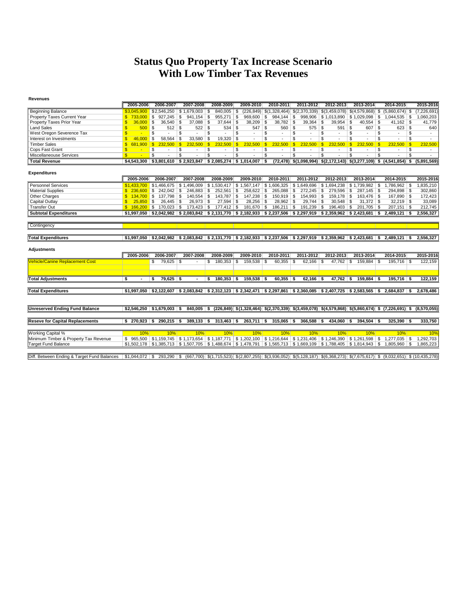## **Status Quo Property Tax Increase Scenario With Low Timber Tax Revenues**

| <b>Revenues</b>                        |              |                          |              |                                           |                          |                                                                                                                       |                         |                           |                         |                |                          |                                                                        |                          |                           |              |                                      |                          |                |                         |                                                                                                                                        |                         |             |
|----------------------------------------|--------------|--------------------------|--------------|-------------------------------------------|--------------------------|-----------------------------------------------------------------------------------------------------------------------|-------------------------|---------------------------|-------------------------|----------------|--------------------------|------------------------------------------------------------------------|--------------------------|---------------------------|--------------|--------------------------------------|--------------------------|----------------|-------------------------|----------------------------------------------------------------------------------------------------------------------------------------|-------------------------|-------------|
|                                        |              | 2005-2006                |              | 2006-2007                                 |                          | 2007-2008                                                                                                             |                         | 2008-2009                 |                         | 2009-2010      |                          | 2010-2011                                                              |                          | 2011-2012                 |              | 2012-2013                            |                          | 2013-2014      |                         | 2014-2015                                                                                                                              |                         | 2015-2016   |
| <b>Beginning Balance</b>               |              | \$3.045.900              |              | \$2,546,250                               |                          | \$1.679.003                                                                                                           | -S                      |                           |                         |                |                          | $(226,849)$ \$(1,328,464) \$(2,370,339) \$(3,459,078) \$(4,579,868) \$ |                          |                           |              |                                      |                          |                |                         | $(5,860,674)$ \$                                                                                                                       |                         | (7,226,691) |
| Property Taxes Current Year            |              | $$733.000$ \ \$          |              | 927,245                                   | \$                       | 941,154                                                                                                               | \$                      | $955,271$ \$              |                         | $969,600$ \$   |                          | 984,144                                                                | \$                       |                           |              | $998,906$ \$1,013,890 \$1,029,098 \$ |                          |                |                         | $1,044,535$ \$                                                                                                                         |                         | 1,060,203   |
| Property Taxes Prior Year              | S.           | 36.000                   | -S           | $36,540$ \$                               |                          | 37.088                                                                                                                | \$                      | $37,644$ \$               |                         | 38,209         | ∣\$                      | 38.782                                                                 | \$                       | $39,364$ \$               |              | 39.954                               | -\$                      |                |                         |                                                                                                                                        |                         | 41,779      |
| <b>Land Sales</b>                      |              | $500$ \ \$               |              | $512$ \$                                  |                          | 522                                                                                                                   | $\overline{\mathbb{S}}$ | $534$ \$                  |                         | 547            | $\mathsf{s}$             | 560                                                                    | $\mathbf{s}$             | $575$ \$                  |              | $591$ \$                             |                          | 607            | -S                      | $623$ \$                                                                                                                               |                         | 640         |
| West Oregon Severence Tax              |              | $\overline{\phantom{a}}$ | \$           |                                           | \$                       |                                                                                                                       | $\overline{\mathbb{S}}$ |                           | s                       | $\mathbf{r}$   | \$                       | $\sim$                                                                 | \$                       | $\overline{\phantom{a}}$  | \$           | $\mathbf{r}$                         | \$                       |                | S                       | ٠                                                                                                                                      | \$                      |             |
| Interest on Investments                |              | 46,000                   | .S           | 58,564                                    | -S                       | 33,580                                                                                                                | Ŝ.                      | $19,320$ \$               |                         | $\sim$         | \$.                      |                                                                        | \$                       |                           | \$           |                                      | \$                       |                | S                       | $\ddot{\phantom{1}}$                                                                                                                   | \$                      |             |
| <b>Timber Sales</b>                    | $\mathbf{s}$ | 681.900                  | $\mathbf{s}$ | 232,500                                   | $\mathbf{s}$             | 232,500                                                                                                               | $\overline{\mathbf{s}}$ | 232.500                   | $\mathbf{s}$            | 232.500        | $\mathbf{s}$             | 232,500                                                                | $\mathbf{s}$             | 232.500                   | $\mathbf{s}$ | 232,500                              | $\mathbf{s}$             | 232.500        | $\mathbf{s}$            | 232.500                                                                                                                                | $\sqrt{s}$              | 232,500     |
| Cops Fast Grant                        | S.           | $\sim$                   | \$           | $\sim$                                    | \$                       | ٠                                                                                                                     | S                       | $\sim$                    | \$                      | $\sim$         | \$                       | $\sim$                                                                 | \$                       | $\overline{\phantom{a}}$  | \$           | $\overline{\phantom{a}}$             | \$                       |                | S                       | $\overline{\phantom{a}}$                                                                                                               | \$                      |             |
| Miscellaneouse Services                |              |                          | \$           |                                           | $\overline{\mathcal{S}}$ |                                                                                                                       | $\overline{\mathbb{S}}$ |                           | $\overline{\mathbb{S}}$ | $\blacksquare$ | $\overline{\mathcal{S}}$ |                                                                        | $\overline{\mathcal{S}}$ |                           | s            |                                      | $\overline{\mathcal{S}}$ |                | $\overline{\mathbb{S}}$ |                                                                                                                                        | $\overline{\mathbb{S}}$ |             |
| <b>Total Revenue</b>                   |              | \$4.543.300              |              |                                           |                          | $$3.801.610$ \$ 2.923.847                                                                                             |                         | $$2.085.274$ $$1.014.007$ |                         |                | - \$                     |                                                                        |                          |                           |              |                                      |                          |                |                         | $(72,478)$ \$(1,098,994) \$(2,172,143) \$(3,277,109) \$ (4,541,854) \$                                                                 |                         | (5.891.569) |
|                                        |              |                          |              |                                           |                          |                                                                                                                       |                         |                           |                         |                |                          |                                                                        |                          |                           |              |                                      |                          |                |                         |                                                                                                                                        |                         |             |
| <b>Expenditures</b>                    |              |                          |              |                                           |                          |                                                                                                                       |                         |                           |                         |                |                          |                                                                        |                          |                           |              |                                      |                          |                |                         |                                                                                                                                        |                         |             |
|                                        |              | 2005-2006                |              | 2006-2007                                 |                          | 2007-2008                                                                                                             |                         | 2008-2009                 |                         | 2009-2010      |                          | 2010-2011                                                              |                          | 2011-2012                 |              | 2012-2013                            |                          | 2013-2014      |                         | 2014-2015                                                                                                                              |                         | 2015-2016   |
| <b>Personnel Services</b>              |              |                          |              | $$1.433.700$ $$1.466.675$                 |                          | $$1,496,009$ $$1,530,417$ $$1,567,147$                                                                                |                         |                           |                         |                |                          | $$1,606,325$ $$1,649,696$ $$1,694,238$                                 |                          |                           |              |                                      |                          |                |                         | $1,786,962$ \$                                                                                                                         |                         | 1,835,210   |
| <b>Material Supplies</b>               |              | \$236,600                | ۱S.          | 242.042                                   | - \$                     | 246.883                                                                                                               | s.                      | $252.561$ \$              |                         | $258.622$ \$   |                          |                                                                        |                          | $272.245$ \$              |              | 279.596                              | - \$                     | $287.145$ \ \$ |                         | 294.898 \$                                                                                                                             |                         | 302.860     |
| Other Charges                          |              |                          |              | 137,798 \$                                |                          | 140,554                                                                                                               | \$                      | 143,787 \$                |                         | $147,238$ \$   |                          | $150,919$ \$                                                           |                          | 154,993 \$                |              | $159,178$ \$                         |                          | 163,476   \$   |                         | 167,890 \$                                                                                                                             |                         | 172,423     |
| Capital Outlay                         |              | 25.850                   | - \$         | 26.445                                    | - \$                     | 26.973                                                                                                                | \$                      | $27.594$ \$               |                         | $28.256$ \$    |                          | 28.962                                                                 | \$                       | $29.744$ \$               |              | 30.548                               | - \$                     | $31.372$ \$    |                         | $32.219$ \$                                                                                                                            |                         | 33.089      |
| <b>Transfer Out</b>                    |              | $$166.200$ \ \$          |              | 170.023                                   | S.                       | $173.423$ \$                                                                                                          |                         |                           |                         | $181.670$ \$   |                          | 186,211                                                                | s.                       | 191,239 \$                |              | 196.403                              | -S                       | $201.705$ \$   |                         | $207,151$ \$                                                                                                                           |                         | 212,745     |
| <b>Subtotal Expenditures</b>           |              | \$1.997.050              |              |                                           |                          | $\vert$ \$2,042,982   \$2,083,842   \$2,131,770   \$2,182,933   \$2,237,506   \$2,297,919   \$2,359,962   \$2,423,681 |                         |                           |                         |                |                          |                                                                        |                          |                           |              |                                      |                          |                | \$                      | $2,489,121$ \$                                                                                                                         |                         | 2,556,327   |
|                                        |              |                          |              |                                           |                          |                                                                                                                       |                         |                           |                         |                |                          |                                                                        |                          |                           |              |                                      |                          |                |                         |                                                                                                                                        |                         |             |
| Contingency                            |              |                          |              |                                           |                          |                                                                                                                       |                         |                           |                         |                |                          |                                                                        |                          |                           |              |                                      |                          |                |                         |                                                                                                                                        |                         |             |
|                                        |              |                          |              |                                           |                          |                                                                                                                       |                         |                           |                         |                |                          |                                                                        |                          |                           |              |                                      |                          |                |                         |                                                                                                                                        |                         |             |
| <b>Total Expenditures</b>              |              | \$1.997.050              |              |                                           |                          | $$2,042,982$ $$2,083,842$ $$2,131,770$ $$2,182,933$ $$2,237,506$ $$2,297,919$ $$2,359,962$ $$2,423,681$ $$$           |                         |                           |                         |                |                          |                                                                        |                          |                           |              |                                      |                          |                |                         | $2.489.121$ \ \$                                                                                                                       |                         | 2.556.327   |
|                                        |              |                          |              |                                           |                          |                                                                                                                       |                         |                           |                         |                |                          |                                                                        |                          |                           |              |                                      |                          |                |                         |                                                                                                                                        |                         |             |
| <b>Adjustments</b>                     |              |                          |              |                                           |                          |                                                                                                                       |                         |                           |                         |                |                          |                                                                        |                          |                           |              |                                      |                          |                |                         |                                                                                                                                        |                         |             |
|                                        |              | 2005-2006                |              | 2006-2007                                 |                          | 2007-2008                                                                                                             |                         | 2008-2009                 |                         | 2009-2010      |                          | 2010-2011                                                              |                          | 2011-2012                 |              | 2012-2013                            |                          | 2013-2014      |                         | 2014-2015                                                                                                                              |                         | 2015-2016   |
| <b>Vehicle/Canine Replacement Cost</b> |              |                          | S            | 79,625                                    | - \$                     |                                                                                                                       | \$                      | $180,353$ \$              |                         | 159,538        | - \$                     | $60,355$ \$                                                            |                          | $62,166$ \$               |              | 47,762                               | \$                       | $159,884$ \ \$ |                         | $195,716$ \$                                                                                                                           |                         | 122,159     |
|                                        |              |                          |              |                                           |                          |                                                                                                                       |                         |                           |                         |                |                          |                                                                        |                          |                           |              |                                      |                          |                |                         |                                                                                                                                        |                         |             |
|                                        |              |                          |              |                                           |                          |                                                                                                                       |                         |                           |                         |                |                          |                                                                        |                          |                           |              |                                      |                          |                |                         |                                                                                                                                        |                         |             |
| <b>Total Adjustments</b>               | \$           |                          | -S           | $79,625$ \$                               |                          |                                                                                                                       | \$                      | $180,353$ \$              |                         | 159,538        | - \$                     | $60,355$ \$                                                            |                          | $62,166$ \$               |              | $47,762$ \$                          |                          | $159,884$ \$   |                         | $195,716$ \$                                                                                                                           |                         | 122,159     |
|                                        |              |                          |              |                                           |                          |                                                                                                                       |                         |                           |                         |                |                          |                                                                        |                          |                           |              |                                      |                          |                |                         |                                                                                                                                        |                         |             |
| <b>Total Expenditures</b>              |              |                          |              |                                           |                          |                                                                                                                       |                         |                           |                         |                |                          |                                                                        |                          |                           |              |                                      |                          |                |                         | $$1,997,050$ $$2,122,607$ $$2,083,842$ $$2,312,123$ $$2,342,471$ $$2,297,861$ $$2,360,085$ $$2,407,725$ $$2,583,565$ $$2,684,837$ $$3$ |                         | 2,678,486   |
|                                        |              |                          |              |                                           |                          |                                                                                                                       |                         |                           |                         |                |                          |                                                                        |                          |                           |              |                                      |                          |                |                         |                                                                                                                                        |                         |             |
|                                        |              |                          |              |                                           |                          |                                                                                                                       |                         |                           |                         |                |                          |                                                                        |                          |                           |              |                                      |                          |                |                         |                                                                                                                                        |                         |             |
| <b>Unreserved Ending Fund Balance</b>  |              |                          |              | $$2.546.250 \;   \; $1.679.003 \;   \; $$ |                          | $840.005$ \$                                                                                                          |                         |                           |                         |                |                          |                                                                        |                          |                           |              |                                      |                          |                |                         | $(226,849)$ \$(1,328,464) \$(2,370,339) \$(3,459,078) \$(4,579,868) \$(5,860,674) \$ (7,226,691) \$                                    |                         | (8,570,055) |
|                                        |              |                          |              |                                           |                          |                                                                                                                       |                         |                           |                         |                |                          |                                                                        |                          |                           |              |                                      |                          |                |                         |                                                                                                                                        |                         |             |
| <b>Reseve for Capital Replacements</b> |              | \$270,923                | - \$         | 290,215                                   | -\$                      | $389,133$ \$                                                                                                          |                         | $313,463$ \$              |                         | $263,711$ \$   |                          | $315,065$ \$                                                           |                          | $366,588$ \$              |              | 434,060                              | -\$                      | $394,504$ \$   |                         | $325,390$ \$                                                                                                                           |                         | 333,750     |
|                                        |              |                          |              |                                           |                          |                                                                                                                       |                         |                           |                         |                |                          |                                                                        |                          |                           |              |                                      |                          |                |                         |                                                                                                                                        |                         |             |
| <b>Working Capital %</b>               |              | 10%                      |              | 10%                                       |                          | 10%                                                                                                                   |                         | 10%                       |                         | 10%            |                          | 10%                                                                    |                          | 10%                       |              | 10%                                  |                          | 10%            |                         | 10%                                                                                                                                    |                         | 10%         |
| Minimum Timber & Property Tax Revenue  |              |                          |              |                                           |                          | $$965,500$ $$1,159,745$ $$1,173,654$ $$1,187,771$ $$1,202,100$ $$1,216,644$                                           |                         |                           |                         |                |                          |                                                                        |                          | \$1,231,406   \$1,246,390 |              |                                      |                          |                |                         | $1,277,035$ \$                                                                                                                         |                         | 1,292,703   |
| <b>Target Fund Balance</b>             |              |                          |              |                                           |                          | \$1,502,178 \$1,385,713 \$1,507,705 \$1,488,674 \$1,478,791 \$1,565,713 \$1,669,109 \$1,788,405 \$1,814,943 \$        |                         |                           |                         |                |                          |                                                                        |                          |                           |              |                                      |                          |                |                         | $1.805.960$ \ \$                                                                                                                       |                         | 1,865,223   |
|                                        |              |                          |              |                                           |                          |                                                                                                                       |                         |                           |                         |                |                          |                                                                        |                          |                           |              |                                      |                          |                |                         |                                                                                                                                        |                         |             |

Diff. Between Ending & Target Fund Balances | \$1,044,072 | \$ 293,290 | \$ (667,700) \$ (1,715,523) \$ (2,807,255) \$ (3,936,052) \$ (5,128,187) \$ (6,368,273) \$ (7,675,617) \$ (9,032,651) \$ (10,435,278)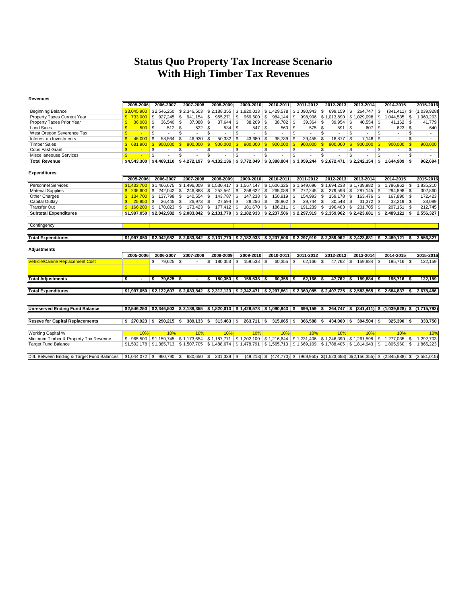## **Status Quo Property Tax Increase Scenario With High Timber Tax Revenues**

| <b>Revenues</b>                        |                         |                               |                                |                                                                                                         |                         |                                |                                        |                       |                                                                                                                           |                                |                          |
|----------------------------------------|-------------------------|-------------------------------|--------------------------------|---------------------------------------------------------------------------------------------------------|-------------------------|--------------------------------|----------------------------------------|-----------------------|---------------------------------------------------------------------------------------------------------------------------|--------------------------------|--------------------------|
|                                        | 2005-2006               | 2006-2007                     | 2007-2008                      | 2008-2009                                                                                               | 2009-2010               | 2010-2011                      | 2011-2012                              | 2012-2013             | 2013-2014                                                                                                                 | 2014-2015                      | 2015-2016                |
| <b>Beginning Balance</b>               | \$3.045.900             | \$2,546,250                   |                                | $$2,346,503$ $$2,188,355$ $$1,820,013$ $$1,429,578$ $$1,090,943$                                        |                         |                                |                                        | \$<br>699,159         | 264,747 \$<br>- \$                                                                                                        | $(341, 411)$ \$                | (1,039,928)              |
| Property Taxes Current Year            | $$733.000$ \ \$         | 927,245                       | l \$<br>941,154                | \$<br>955,271                                                                                           | \$<br>$969,600$ \$      | $984,144$ \$                   |                                        |                       | 998,906   \$1,013,890   \$1,029,098   \$                                                                                  |                                | 1,060,203                |
| Property Taxes Prior Year              | 36,000<br>S.            | $36,540$ \$<br>Ŝ.             | 37.088                         | \$<br>37.644                                                                                            | \$<br>$38,209$ \$       | $38,782$ \$                    | 39.364                                 | 39.954<br>\$          | \$                                                                                                                        | $41,162$ \$                    | 41,779                   |
| <b>Land Sales</b>                      | $500$ \ \$              | $512$ \$                      | $522$ \$                       | 534                                                                                                     | \$<br>547               | $560$ \$<br>l S                | $575$ \$                               | $591$ \$              | $607$ \$                                                                                                                  | $623$ \$                       | 640                      |
| West Oregon Severence Tax              | \$.<br>$\sim$           | \$<br>$\ddot{\phantom{1}}$    | \$<br>$\overline{\phantom{a}}$ | $\overline{\mathbb{S}}$                                                                                 | \$<br>$\sim$            | \$<br>$\overline{\phantom{a}}$ | \$                                     | \$<br>$\sim$          | \$<br>S                                                                                                                   | S<br>$\overline{\phantom{a}}$  |                          |
| Interest on Investments                | S<br>46.000             | 58.564                        | 46,930<br>\$                   | <b>S</b><br>50.332                                                                                      | \$<br>43.680            | $35.739$ \ \$<br>l S           | 29.455                                 | $18.877$ \$<br>\$     | 7,148<br><b>S</b>                                                                                                         | S<br>$\ddot{\phantom{1}}$      |                          |
| <b>Timber Sales</b>                    | $\mathbf{s}$<br>681.900 | $\mathbf{s}$<br>900,000       | $\mathsf{S}$<br>900,000        | $\mathbf{s}$<br>900.000                                                                                 | $\mathbf{s}$<br>900,000 | $\sqrt{s}$<br>900.000          | $\mathbf{s}$<br>900.000                | $\sqrt{s}$<br>900.000 | $\sqrt{s}$<br>900.000<br>$\mathbf{s}$                                                                                     | 900.000<br>$\blacksquare$      | 900.000                  |
| Cops Fast Grant                        | $\mathbf{s}$<br>۰.      | \$<br>$\sim$                  | \$<br>$\sim$                   | \$<br>$\sim$                                                                                            | \$<br>$\sim$            | \$<br>$\sim$                   | \$<br>$\sim$                           | \$<br>$\sim$          | \$<br>\$<br>$\overline{\phantom{a}}$                                                                                      | \$<br>$\overline{\phantom{a}}$ | $\overline{\phantom{a}}$ |
| Miscellaneouse Services                | $\mathbf{s}$<br>٠       | \$                            | \$                             | -S                                                                                                      | S                       | \$<br>$\overline{\phantom{a}}$ | $\mathfrak{s}$                         | \$.                   | \$<br>s.                                                                                                                  | $\mathbf{s}$                   | $\sim$                   |
| <b>Total Revenue</b>                   | \$4.543.300             | \$4,469,110                   |                                | $$4,272,197$ $$4,132,136$                                                                               |                         |                                | $$3,772,049$ $$3,388,804$ $$3,059,244$ | \$2,672,471           |                                                                                                                           | $1,644,909$ \$                 | 962,694                  |
|                                        |                         |                               |                                |                                                                                                         |                         |                                |                                        |                       |                                                                                                                           |                                |                          |
| <b>Expenditures</b>                    |                         |                               |                                |                                                                                                         |                         |                                |                                        |                       |                                                                                                                           |                                |                          |
|                                        | 2005-2006               | 2006-2007                     | 2007-2008                      | 2008-2009                                                                                               | 2009-2010               | 2010-2011                      | 2011-2012                              | 2012-2013             | 2013-2014                                                                                                                 | 2014-2015                      | 2015-2016                |
| <b>Personnel Services</b>              |                         | $$1,433,700$ $$1,466,675$     | \$1,496,009                    | $$1,530,417$ $$1,567,147$                                                                               |                         | $\frac{1}{2}$ 1,606,325        | \$1,649,696                            | \$1,694,238           |                                                                                                                           | 1,786,962 \$                   | 1,835,210                |
| <b>Material Supplies</b>               |                         | $$236.600$ $$242.042$ $$$     | $246,883$ \$                   | 252,561 \$                                                                                              | 258,622 \$              | $265,088$ \$                   | $272,245$ \$                           | 279,596 \$            |                                                                                                                           | $294.898$ \$                   | 302.860                  |
| Other Charges                          | $$134.700$ \ \$         | $137.798$ \ \$                | $140,554$ \$                   | 143.787                                                                                                 | \$                      | $150,919$ \$                   | 154,993                                | \$<br>159,178         | l \$                                                                                                                      | 167,890 \$                     | 172,423                  |
| Capital Outlay                         | 25,850<br>S.            | $26.445$ \$<br>$\blacksquare$ | $26,973$ \$                    | 27.594                                                                                                  | <b>S</b><br>$28.256$ \$ | $28.962$ \$                    | 29.744                                 | \$<br>30.548          | $31.372$ \$<br>l \$                                                                                                       | $32,219$ \$                    | 33,089                   |
| <b>Transfer Out</b>                    | $$166,200$ \$           | $170,023$ \$                  | $173,423$ \$                   | $177,412$ \$                                                                                            | 181,670 \$              | $186,211$ \$                   | 191,239 \$                             | 196,403               | 201,705 \$<br>l \$                                                                                                        | $207,151$ \$                   | 212,745                  |
| <b>Subtotal Expenditures</b>           |                         |                               |                                | $$1,997,050$ $$2,042,982$ $$2,083,842$ $$2,131,770$ $$2,182,933$ $$2,237,506$ $$2,297,919$ $$2,359,962$ |                         |                                |                                        |                       | $$2,423,681$ \ \$                                                                                                         | $2.489.121$ \$                 | 2,556,327                |
|                                        |                         |                               |                                |                                                                                                         |                         |                                |                                        |                       |                                                                                                                           |                                |                          |
| Contingency                            |                         |                               |                                |                                                                                                         |                         |                                |                                        |                       |                                                                                                                           |                                |                          |
|                                        |                         |                               |                                |                                                                                                         |                         |                                |                                        |                       |                                                                                                                           |                                |                          |
| <b>Total Expenditures</b>              |                         |                               |                                |                                                                                                         |                         |                                |                                        |                       | $$1.997.050$ $$2.042.982$ $$2.083.842$ $$2.131.770$ $$2.182.933$ $$2.237.506$ $$2.297.919$ $$2.359.962$ $$2.423.681$ $$3$ | $2.489.121$ \$                 | 2.556.327                |
|                                        |                         |                               |                                |                                                                                                         |                         |                                |                                        |                       |                                                                                                                           |                                |                          |
| <b>Adjustments</b>                     |                         |                               |                                |                                                                                                         |                         |                                |                                        |                       |                                                                                                                           |                                |                          |
|                                        | 2005-2006               | 2006-2007                     | 2007-2008                      | 2008-2009                                                                                               | 2009-2010               | 2010-2011                      | 2011-2012                              | 2012-2013             | 2013-2014                                                                                                                 | 2014-2015                      | 2015-2016                |
| <b>Vehicle/Canine Replacement Cost</b> |                         | $79,625$ \$                   |                                |                                                                                                         |                         | 60,355                         |                                        |                       | 159,884 \$                                                                                                                |                                |                          |
|                                        |                         | S                             |                                | \$<br>$180,353$ \$                                                                                      | 159,538                 | l \$                           | ∣\$<br>62,166                          | \$<br>47.762          | \$                                                                                                                        | $195.716$ \ \$                 | 122,159                  |
|                                        |                         |                               |                                |                                                                                                         |                         |                                |                                        |                       |                                                                                                                           |                                |                          |
| <b>Total Adjustments</b>               | \$                      | $79.625$ \$<br>\$.            |                                | $180.353$ \$<br>\$                                                                                      | $159.538$ \$            | $60.355$ \$                    | $62.166$ \$                            | $47.762$ \$           | $159.884$ \ \$                                                                                                            | $195.716$ S                    | 122,159                  |
|                                        |                         |                               |                                |                                                                                                         |                         |                                |                                        |                       |                                                                                                                           |                                |                          |
|                                        |                         |                               |                                |                                                                                                         |                         |                                |                                        |                       |                                                                                                                           |                                |                          |
| <b>Total Expenditures</b>              |                         |                               |                                |                                                                                                         |                         |                                |                                        |                       | $$1,997,050$ $$2,122,607$ $$2,083,842$ $$2,312,123$ $$2,342,471$ $$2,297,861$ $$2,360,085$ $$2,407,725$ $$2,583,565$ $$$  | $2.684.837$ \$                 | 2.678.486                |
|                                        |                         |                               |                                |                                                                                                         |                         |                                |                                        |                       |                                                                                                                           |                                |                          |
|                                        |                         |                               |                                |                                                                                                         |                         |                                |                                        |                       |                                                                                                                           |                                |                          |
| <b>Unreserved Ending Fund Balance</b>  |                         |                               |                                | $$2,546,250$ $$2,346,503$ $$2,188,355$ $$1,820,013$ $$1,429,578$ $$1,090,943$ $$$                       |                         |                                | $699,159$ \$                           |                       | 264,747 \$ (341,411) \$ (1,039,928) \$ (1,715,792)                                                                        |                                |                          |
|                                        |                         |                               |                                |                                                                                                         |                         |                                |                                        |                       |                                                                                                                           |                                |                          |
| <b>Reseve for Capital Replacements</b> | $$270,923$ \$           | $290,215$ \$                  | $389,133$ \$                   | $313,463$ \$                                                                                            | $263,711$ \$            | $315,065$ \$                   | $366,588$ \$                           | 434,060               | $394,504$ \$<br>- 56                                                                                                      | $325,390$ \$                   | 333,750                  |
|                                        |                         |                               |                                |                                                                                                         |                         |                                |                                        |                       |                                                                                                                           |                                |                          |
| <b>Working Capital %</b>               | 10%                     | 10%                           | 10%                            | 10%                                                                                                     | 10%                     | 10%                            | 10%                                    | 10%                   | 10%                                                                                                                       | 10%                            | 10%                      |
| Minimum Timber & Property Tax Revenue  |                         |                               |                                |                                                                                                         |                         |                                |                                        |                       | \$ 965,500 \$1,159,745 \$1,173,654 \$1,187,771 \$1,202,100 \$1,216,644 \$1,231,406 \$1,246,390 \$1,261,598 \$             | $1,277,035$ \$                 | 1,292,703                |
| <b>Target Fund Balance</b>             |                         |                               |                                | $$1,502,178$ $$1,385,713$ $$1,507,705$ $$1,488,674$ $$1,478,791$ $$1,565,713$ $$1,669,109$ $$1,788,405$ |                         |                                |                                        |                       | $\frac{1}{2}$ \$1.814.943 \ \$                                                                                            | 1,805,960 \$                   | 1.865.223                |
|                                        |                         |                               |                                |                                                                                                         |                         |                                |                                        |                       |                                                                                                                           |                                |                          |

Diff. Between Ending & Target Fund Balances | \$1,044,072 | \$ 960,790 | \$ 680,650 | \$ 331,339 | \$ 49,213) \$  $(474,770)$  \$  $(969,950)$  \$ $(1,523,658)$   $$2,166,355)$  \$  $(2,845,888)$  \$  $(3,581,015)$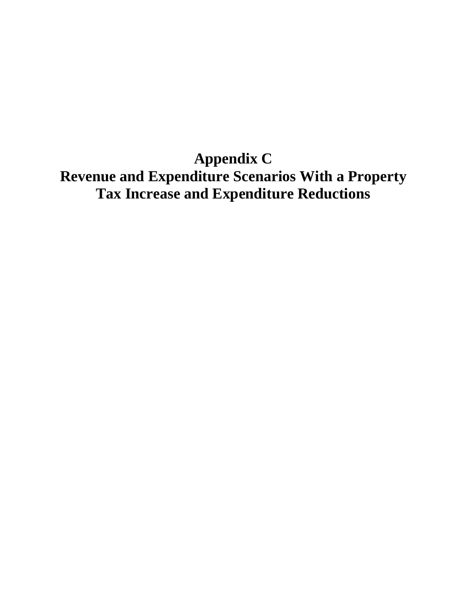**Appendix C Revenue and Expenditure Scenarios With a Property Tax Increase and Expenditure Reductions**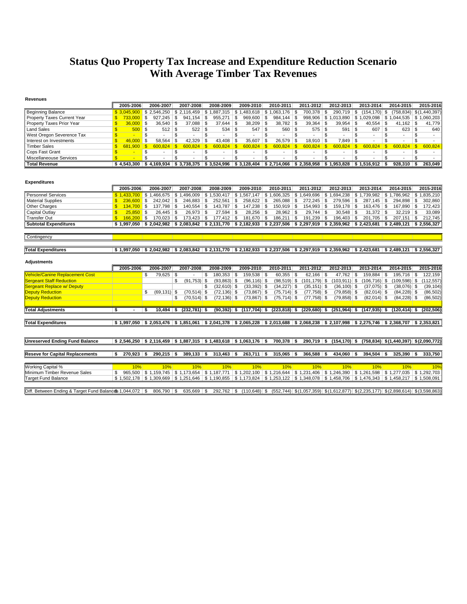## **Status Quo Property Tax Increase and Expenditure Reduction Scenario With Average Timber Tax Revenues**

| <b>Revenues</b>                                            |                    |              |              |                                                                       |              |                             |                     |              |                                        |              |                                                                                                                                                                    |    |                                 |     |                 |                |                                                                 |            |                                 |              |             |
|------------------------------------------------------------|--------------------|--------------|--------------|-----------------------------------------------------------------------|--------------|-----------------------------|---------------------|--------------|----------------------------------------|--------------|--------------------------------------------------------------------------------------------------------------------------------------------------------------------|----|---------------------------------|-----|-----------------|----------------|-----------------------------------------------------------------|------------|---------------------------------|--------------|-------------|
|                                                            |                    | 2005-2006    |              | 2006-2007                                                             |              | 2007-2008                   | 2008-2009           |              | 2009-2010                              |              | 2010-2011                                                                                                                                                          |    | 2011-2012                       |     | 2012-2013       |                | 2013-2014                                                       |            | 2014-2015                       |              | 2015-2016   |
| <b>Beginning Balance</b>                                   |                    | \$3.045.900  |              | \$2,546,250                                                           |              |                             |                     |              |                                        |              | $$2,116,459$ $$1,887,315$ $$1,483,618$ $$1,063,176$ $$$                                                                                                            |    | 700,378 \$                      |     | $290,719$ \$    |                | $(154, 170)$ \$                                                 |            | $(758, 834)$ \$ $(1, 440, 397)$ |              |             |
| Property Taxes Current Year                                | \$                 | 733,000      | \$           | 927,245                                                               | \$           | $941,154$ \$                | 955,271             | \$           | $969,600$ \$                           |              | $984,144$ \$                                                                                                                                                       |    |                                 |     |                 |                | 998,906   \$1,013,890   \$1,029,098   \$1,044,535   \$1,060,203 |            |                                 |              |             |
| Property Taxes Prior Year                                  |                    | 36,000       | \$           | 36,540                                                                | -\$          | $37,088$ \$                 | 37,644              | \$           | 38,209                                 | l \$         | $38,782$ \$                                                                                                                                                        |    | 39,364                          | \$  | 39,954          | \$             | 40,554                                                          | $\vert$ \$ | $41,162$ \$                     |              | 41,779      |
| <b>Land Sales</b>                                          | \$                 | $500$ \$     |              | 512                                                                   | -\$          | $522$ \ \$                  | 534                 | \$           | 547                                    | \$           | $560$ \ \$                                                                                                                                                         |    | $575$ \$                        |     | 591             | -\$            | $607$ \$                                                        |            | $623$ \$                        |              | 640         |
| West Oregon Severence Tax                                  | \$                 |              | \$           | $\mathcal{L}_{\mathcal{A}}$                                           | \$           | $\blacksquare$              | \$<br>$\sim$        | \$           | $\mathbf{r}$                           | \$           | ÷.                                                                                                                                                                 | \$ |                                 | \$  | $\mathbf{r}$    | \$             | $\sim$                                                          | \$         | $\overline{a}$                  | \$           | $\sim$      |
| Interest on Investments                                    | $\mathbf{\hat{s}}$ | 46.000       | \$           | 58.564                                                                | \$           | $42,329$ \$                 | 43,408              | \$           | 35,607                                 | \$           | $26,579$ \$                                                                                                                                                        |    | $18,910$ \\$                    |     | 7,849           | \$             | $\overline{a}$                                                  | \$         |                                 | \$           |             |
| <b>Timber Sales</b>                                        | $\mathbf{s}$       | 681.900      | $\mathbf{s}$ | 600.824                                                               | $\mathbf{s}$ | $600.824$ \$                | 600.824             | $\mathbf{s}$ | 600.824                                | $\mathbf{s}$ |                                                                                                                                                                    |    | $600.824$ \$                    |     | 600.824         | $\mathbf{s}$   | $600.824$ \$                                                    |            | 600.824                         | $\mathbf{s}$ | 600.824     |
| Cops Fast Grant                                            | $\mathbf{s}$       | <b>A</b>     | \$           | $\overline{\phantom{a}}$                                              | \$           | $\overline{\phantom{0}}$    | \$<br>$\sim$        | \$           | $\sim$                                 | \$           | $\overline{\phantom{a}}$                                                                                                                                           | S  | $\sim$                          | \$  | $\sim$          | \$             | $\sim$                                                          | \$         | $\sim$                          | \$           | $\sim$      |
| Miscellaneouse Services                                    | $\mathbf{s}$       | $\sim$       | \$           | $\overline{a}$                                                        | \$           | $\overline{a}$              | \$<br>$\sim$        | \$           | $\overline{a}$                         | \$           | ÷,                                                                                                                                                                 | \$ |                                 | \$  | $\overline{a}$  | $\mathfrak{s}$ | $\overline{a}$                                                  | \$         |                                 | \$           | $\sim$      |
| <b>Total Revenue</b>                                       |                    | \$4,543,300  |              | \$4,169,934                                                           |              | $$3,738,375$ $$3,524,996$   |                     |              |                                        |              | $$3,128,404$ $$2,714,066$ $$2,358,958$ $$1,953,828$                                                                                                                |    |                                 |     |                 |                | \$1,516,912                                                     | ∣\$        | 928,310                         | \$           | 263,049     |
|                                                            |                    |              |              |                                                                       |              |                             |                     |              |                                        |              |                                                                                                                                                                    |    |                                 |     |                 |                |                                                                 |            |                                 |              |             |
|                                                            |                    |              |              |                                                                       |              |                             |                     |              |                                        |              |                                                                                                                                                                    |    |                                 |     |                 |                |                                                                 |            |                                 |              |             |
| <b>Expenditures</b>                                        |                    |              |              |                                                                       |              |                             |                     |              |                                        |              |                                                                                                                                                                    |    |                                 |     |                 |                |                                                                 |            |                                 |              |             |
|                                                            |                    |              |              |                                                                       |              |                             |                     |              |                                        |              |                                                                                                                                                                    |    |                                 |     |                 |                |                                                                 |            |                                 |              |             |
|                                                            |                    | 2005-2006    |              | 2006-2007                                                             |              | 2007-2008                   | 2008-2009           |              | 2009-2010                              |              | 2010-2011                                                                                                                                                          |    | 2011-2012                       |     | 2012-2013       |                | 2013-2014                                                       |            | 2014-2015                       |              | 2015-2016   |
| <b>Personnel Services</b>                                  |                    |              |              | $$1,433.700$ $$1,466.675$                                             |              |                             |                     |              | $$1,496,009$ $$1,530,417$ $$1,567,147$ |              | $$1,606,325$ $$1,649,696$ $$1,694,238$                                                                                                                             |    |                                 |     |                 |                | $$1.739.982$ $$1.786.962$ $$1.835.210$                          |            |                                 |              |             |
| <b>Material Supplies</b>                                   | $\mathbf{s}$       | 236,600      | \$           | $242.042$ \$                                                          |              | 246,883 \$                  | $252,561$ \$        |              | 258,622 \$                             |              | $265,088$ \$                                                                                                                                                       |    | $272,245$ \$                    |     | $279,596$ \$    |                | $287.145$ \$                                                    |            | $294.898$ \$                    |              | 302,860     |
| Other Charges                                              | $\mathbf{s}$       | $134.700$ \$ |              | 137,798                                                               | \$           | $140,554$ \$                | $143,787$ \$        |              | 147,238 \$                             |              | $150,919$ \$                                                                                                                                                       |    | $154,993$ \$                    |     | $159,178$ \$    |                | $163,476$ \$                                                    |            | 167,890 \$                      |              | 172,423     |
| Capital Outlay                                             | £.                 | $25.850$ \$  |              | $26,445$ \$                                                           |              | $26,973$ \$                 | $27,594$ \$         |              | $28,256$ \$                            |              | $28,962$ \$                                                                                                                                                        |    | $29,744$ \\$                    |     | $30,548$ \$     |                | $31,372$ \$                                                     |            | $32.219$ \$                     |              | 33,089      |
| <b>Transfer Out</b>                                        | $\mathbf{s}$       | $166.200$ \$ |              | 170,023                                                               | \$           | $173,423$ \$                | $177,412$ \$        |              | 181,670                                | \$           | $186,211$ \$                                                                                                                                                       |    | $191,239$ \$                    |     | 196,403         | $\sqrt{3}$     | $201,705$ \$                                                    |            | $207,151$ \$                    |              | 212,745     |
| <b>Subtotal Expenditures</b>                               |                    |              |              |                                                                       |              |                             |                     |              |                                        |              | $$1,997,050$ $$2,042,982$ $$2,083,842$ $$2,131,770$ $$2,182,933$ $$2,237,506$ $$2,297,919$ $$2,359,962$ $$2,423,681$ $$2,489,121$ $$2,556,327$                     |    |                                 |     |                 |                |                                                                 |            |                                 |              |             |
|                                                            |                    |              |              |                                                                       |              |                             |                     |              |                                        |              |                                                                                                                                                                    |    |                                 |     |                 |                |                                                                 |            |                                 |              |             |
| Contingency                                                |                    |              |              |                                                                       |              |                             |                     |              |                                        |              |                                                                                                                                                                    |    |                                 |     |                 |                |                                                                 |            |                                 |              |             |
|                                                            |                    |              |              |                                                                       |              |                             |                     |              |                                        |              |                                                                                                                                                                    |    |                                 |     |                 |                |                                                                 |            |                                 |              |             |
| <b>Total Expenditures</b>                                  |                    | \$1,997,050  |              | \$2,042,982                                                           |              |                             |                     |              |                                        |              | $$2,083,842$ $$2,131,770$ $$2,182,933$ $$2,237,506$ $$2,297,919$ $$2,359,962$ $$2,423,681$ $$2,489,121$                                                            |    |                                 |     |                 |                |                                                                 |            |                                 |              | \$2,556,327 |
|                                                            |                    |              |              |                                                                       |              |                             |                     |              |                                        |              |                                                                                                                                                                    |    |                                 |     |                 |                |                                                                 |            |                                 |              |             |
| <b>Adjustments</b>                                         |                    |              |              |                                                                       |              |                             |                     |              |                                        |              |                                                                                                                                                                    |    |                                 |     |                 |                |                                                                 |            |                                 |              |             |
|                                                            |                    | 2005-2006    |              | 2006-2007                                                             |              | 2007-2008                   | 2008-2009           |              | 2009-2010                              |              | 2010-2011                                                                                                                                                          |    | 2011-2012                       |     | 2012-2013       |                | 2013-2014                                                       |            | 2014-2015                       |              | 2015-2016   |
| <b>Vehicle/Canine Replacement Cost</b>                     |                    |              |              |                                                                       |              |                             |                     |              |                                        |              | $60.355$ \$                                                                                                                                                        |    |                                 |     | 47.762          |                |                                                                 |            |                                 |              |             |
| <b>Sergeant Staff Reduction</b>                            |                    |              |              |                                                                       |              |                             |                     |              |                                        |              |                                                                                                                                                                    |    |                                 |     |                 |                |                                                                 |            |                                 |              |             |
|                                                            |                    |              | \$           | 79.625                                                                | \$           |                             | \$<br>$180.353$ \$  |              | 159.538                                | \$           |                                                                                                                                                                    |    | $62.166$ \ \$                   |     |                 | -S             | $159.884$ \$                                                    |            | $195.716$ \ \$                  |              | 122,159     |
|                                                            |                    |              |              |                                                                       | \$           | $(91,753)$ \$               | $(93,863)$ \$       |              | $(96, 116)$ \$                         |              | $(98, 519)$ \$                                                                                                                                                     |    | $(101, 179)$ \$ $(103, 911)$ \$ |     |                 |                | $(106, 716)$ \$                                                 |            | $(109,598)$ \$ $(112,557)$      |              |             |
| <b>Sergeant Replace w/ Deputy</b>                          |                    |              |              |                                                                       |              |                             | \$<br>$(32,610)$ \$ |              | $(33,392)$ \$                          |              | $(34,227)$ \$                                                                                                                                                      |    | $(35, 151)$ \$                  |     | $(36, 100)$ \$  |                | $(37,075)$ \$                                                   |            | $(38,076)$ \$                   |              | (39, 104)   |
| <b>Deputy Reduction</b>                                    |                    |              | \$           | $(69.131)$ \$                                                         |              | $(70, 514)$ \$              | $(72, 136)$ \$      |              | $(73,867)$ \$                          |              | $(75, 714)$ \$                                                                                                                                                     |    | $(77, 758)$ \$                  |     | $(79, 858)$ \$  |                | $(82,014)$ \$                                                   |            | $(84,228)$ \$                   |              | (86, 502)   |
| <b>Deputy Reduction</b>                                    |                    |              |              |                                                                       | \$           | $(70, 514)$ \$              | $(72, 136)$ \$      |              | $(73, 867)$ \$                         |              | $(75, 714)$ \$                                                                                                                                                     |    | $(77, 758)$ \$                  |     | $(79, 858)$ \$  |                | $(82,014)$ \$                                                   |            | $(84,228)$ \$                   |              | (86, 502)   |
|                                                            |                    |              |              |                                                                       |              |                             |                     |              |                                        |              |                                                                                                                                                                    |    |                                 |     |                 |                |                                                                 |            |                                 |              |             |
| <b>Total Adjustments</b>                                   | \$                 |              | \$           | 10,494                                                                | -\$          | $(232,781)$ \$              | $(90, 392)$ \$      |              | $(117,704)$ \$                         |              | $(223, 818)$ \$                                                                                                                                                    |    | $(229,680)$ \$                  |     | $(251, 964)$ \$ |                | $(147, 935)$ \$                                                 |            | $(120, 414)$ \$                 |              | (202, 506)  |
|                                                            |                    |              |              |                                                                       |              |                             |                     |              |                                        |              |                                                                                                                                                                    |    |                                 |     |                 |                |                                                                 |            |                                 |              |             |
| <b>Total Expenditures</b>                                  |                    |              |              |                                                                       |              |                             |                     |              |                                        |              | \$ 1,997,050   \$ 2,053,476   \$ 1,851,061   \$ 2,041,378   \$ 2,065,228   \$ 2,013,688   \$ 2,068,238   \$ 2,107,998   \$ 2,275,746   \$ 2,368,707   \$ 2,353,821 |    |                                 |     |                 |                |                                                                 |            |                                 |              |             |
|                                                            |                    |              |              |                                                                       |              |                             |                     |              |                                        |              |                                                                                                                                                                    |    |                                 |     |                 |                |                                                                 |            |                                 |              |             |
|                                                            |                    |              |              |                                                                       |              |                             |                     |              |                                        |              |                                                                                                                                                                    |    |                                 |     |                 |                |                                                                 |            |                                 |              |             |
| <b>Unreserved Ending Fund Balance</b>                      |                    |              |              | $$2,546,250$ $$2,116,459$ $$1,887,315$ $$1,483,618$ $$1,063,176$ $$5$ |              |                             |                     |              |                                        |              | $700,378$ \$                                                                                                                                                       |    | $290,719$ \$                    |     | $(154, 170)$ \$ |                | $(758, 834)$ \$(1,440,397) \$(2,090,772)                        |            |                                 |              |             |
|                                                            |                    |              |              |                                                                       |              |                             |                     |              |                                        |              |                                                                                                                                                                    |    |                                 |     |                 |                |                                                                 |            |                                 |              |             |
| <b>Reseve for Capital Replacements</b>                     | \$                 | 270,923      | \$           | $290,215$ \$                                                          |              | $389,133$ \$                | $313,463$ \$        |              | $263,711$ \$                           |              | $315,065$ \$                                                                                                                                                       |    | 366,588                         | -\$ | 434,060         | - \$           | $394,504$ \$                                                    |            | 325,390                         | - \$         | 333,750     |
|                                                            |                    |              |              |                                                                       |              |                             |                     |              |                                        |              |                                                                                                                                                                    |    |                                 |     |                 |                |                                                                 |            |                                 |              |             |
|                                                            |                    |              |              |                                                                       |              |                             |                     |              |                                        |              |                                                                                                                                                                    |    |                                 |     |                 |                |                                                                 |            |                                 |              |             |
| Working Capital %                                          |                    | 10%          |              | 10%                                                                   |              | 10%                         | 10%                 |              | 10%                                    |              | 10%                                                                                                                                                                |    | 10%                             |     | 10%             |                | 10%                                                             |            | 10%                             |              | 10%         |
| Minimum Timber Revenue Sales                               | \$                 | 965,500      |              | \$1,159,745                                                           |              | $$1,173,654$ \ $$1,187,771$ |                     |              | \$1,202,100                            |              | $$1,216,644$ $$1,231,406$                                                                                                                                          |    |                                 |     | \$1,246,390     |                | \$1,261,598                                                     |            | $$1,277,035$ $$1,292,703$       |              |             |
| <b>Target Fund Balance</b>                                 |                    |              |              |                                                                       |              |                             |                     |              |                                        |              | \$1,502,178 \$1,309,669 \$1,251,646 \$1,190,855 \$1,173,824 \$1,253,122 \$1,348,078 \$1,458,706 \$1,476,343 \$1,458,217 \$1,508,091                                |    |                                 |     |                 |                |                                                                 |            |                                 |              |             |
| Diff. Between Ending & Target Fund Balances 1,044,072   \$ |                    |              |              | $806,790$ \$                                                          |              | 635,669 \$                  |                     |              | $292,762$ \$ $(110,648)$ \$            |              | $(552, 744)$ \$(1,057,359) \$(1,612,877) \$(2,235,177) \$(2,898,614) \$(3,598,863)                                                                                 |    |                                 |     |                 |                |                                                                 |            |                                 |              |             |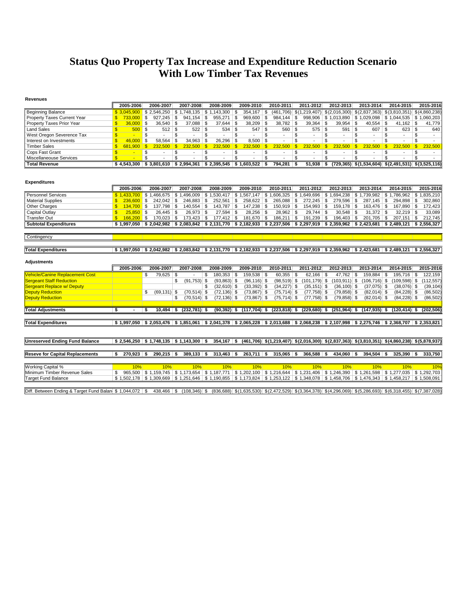## **Status Quo Property Tax Increase and Expenditure Reduction Scenario With Low Timber Tax Revenues**

| <b>Revenues</b>                        |                                                              |              |                          |                                         |                                        |                                |                                       |                                |                                |                                                                                                                                     |                                           |                         |
|----------------------------------------|--------------------------------------------------------------|--------------|--------------------------|-----------------------------------------|----------------------------------------|--------------------------------|---------------------------------------|--------------------------------|--------------------------------|-------------------------------------------------------------------------------------------------------------------------------------|-------------------------------------------|-------------------------|
|                                        | 2005-2006                                                    | 2006-2007    |                          | 2007-2008                               | 2008-2009                              | 2009-2010                      | 2010-2011                             | 2011-2012                      | 2012-2013                      | 2013-2014                                                                                                                           | 2014-2015                                 | 2015-2016               |
| <b>Beginning Balance</b>               | \$3.045.900                                                  | \$2,546,250  |                          | \$1,748,135                             | \$1,143,300                            | 354,167<br>\$                  | \$                                    | $(461,706)$ \$(1,219,407)      | \$(2,016,300)                  |                                                                                                                                     | $$(2,837,363)$ $$(3,810,351)$             | \$(4,860,238)           |
| Property Taxes Current Year            | $\mathbf{s}$<br>733,000                                      | \$           | 927.245                  | \$<br>941.154                           | l \$<br>955.271                        | \$<br>969,600                  | \$<br>$984.144$ \ \$                  | 998.906                        | \$1.013.890                    | \$1.029.098                                                                                                                         | $\frac{1}{2}$ \$ 1.044.535 \ \$ 1.060.203 |                         |
| Property Taxes Prior Year              | $\mathbf{s}$<br>36,000                                       | \$           | 36,540                   | \$<br>$37,088$ \$                       | 37,644                                 | \$<br>38,209                   | $38,782$ \$<br>\$                     | 39,364                         | \$<br>39,954                   | -S<br>40,554                                                                                                                        | <b>S</b><br>41,162                        | \$<br>41,779            |
| <b>Land Sales</b>                      | $\mathbf{s}$<br>500                                          | $\mathbf{s}$ | 512                      | \$                                      | 534                                    | \$.<br>547                     | $560$ \ \$<br>\$                      | 575                            | \$<br>591                      | \$<br>607                                                                                                                           | l \$<br>623                               | $\mathfrak{s}$<br>640   |
| West Oregon Severence Tax              | $\mathbf{s}$<br>$\sim$                                       | \$           | $\sim$                   | \$<br>$\overline{a}$                    | \$<br>$\overline{\phantom{0}}$         | \$<br>$\overline{\phantom{a}}$ | \$<br>$\overline{\phantom{a}}$        | \$<br>$\overline{\phantom{a}}$ | \$<br>$\blacksquare$           | \$<br>$\overline{a}$                                                                                                                | \$<br>$\overline{a}$                      | \$<br>$\blacksquare$    |
| Interest on Investments                | $\mathbf{s}$<br>46.000                                       | \$           | 58,564                   | \$<br>$34,963$ \$                       | 26,296                                 | \$<br>8.500                    | \$<br>$\overline{a}$                  | \$                             | \$<br>$\overline{\phantom{a}}$ | \$<br>$\overline{a}$                                                                                                                | \$                                        | \$<br>$\overline{a}$    |
| <b>Timber Sales</b>                    | $\mathbf{\$}$<br>681.900                                     | \$           | 232.500                  | $\mathbf{s}$<br>232.500                 | $\mathbf{s}$<br>232.500                | $\mathbf{s}$<br>232.500        | $\mathbf{s}$<br>232.500               | $\mathbf{\$}$<br>232.500       | $\sqrt{3}$<br>232,500          | $\mathbf{s}$<br>232.500                                                                                                             | $\mathbf{s}$<br>232.500                   | $\mathbf{s}$<br>232,500 |
| Cops Fast Grant                        | $\mathbf{\$}$<br>- 1                                         | \$           | $\overline{\phantom{a}}$ | \$<br>$\overline{\phantom{a}}$          | \$<br>$\overline{\phantom{a}}$         | \$<br>$\overline{\phantom{a}}$ | \$<br>$\overline{\phantom{a}}$        | \$<br>$\overline{\phantom{a}}$ | \$<br>$\overline{\phantom{a}}$ | \$<br>$\overline{\phantom{a}}$                                                                                                      | \$<br>$\overline{\phantom{a}}$            | \$<br>$\sim$            |
| Miscellaneouse Services                | $\mathbf{s}$                                                 | \$           |                          | \$<br>$\overline{a}$                    | \$                                     | \$                             | \$<br>$\overline{\phantom{a}}$        | \$<br>$\overline{\phantom{a}}$ | \$<br>$\overline{\phantom{a}}$ | \$                                                                                                                                  | $\mathfrak{L}$                            | \$                      |
| <b>Total Revenue</b>                   | \$4.543.300                                                  |              |                          |                                         | $$3,801,610$ $$2,994,361$ $$2,395,545$ | $$1,603,522$ \\$               | $794,281$ \$                          | 51,938                         |                                | $\frac{1}{2}$ (729,365) $\frac{1}{2}(1,534,604)$ $\frac{1}{2}(2,491,531)$ $\frac{1}{2}(3,525,116)$                                  |                                           |                         |
| <b>Expenditures</b>                    | 2005-2006                                                    | 2006-2007    |                          | 2007-2008                               | 2008-2009                              | 2009-2010                      | 2010-2011                             | 2011-2012                      | 2012-2013                      | 2013-2014                                                                                                                           | 2014-2015                                 | 2015-2016               |
| <b>Personnel Services</b>              | \$1.433,700                                                  | \$1,466,675  |                          | \$1,496,009                             | \$1,530,417                            | \$1,567,147                    | \$1,606,325                           | \$1,649,696                    | \$1,694,238                    | \$1,739,982                                                                                                                         | \$1,786,962                               | \$1,835,210             |
| <b>Material Supplies</b>               | 236.600<br>$\mathbf{s}$                                      | \$           | 242.042                  | $246,883$ \$<br>\$                      | 252.561                                | \$<br>258.622                  | 265,088 \$<br>\$                      | 272,245                        | \$<br>279,596                  | \$<br>$287,145$ \$                                                                                                                  | 294.898                                   | 302,860<br>\$           |
| <b>Other Charges</b>                   | $134,700$ \$<br>$\mathbf{s}$                                 |              | 137,798                  | \$<br>$140,554$ \\$                     | $143,787$ \$                           | 147,238                        | \$<br>$150,919$ \$                    | $154,993$ \$                   | $159,178$ \$                   | $163,476$ \$                                                                                                                        | $167,890$ \$                              | 172,423                 |
| Capital Outlay<br><b>Transfer Out</b>  | 25,850<br>$\mathbf{s}$<br>$\mathbf{s}$<br>166,200            | \$<br>S.     | 26.445<br>170,023        | \$<br>$26.973$ \$<br>-S<br>$173,423$ \$ | 27.594<br>$177,412$ \$                 | \$<br>28,256                   | \$<br>28,962 \$<br>\$<br>$186,211$ \$ | 29.744<br>$191,239$ \$         | \$<br>30.548<br>196,403        | \$<br>$31,372$ \$<br>\$<br>201,705                                                                                                  | $32.219$ \$<br>∣\$<br>207,151             | 33,089<br>\$<br>212,745 |
|                                        |                                                              |              |                          |                                         |                                        | 181,670                        |                                       |                                |                                |                                                                                                                                     |                                           |                         |
| <b>Subtotal Expenditures</b>           |                                                              |              |                          |                                         |                                        |                                |                                       |                                |                                | $$1,997,050$ $$2,042,982$ $$2,083,842$ $$2,131,770$ $$2,182,933$ $$2,237,506$ $$2,297,919$ $$2,359,962$ $$2,423,681$ $$2,489,121$   |                                           | \$2,556,327             |
| Contingency                            |                                                              |              |                          |                                         |                                        |                                |                                       |                                |                                |                                                                                                                                     |                                           |                         |
|                                        |                                                              |              |                          |                                         |                                        |                                |                                       |                                |                                |                                                                                                                                     |                                           |                         |
| <b>Total Expenditures</b>              | \$1.997.050                                                  |              |                          |                                         |                                        |                                |                                       |                                |                                | $$2,042,982$ $$2,083,842$ $$2,131,770$ $$2,182,933$ $$2,237,506$ $$2,297,919$ $$2,359,962$ $$2,423,681$                             | \$2.489.121                               | \$2.556.327             |
| <b>Adjustments</b>                     | 2005-2006                                                    | 2006-2007    |                          | 2007-2008                               | 2008-2009                              | 2009-2010                      | 2010-2011                             | 2011-2012                      | 2012-2013                      | 2013-2014                                                                                                                           | 2014-2015                                 | 2015-2016               |
| Vehicle/Canine Replacement Cost        |                                                              | \$           | 79.625                   | \$                                      | 180.353<br>\$                          | \$<br>159.538                  | - \$<br>60.355                        | l \$<br>$62.166$ \ \$          | 47.762                         | \$<br>159.884                                                                                                                       | \$<br>195.716                             | 122.159<br>\$           |
| <b>Sergeant Staff Reduction</b>        |                                                              |              |                          | $(91,753)$ \$<br>\$                     | $(93,863)$ \$                          | $(96, 116)$ \$                 | $(98, 519)$ \$                        | $(101, 179)$ \$                | $(103, 911)$ \$                | $(106, 716)$ \$                                                                                                                     | $(109, 598)$ \$                           | (112, 557)              |
| <b>Sergeant Replace w/ Deputy</b>      |                                                              |              |                          |                                         | $(32,610)$ \$<br>\$                    | $(33,392)$ \$                  | $(34,227)$ \$                         | $(35, 151)$ \$                 | $(36, 100)$ \$                 | $(37,075)$ \$                                                                                                                       | $(38,076)$ \$                             | (39, 104)               |
| <b>Deputy Reduction</b>                |                                                              | \$           | $(69, 131)$ \$           | $(70, 514)$ \$                          | $(72, 136)$ \$                         | $(73, 867)$ \$                 | $(75, 714)$ \$                        | $(77, 758)$ \$                 | $(79, 858)$ \$                 | $(82,014)$ \$                                                                                                                       | $(84,228)$ \$                             | (86, 502)               |
| <b>Deputy Reduction</b>                |                                                              |              |                          | \$<br>$(70, 514)$ \$                    | $(72, 136)$ \$                         | $(73,867)$ \$                  | $(75, 714)$ \$                        | $(77,758)$ \$                  | $(79, 858)$ \$                 | $(82,014)$ \$                                                                                                                       | $(84,228)$ \$                             | (86.502)                |
| <b>Total Adjustments</b>               | Ŝ.                                                           | \$           | $10.494$ \$              | $(232, 781)$ \$                         | $(90, 392)$ \$                         | $(117,704)$ \$                 | $(223, 818)$ \$                       | $(229, 680)$ \$                | $(251,964)$ \$                 | $(147, 935)$ \$                                                                                                                     | $(120.414)$ \$                            | (202.506)               |
|                                        |                                                              |              |                          |                                         |                                        |                                |                                       |                                |                                |                                                                                                                                     |                                           |                         |
| <b>Total Expenditures</b>              |                                                              |              |                          |                                         |                                        |                                |                                       |                                |                                | \$1,997,050 \$2,053,476 \$1,851,061 \$2,041,378 \$2,065,228 \$2,013,688 \$2,068,238 \$2,107,998 \$2,275,746 \$2,368,707 \$2,353,821 |                                           |                         |
|                                        |                                                              |              |                          |                                         |                                        |                                |                                       |                                |                                |                                                                                                                                     |                                           |                         |
| <b>Unreserved Ending Fund Balance</b>  | $$2,546,250 \;   \; $1,748,135 \;   \; $1,143,300 \;   \; $$ |              |                          |                                         | $354,167$ \$                           |                                |                                       |                                |                                | $(461,706)$ \$(1,219,407) \$(2,016,300) \$(2,837,363) \$(3,810,351) \$(4,860,238) \$(5,878,937)                                     |                                           |                         |
|                                        |                                                              |              |                          |                                         |                                        |                                |                                       |                                |                                |                                                                                                                                     |                                           |                         |
| <b>Reseve for Capital Replacements</b> | 270,923                                                      | \$           | 290,215                  | $389,133$ \$<br>- \$                    | $313,463$ \$                           | $263,711$ \$                   | $315,065$ \$                          | 366,588                        | 434,060<br>-S                  | 394,504<br>- \$                                                                                                                     | 325,390<br>- \$                           | 333.750                 |
|                                        |                                                              |              |                          |                                         |                                        |                                |                                       |                                |                                |                                                                                                                                     |                                           |                         |
| Working Capital %                      | 10%                                                          |              | 10%                      | 10%                                     | 10%                                    | 10%                            | 10%                                   | 10%                            | 10%                            | 10%                                                                                                                                 | 10%                                       | 10%                     |
| Minimum Timber Revenue Sales           | 965.500<br>\$                                                |              |                          |                                         | $$1,159,745$ $$1,173,654$ $$1,187,771$ |                                |                                       |                                |                                | $$1,202,100$ $$1,216,644$ $$1,231,406$ $$1,246,390$ $$1,261,598$ $$1,277,035$ $$1,292,703$                                          |                                           |                         |
| Target Fund Balance                    | \$1,502,178                                                  | \$1,309,669  |                          |                                         |                                        |                                |                                       |                                |                                | $$1,251,646$ $$1,190,855$ $$1,173,824$ $$1,253,122$ $$1,348,078$ $$1,458,706$ $$1,476,343$ $$1,458,217$                             |                                           | \$1,508,091             |

Diff. Between Ending & Target Fund Balan \$ 1,044,072 | \$ 438,466 | \$ (108,346) \$ (836,688) \$ (1,635,530) \$ (2,472,529) \$ (3,364,378) \$ (4,296,069) \$ (5,286,693) \$ (6,318,455) \$ (7,387,028)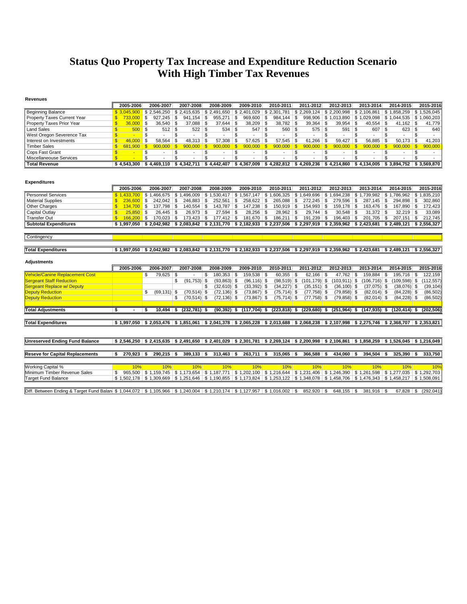## **Status Quo Property Tax Increase and Expenditure Reduction Scenario With High Timber Tax Revenues**

| <b>Revenues</b>                        |                              |                         |                                                                                                                                     |                                                    |                                        |                                |                                                                                                                       |                                |                                |                           |                                 |
|----------------------------------------|------------------------------|-------------------------|-------------------------------------------------------------------------------------------------------------------------------------|----------------------------------------------------|----------------------------------------|--------------------------------|-----------------------------------------------------------------------------------------------------------------------|--------------------------------|--------------------------------|---------------------------|---------------------------------|
|                                        | 2005-2006                    | 2006-2007               | 2007-2008                                                                                                                           | 2008-2009                                          | 2009-2010                              | 2010-2011                      | 2011-2012                                                                                                             | 2012-2013                      | 2013-2014                      | 2014-2015                 | 2015-2016                       |
| <b>Beginning Balance</b>               | \$3.045.900                  | \$2.546.250             | \$2.415.635                                                                                                                         | \$2.491.650                                        | \$2.401.029                            | \$2.301.781                    | \$2,269,124                                                                                                           | \$2.200.998                    | \$2.106.861                    | \$1.858.259               | \$1.526.045                     |
| Property Taxes Current Year            | $\mathbf{s}$<br>733,000      | \$<br>927,245           | \$<br>941,154                                                                                                                       | \$<br>955,271                                      | \$<br>969,600                          | \$<br>984,144                  | \$                                                                                                                    | 998,906 \$1,013,890            | \$1,029,098                    | $$1,044,535$ $$1,060,203$ |                                 |
| Property Taxes Prior Year              | 36,000<br>\$                 | \$<br>36,540            | \$<br>$37,088$ \$                                                                                                                   | 37,644                                             | \$<br>38,209                           | \$<br>38,782                   | \$<br>39,364                                                                                                          | 5<br>39,954                    | \$<br>40,554                   | \$<br>$41,162$ \ \$       | 41,779                          |
| <b>Land Sales</b>                      | \$<br>500                    | \$<br>512               | l \$                                                                                                                                |                                                    | 547                                    | $560$ \ \$<br>5                |                                                                                                                       | 591                            | \$<br>607                      | \$                        | 640                             |
| West Oregon Severence Tax              | \$<br><b>Section</b>         | \$<br>$\sim$            | \$                                                                                                                                  | \$                                                 | \$<br>$\sim$                           | \$                             | \$                                                                                                                    | \$<br>$\overline{\phantom{a}}$ | \$<br>$\overline{a}$           | \$                        | \$<br>$\overline{a}$            |
| Interest on Investments                | \$<br>46,000                 | \$<br>58.564            | $48,313$ \$<br>\$                                                                                                                   | 57,308                                             | \$<br>57.625                           | 57,545<br>5                    | \$<br>61,266                                                                                                          | \$<br>59.427                   | \$<br>56,885                   | \$<br>50.173              | -S<br>41.203                    |
| <b>Timber Sales</b>                    | $\mathsf{\$}$<br>681.900     | $\mathbf{s}$<br>900,000 | $\mathbf{s}$<br>900,000                                                                                                             | $\mathbf{s}$<br>900,000                            | $\overline{\mathbb{S}}$<br>900,000     | $\mathbf{s}$<br>900,000        | $\mathbf{s}$<br>900,000                                                                                               | $\mathbf{s}$<br>900,000        | $\mathbf{s}$<br>900,000        | $\mathbf{s}$<br>900,000   | $\mathbf{s}$<br>900.000         |
| Cops Fast Grant                        | $\mathsf{\$}$                | \$<br>$\overline{a}$    | \$<br>$\blacksquare$                                                                                                                | \$<br>$\overline{\phantom{a}}$                     | \$<br>$\sim$                           | \$<br>$\overline{\phantom{a}}$ | \$<br>$\overline{\phantom{a}}$                                                                                        | \$<br>$\overline{a}$           | \$<br>$\overline{\phantom{a}}$ | \$<br>$\blacksquare$      | \$<br>$\sim$                    |
| Miscellaneouse Services                | $\overline{\mathbb{S}}$      | \$.                     | \$                                                                                                                                  | \$                                                 | \$                                     | $\mathfrak{L}$                 | $\mathfrak{L}$                                                                                                        | \$                             | \$                             | \$                        | \$                              |
| <b>Total Revenue</b>                   | \$4.543.300                  |                         | $$4.469.110 \;   \; $4.342.711 \;   \;$                                                                                             |                                                    | $$4.442.407$ $$4.367.009$ $$4.282.812$ |                                | $$4.269.236 \;   \; $4.214.860 \;   \; $4.134.005$                                                                    |                                |                                |                           | $$3.894.752 \;   \; $3.569.870$ |
| <b>Expenditures</b>                    | 2005-2006                    | 2006-2007               | 2007-2008                                                                                                                           | 2008-2009                                          | 2009-2010                              | 2010-2011                      | 2011-2012                                                                                                             | 2012-2013                      | 2013-2014                      | 2014-2015                 | 2015-2016                       |
| <b>Personnel Services</b>              | \$1.433.700                  | \$1,466,675             | $\frac{1}{2}$ 1.496.009                                                                                                             | \$1,530,417                                        | \$1,567,147                            |                                | $$1,606,325$ \ \$ 1,649,696                                                                                           | \$1,694,238                    | \$1.739.982                    | \$1.786.962               | \$1.835.210                     |
| <b>Material Supplies</b>               | \$<br>236,600                | $242,042$ \$<br>\$      | $246.883$ \$                                                                                                                        | 252.561                                            | \$<br>258.622                          | 265,088 \$<br>l \$             | 272.245                                                                                                               | 5<br>279.596                   | 287.145<br>- \$                | $294.898$ \$<br>\$        | 302.860                         |
| <b>Other Charges</b>                   | $\mathbf{s}$<br>$134.700$ \$ | 137,798                 | ∣\$<br>$140,554$ \$                                                                                                                 | $143,787$ \$                                       | 147,238                                | ∣\$.<br>$150,919$ \$           | $154,993$ \$                                                                                                          | 159,178                        | $163,476$ \$<br>l \$           | $167,890$ \$              | 172,423                         |
| Capital Outlay                         | \$<br>25.850                 | \$<br>26,445            | \$<br>26,973                                                                                                                        | \$<br>$27,594$ \$                                  | 28,256                                 | 5<br>28,962                    | \$<br>29,744                                                                                                          | 5<br>30,548                    | \$<br>31,372                   | \$<br>$32,219$ \$         | 33,089                          |
| <b>Transfer Out</b>                    | \$<br>$166,200$ \$           | 170,023                 | $173,423$ \$<br>l \$                                                                                                                | $177,412$ \$                                       | 181,670                                | l \$<br>186,211                | \$<br>$191,239$ \$                                                                                                    | 196,403                        | 201,705<br>l \$                | \$<br>$207,151$ \$        | 212,745                         |
| <b>Subtotal Expenditures</b>           | \$1.997.050                  |                         | $$2.042.982 \;   \; $2.083.842 \;   \; $2.131.770 \;   \; $2.182.933$                                                               |                                                    |                                        |                                | $\vert$ \$ 2.237.506 $\vert$ \$ 2.297.919 $\vert$ \$ 2.359.962 $\vert$ \$ 2.423.681                                   |                                |                                |                           | $$2.489.121 \;   \; $2.556.327$ |
| Contingency                            |                              |                         |                                                                                                                                     |                                                    |                                        |                                |                                                                                                                       |                                |                                |                           |                                 |
|                                        |                              |                         |                                                                                                                                     |                                                    |                                        |                                |                                                                                                                       |                                |                                |                           |                                 |
| <b>Total Expenditures</b>              | \$1,997,050                  |                         | \$ 2.042.982 \$ 2.083.842 \$ 2.131.770 \$ 2.182.933 \$ 2.237.506 \$ 2.297.919 \$ 2.359.962 \$ 2.423.681 \$ 2.489.121 \$ 2.556.327   |                                                    |                                        |                                |                                                                                                                       |                                |                                |                           |                                 |
| <b>Adjustments</b>                     | 2005-2006                    | 2006-2007               | 2007-2008                                                                                                                           | 2008-2009                                          | 2009-2010                              | 2010-2011                      | 2011-2012                                                                                                             | 2012-2013                      | 2013-2014                      | 2014-2015                 | 2015-2016                       |
| <b>Vehicle/Canine Replacement Cost</b> |                              | 79.625<br>\$            | \$                                                                                                                                  | $180.353$ \ \$<br>\$                               | 159.538                                | 60.355<br>l \$                 | $62.166$ \$<br>$\mathfrak{L}$                                                                                         | 47.762                         | 159.884<br>- \$                | $195.716$ \$<br>\$        | 122.159                         |
| <b>Sergeant Staff Reduction</b>        |                              |                         | \$<br>$(91,753)$ \$                                                                                                                 | $(93,863)$ \$                                      | $(96, 116)$ \$                         | $(98, 519)$ \$                 | $(101, 179)$ \$                                                                                                       | $(103, 911)$ \$                | $(106, 716)$ \$                |                           | $(109,598)$ \$ $(112,557)$      |
| <b>Sergeant Replace w/ Deputy</b>      |                              |                         |                                                                                                                                     | \$<br>$(32,610)$ \$                                | $(33,392)$ \$                          | $(34,227)$ \$                  | $(35, 151)$ \$                                                                                                        | $(36, 100)$ \$                 | $(37,075)$ \$                  | $(38,076)$ \$             | (39, 104)                       |
| <b>Deputy Reduction</b>                |                              | \$<br>$(69, 131)$ \$    | $(70, 514)$ \$                                                                                                                      | $(72, 136)$ \$                                     | $(73, 867)$ \$                         | $(75, 714)$ \$                 | $(77, 758)$ \$                                                                                                        | $(79, 858)$ \$                 | $(82,014)$ \$                  | $(84,228)$ \$             | (86, 502)                       |
| <b>Deputy Reduction</b>                |                              |                         | $(70, 514)$ \$<br>\$                                                                                                                | $(72, 136)$ \$                                     | $(73, 867)$ \$                         | $(75, 714)$ \$                 | $(77, 758)$ \$                                                                                                        | $(79, 858)$ \$                 | $(82,014)$ \$                  | $(84,228)$ \$             | (86, 502)                       |
|                                        |                              |                         |                                                                                                                                     |                                                    |                                        |                                |                                                                                                                       |                                |                                |                           |                                 |
| <b>Total Adjustments</b>               | \$                           | 10.494<br>\$            | $(232.781)$ \$<br>s.                                                                                                                | $(90, 392)$ \$                                     | $(117.704)$ \$                         |                                | $(223,818)$ \$ $(229,680)$ \$                                                                                         | $(251, 964)$ \$                | (147.935)                      | $(120.414)$ \$<br>\$      | (202.506)                       |
|                                        |                              |                         |                                                                                                                                     |                                                    |                                        |                                |                                                                                                                       |                                |                                |                           |                                 |
| <b>Total Expenditures</b>              | \$1,997,050                  |                         | $$2,053,476$ $$1,851,061$                                                                                                           |                                                    |                                        |                                | \$ 2,041,378   \$ 2,065,228   \$ 2,013,688   \$ 2,068,238   \$ 2,107,998   \$ 2,275,746   \$ 2,368,707   \$ 2,353,821 |                                |                                |                           |                                 |
|                                        |                              |                         |                                                                                                                                     |                                                    |                                        |                                |                                                                                                                       |                                |                                |                           |                                 |
| <b>Unreserved Ending Fund Balance</b>  |                              |                         | \$2,546,250 \$2,415,635 \$2,491,650 \$2,401,029 \$2,301,781 \$2,269,124 \$2,200,998 \$2,106,861 \$1,858,259 \$1,526,045 \$1,216,049 |                                                    |                                        |                                |                                                                                                                       |                                |                                |                           |                                 |
|                                        |                              |                         |                                                                                                                                     |                                                    |                                        |                                |                                                                                                                       |                                |                                |                           |                                 |
| <b>Reseve for Capital Replacements</b> | Ŝ<br>270,923                 | 290,215<br>- \$         | 389,133<br>l \$                                                                                                                     | $313,463$ \$<br>\$                                 | 263,711                                | 315,065<br>∣\$.                | 366,588<br>-\$                                                                                                        | 434,060 \$<br>- \$             | 394,504                        | 325.390<br>\$             | 333,750<br>Ŝ.                   |
|                                        |                              |                         |                                                                                                                                     |                                                    |                                        |                                |                                                                                                                       |                                |                                |                           |                                 |
| Working Capital %                      | 10%                          | 10%                     | 10%                                                                                                                                 | 10%                                                | 10%                                    | 10%                            | 10%                                                                                                                   | 10%                            | 10%                            | 10%                       | 10%                             |
| Minimum Timber Revenue Sales           | 965.500<br>\$                | \$1,159,745             |                                                                                                                                     | $\vert$ \$ 1,173,654   \$ 1,187,771   \$ 1,202,100 |                                        | \$1,216,644                    | $$1,231,406$ \ $$1,246,390$                                                                                           |                                | \$1,261,598                    |                           | $$1,277,035$ $$1,292,703$       |
| <b>Target Fund Balance</b>             |                              |                         | \$1,502,178 \$1,309,669 \$1,251,646 \$1,190,855 \$1,173,824 \$1,253,122 \$1,348,078 \$1,458,706 \$1,476,343 \$1,458,217 \$1,508,091 |                                                    |                                        |                                |                                                                                                                       |                                |                                |                           |                                 |

Diff. Between Ending & Target Fund Balan \$ 1,044,072 | \$ 1,105,966 | \$ 1,240,004 | \$ 1,210,174 | \$ 1,127,957 | \$ 1,016,002 | \$ 852,920 | \$ 648,155 | \$ 381,916 | \$ 67,828 | \$ (292,041)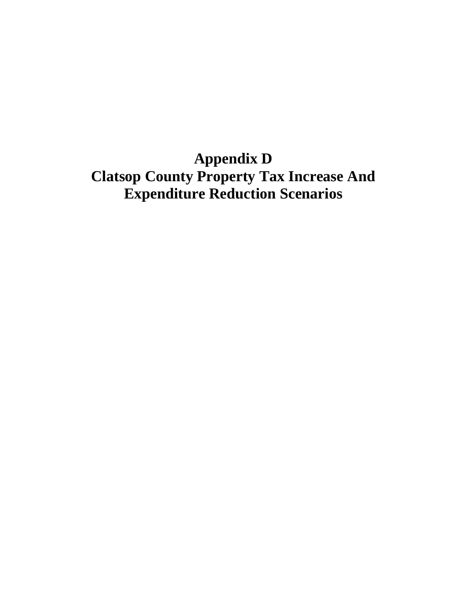**Appendix D Clatsop County Property Tax Increase And Expenditure Reduction Scenarios**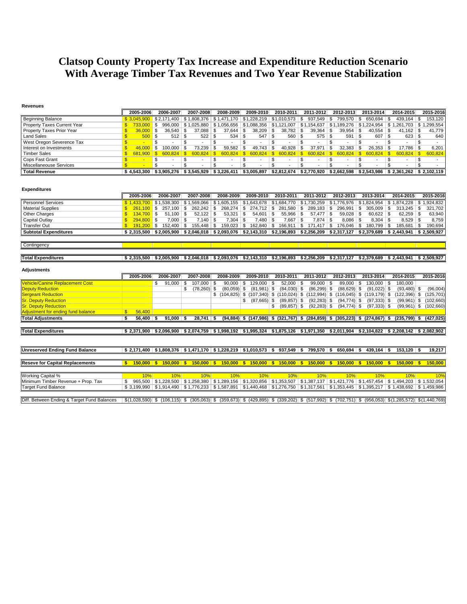## **Clatsop County Property Tax Increase and Expenditure Reduction Scenario With Average Timber Tax Revenues and Two Year Revenue Stabilization**

#### **Revenues**

|                             | 2005-2006   | 2006-2007                                                                     | 2007-2008             | 2008-2009                                                          |      | 2009-2010 |      | 2010-2011                 | 2011-2012     |     | 2012-2013    | 2013-2014 | 2014-2015                                                                                  | 2015-2016 |
|-----------------------------|-------------|-------------------------------------------------------------------------------|-----------------------|--------------------------------------------------------------------|------|-----------|------|---------------------------|---------------|-----|--------------|-----------|--------------------------------------------------------------------------------------------|-----------|
| <b>Beginning Balance</b>    |             | \$2.171.400                                                                   | \$1,808,376           | \$1,471,170                                                        |      |           |      | $$1.228.219$ $$1.010.573$ | \$<br>937,549 | -\$ | 799.570      | 650.694   | 439.164                                                                                    | 153.120   |
| Property Taxes Current Year | 733.000 \$  |                                                                               | 996,000   \$1,025,880 | $\mid$ \$ 1,056,656 $\mid$ \$ 1,088,356 $\mid$ \$ 1,121,007 $\mid$ |      |           |      |                           | \$1,154,637   |     |              |           | \$1,189,276   \$1,224,954   \$1,261,703   \$1,                                             | .299.554  |
| Property Taxes Prior Year   | $36,000$ \$ | $36.540$ \ \$                                                                 | 37.088                | 37.644                                                             | - \$ |           |      | $38,782$ \$               | $39,364$ \$   |     |              |           | 41.162                                                                                     | 41.779    |
| Land Sales                  | $500$ \$    |                                                                               |                       | 534                                                                | - \$ | 547       |      | $560$ \ \$                |               |     | $591$ \ \$   |           | 623                                                                                        | 640       |
| West Oregon Severence Tax   |             |                                                                               |                       |                                                                    |      |           |      |                           |               |     |              |           |                                                                                            |           |
| Interest on Investments     | $46,000$ \$ | 100.000                                                                       | 73.239                | 59,582                                                             | -S   | 49.743    | l \$ | 40.928                    | 37.971        |     | $32,383$ \$  |           | 17.786                                                                                     | 6.201     |
| <b>Timber Sales</b>         | 681.900 \$  |                                                                               | 600.824               | $600.824$ \$                                                       |      |           |      | $600.824$ \$ 600.824 \$   | $600.824$ \$  |     | $600.824$ \$ |           | 600,824                                                                                    | 600.824   |
| Cops Fast Grant             |             |                                                                               |                       |                                                                    |      |           |      |                           |               |     |              |           |                                                                                            |           |
| Miscellaneouse Services     |             |                                                                               |                       |                                                                    |      |           |      |                           |               |     | -            | . .       |                                                                                            |           |
| <b>Total Revenue</b>        |             | $$4,543,300 \;   \; $3,905,276 \;   \; $3,545,929 \;   \; $3,226,411 \;   \;$ |                       |                                                                    |      |           |      |                           |               |     |              |           | $$3,005,897$ $$2,812,674$ $$2,770,920$ $$2,662,598$ $$2,543,986$ $$2,361,262$ $$2,102,119$ |           |

#### **Expenditures**

|                              | 2005-2006    | 2006-2007                           | 2007-2008   | 2008-2009  | 2009-2010                                                                                                                       | 2010-2011     |     | 2011-2012                                       | 2012-2013 | 2013-2014                     | 2014-2015 | 2015-2016   |
|------------------------------|--------------|-------------------------------------|-------------|------------|---------------------------------------------------------------------------------------------------------------------------------|---------------|-----|-------------------------------------------------|-----------|-------------------------------|-----------|-------------|
| Personnel Services           |              | $$1.433.700$ $$1.538.300$           |             |            | \$ 1,569,066   \$ 1,605,155   \$1,643,678   \$1,684,770   \$1,730,259   \$1,776,976   \$1,824,954   \$ 1,874,228   \$ 1,924,832 |               |     |                                                 |           |                               |           |             |
| <b>Material Supplies</b>     |              | $261.100$ \$ 257.100 S              | 262.242     |            | $268.274$   \$ 274.712   \$ 281.580   \$                                                                                        |               |     |                                                 | 296.991   | $305.009$ \ \$                | 313.245   | 321.702     |
| Other Charges                | $134.700$ \$ | 51.100                              | 52.122      | 53.321     | 54.601                                                                                                                          | $55.966$ \ \$ |     | $57.477$ \ \$                                   | 59.028    | 60.622                        | 62.259    | 63.940      |
| Capital Outlay               | $294.800$ \$ | 7.000                               | .140        | '.304 S    | 7.480 S                                                                                                                         | 7.667         |     |                                                 | 8.086     |                               | 8.529     | 8.759       |
| Transfer Out                 | $191.200$ \$ | 152.400                             | 155.448     | 159.023 \$ | 162.840 \$                                                                                                                      | 166.911       | -SS | 171.417                                         | 176.046   | 180.799 \$                    | 185.681   | 190.694     |
| <b>Subtotal Expenditures</b> |              | $$2.315.500 \; \; $2.005.900 \; \;$ | \$2.046.018 |            | $\frac{1}{2}$ \$2,093,076 $\frac{1}{2}$ \$2,143,310 $\frac{1}{2}$                                                               | \$2,196,893   |     | $\vert$ \$2,256,209 $\vert$ \$2,317,127 $\vert$ |           | $\frac{2,379,689}{2,443,941}$ |           | \$2.509.927 |

#### **Contingency**

| <b>Total Expenditures</b> | \$2.315.500 | \$2.005.900 | \$2.046.018 | \$2.093.076 | \$2,143,310   \$2,196,893 | \$2.256.209 | \$2.317.127 | S 2.379.689 | $\frac{1}{2}$ \$2.443.941 | \$2.509.927 |
|---------------------------|-------------|-------------|-------------|-------------|---------------------------|-------------|-------------|-------------|---------------------------|-------------|

т

| <b>Adjustments</b>                          |   |                   |    |                             |     |             |    |                                   |     |              |      |                                        |      |                 |      |                      |      |               |   |               |                                           |
|---------------------------------------------|---|-------------------|----|-----------------------------|-----|-------------|----|-----------------------------------|-----|--------------|------|----------------------------------------|------|-----------------|------|----------------------|------|---------------|---|---------------|-------------------------------------------|
|                                             |   | 2005-2006         |    | 2006-2007                   |     | 2007-2008   |    | 2008-2009                         |     | 2009-2010    |      | 2010-2011                              |      | 2011-2012       |      | 2012-2013            |      | 2013-2014     |   | 2014-2015     | 2015-2016                                 |
| <b>Vehicle/Canine Replacement Cost</b>      |   |                   | \$ | 91,000                      | \$. | 107.000     |    | 90,000                            | \$  | 129,000      | \$   | 52,000                                 | \$.  | 99,000          | \$   | 89.000               |      | 130.000       |   | 180,000       |                                           |
| <b>Deputy Reduction</b>                     |   |                   |    |                             | \$  | (78, 260)   |    | (80,059)                          | S   | (81.981)     | \$.  | (84,030)                               | \$   | (86, 299)       | S    | (88, 629)            | \$   | $(91,022)$ \$ |   | (93, 480)     | (96,004)                                  |
| <b>Sergeant Reduction</b>                   |   |                   |    |                             |     |             |    | \$(104, 825)                      | S.  | (107, 340)   | \$   | (110, 024)                             | -S   | 112,994         | S    | (116, 045)           | -S   | (119,179)  \$ |   | 122,396)      | 125,701)                                  |
| <b>Sr. Deputy Reduction</b>                 |   |                   |    |                             |     |             |    |                                   | \$  | (87,665)     | - \$ | (89, 857)                              | - \$ | (92, 283)       | - \$ | (94, 774)            | - \$ | $(97,333)$ \$ |   | $(99,961)$ \$ | (102, 660)                                |
| <b>Sr. Deputy Reduction</b>                 |   |                   |    |                             |     |             |    |                                   |     |              |      | (89, 857)                              | \$   | (92, 283)       | - \$ | (94, 774)            | - \$ | $(97,333)$ \$ |   | (99, 961)     | 102,660)                                  |
| Adjustment for ending fund balance          |   | 56,400            |    |                             |     |             |    |                                   |     |              |      |                                        |      |                 |      |                      |      |               |   |               |                                           |
| <b>Total Adjustments</b>                    | 5 | 56,400            |    | 91,000                      |     | 28,741      |    | (94,884)                          |     | \$ (147,986) | \$   | (321, 767)                             | s.   | $(284, 859)$ \$ |      | (305, 223)           |      | \$ (274, 867) | 5 | (235,799)     | (427, 025)                                |
|                                             |   |                   |    |                             |     |             |    |                                   |     |              |      |                                        |      |                 |      |                      |      |               |   |               |                                           |
| <b>Total Expenditures</b>                   |   | \$2,371,900       |    | \$2,096,900                 |     | \$2,074,759 |    | $$1,998,192 \mid $1,995,324 \mid$ |     |              |      | $$1,875,126$ $$1,971,350$ $$2,011,904$ |      |                 |      |                      |      |               |   |               | $$2,104,822$ $$2,208,142$ $$2,082,902$    |
|                                             |   |                   |    |                             |     |             |    |                                   |     |              |      |                                        |      |                 |      |                      |      |               |   |               |                                           |
| <b>Unreserved Ending Fund Balance</b>       |   | \$2,171,400       |    | \$1,808,376                 |     | \$1,471,170 |    | \$1.228.219 \$1.010.573           |     |              | s.   | 937.549                                | -S   | 799.570         | ۱S   | 650.694              | - 5  | 439.164       | ு | 153.120       | 19,217                                    |
|                                             |   |                   |    |                             |     |             |    |                                   |     |              |      |                                        |      |                 |      |                      |      |               |   |               |                                           |
| <b>Reseve for Capital Replacements</b>      | S | 150,000           | ΙS | $150.000$ \$                |     | 150,000     | -5 | 150,000                           | - 5 | 150,000      | - 5  | $150,000$ \$                           |      | 150,000         | -55  | 150,000              | S    | $150,000$ \$  |   | 150,000       | 150,000                                   |
| Working Capital %                           |   | 10%               |    | 10%                         |     | 10%         |    | 10%                               |     | 10%          |      | 10%                                    |      | 10%             |      | 10%                  |      | 10%           |   | 10%           | 10%                                       |
| Minimum Timber Revenue + Prop. Tax          |   | 965,500           |    | \$1,228,500                 |     | \$1,258,380 |    | \$1,289,156                       |     | \$1,320,856  |      | \$1,353,507                            |      | \$1,387,137     |      | \$1,421,776          |      | \$1,457,454   |   | \$1,494,203   | \$1,532,054                               |
| <b>Target Fund Balance</b>                  |   | \$3,199,990       |    | $\vert$ \$1,914,490 $\vert$ |     | \$1,776,233 |    | \$1,587,891                       |     | \$1,440,468  |      | \$1,276,750                            |      | \$1,317,561     |      | \$1,353,445          |      | \$1,395,217   |   | \$1,438,692   | \$1,459,986                               |
|                                             |   |                   |    |                             |     |             |    |                                   |     |              |      |                                        |      |                 |      |                      |      |               |   |               |                                           |
| Diff. Between Ending & Target Fund Balances |   | $$(1,028,590)$ \$ |    | $(106, 115)$ \$             |     | (305,063)   | S. | $(359,673)$ \$ $(429,895)$        |     |              | S.   | $(339,202)$ \$ $(517,992)$             |      |                 |      | $\sqrt{5}$ (702,751) | S.   |               |   |               | $(956,053)$ $$(1,285,572)$ $$(1,440,769)$ |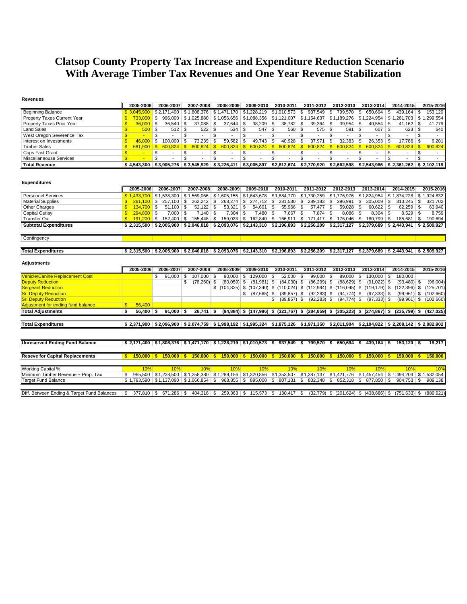## **Clatsop County Property Tax Increase and Expenditure Reduction Scenario With Average Timber Tax Revenues and One Year Revenue Stabilization**

#### **Revenues**

|                                        | 2005-2006                                      | 2006-2007               | 2007-2008                                                                       | 2008-2009                                                        | 2009-2010                                                                     | 2010-2011                                 | 2011-2012                                           | 2012-2013                                           | 2013-2014                                                                                                                                 | 2014-2015                               | 2015-2016                      |
|----------------------------------------|------------------------------------------------|-------------------------|---------------------------------------------------------------------------------|------------------------------------------------------------------|-------------------------------------------------------------------------------|-------------------------------------------|-----------------------------------------------------|-----------------------------------------------------|-------------------------------------------------------------------------------------------------------------------------------------------|-----------------------------------------|--------------------------------|
| <b>Beginning Balance</b>               | \$3.045.900                                    | \$2.171.400             | \$1.808.376                                                                     | \$1.471.170                                                      | $$1,228,219$ $$1,010,573$                                                     |                                           | 937,549<br>\$                                       | 799.570 \$<br>∣\$.                                  | 650.694                                                                                                                                   | $439.164$ \ \$<br>- \$                  | 153,120                        |
| Property Taxes Current Year            | 733,000<br>S                                   | \$                      | 996,000   \$1,025,880                                                           |                                                                  | $$1,056,656$ $$1,088,356$ $$1,121,007$                                        |                                           |                                                     |                                                     | \$1,154,637   \$1,189,276   \$1,224,954   \$1,261,703   \$1,299,554                                                                       |                                         |                                |
| Property Taxes Prior Year              | £.<br>36,000                                   | \$<br>36,540            | \$<br>37,088                                                                    | 37,644<br>\$                                                     | \$<br>$38,209$ \$                                                             | 38,782                                    | $39,364$ \$<br>\$                                   | $39,954$ \$                                         | 40,554                                                                                                                                    | $41,162$ \$<br>\$                       | 41,779                         |
| <b>Land Sales</b>                      | $\mathbf{\hat{S}}$<br>$500$ \$                 | $512$ \$                | 522                                                                             | \$<br>534                                                        | $547$ \ \$<br>\$                                                              | 560                                       | \$<br>$575$ \$                                      | $591$ \ \$                                          | $607$ \$                                                                                                                                  | $623$ \$                                | 640                            |
| West Oregon Severence Tax              | $\mathbf{\$}$<br>$\sim$                        | \$<br>$\mathbf{r}$      | \$<br>$\overline{a}$                                                            | \$<br>$\overline{a}$                                             | \$<br>$\overline{a}$                                                          | \$<br>$\overline{a}$                      | \$<br>$\blacksquare$                                | \$<br>$\overline{a}$                                | \$<br>$\sim$                                                                                                                              | \$<br>$\mathbf{r}$                      | \$<br>$\overline{\phantom{a}}$ |
| Interest on Investments                | $\mathbf{\hat{S}}$<br>46.000                   | \$<br>100.000           | \$<br>73,239                                                                    | \$<br>59,582                                                     | $49,743$ \$<br>- \$                                                           | 40,928                                    | \$<br>$37,971$ \$                                   | $32,383$ \$                                         | 26,353                                                                                                                                    | <b>S</b><br>$17,786$ \$                 | 6.201                          |
| <b>Timber Sales</b>                    | \$<br>681.900                                  | $600,824$ \$<br>-\$     | $600,824$ \$                                                                    | $600,824$ \$                                                     | $600,824$ \$                                                                  | $600,824$ \$                              | $600,824$ \$                                        | $600.824$ \$                                        | 600,824                                                                                                                                   | $\overline{\mathbf{s}}$<br>$600.824$ \$ | 600,824                        |
| Cops Fast Grant                        | $\mathbf{\hat{S}}$<br><b>Contract Contract</b> | \$                      | \$<br>$\overline{\phantom{a}}$                                                  | \$<br>$\overline{a}$                                             | \$<br>$\overline{\phantom{a}}$                                                | \$<br>$\overline{\phantom{a}}$            | \$<br>$\overline{\phantom{a}}$                      | \$<br>$\overline{\phantom{a}}$                      | \$<br>$\overline{a}$                                                                                                                      | \$                                      | \$<br>$\overline{\phantom{a}}$ |
| Miscellaneouse Services                | $\overline{\mathbb{S}}$<br>$\sim$              | $\overline{\mathbb{S}}$ | $\overline{\mathbb{S}}$<br>$\overline{\phantom{a}}$                             | $\overline{\mathbb{S}}$<br>$\overline{a}$                        | $\overline{\mathbb{S}}$<br>$\overline{\phantom{a}}$                           | $\overline{\mathbb{S}}$<br>$\blacksquare$ | $\overline{\mathbb{S}}$<br>$\overline{\phantom{a}}$ | $\overline{\mathbb{S}}$<br>$\overline{\phantom{a}}$ | $\overline{\mathbb{S}}$                                                                                                                   | \$                                      | $\overline{\mathbb{S}}$        |
| <b>Total Revenue</b>                   | \$4.543.300                                    |                         |                                                                                 |                                                                  |                                                                               |                                           |                                                     |                                                     | \$3,905,276   \$3,545,929   \$3,226,411   \$3,005,897   \$2,812,674   \$2,770,920   \$2,662,598   \$2,543,986   \$2,361,262   \$2,102,119 |                                         |                                |
| <b>Expenditures</b>                    | 2005-2006                                      | 2006-2007               | 2007-2008                                                                       | 2008-2009                                                        | 2009-2010                                                                     | 2010-2011                                 | 2011-2012                                           | 2012-2013                                           | 2013-2014                                                                                                                                 | 2014-2015                               | 2015-2016                      |
| <b>Personnel Services</b>              |                                                |                         | $$1,433,700$ $$1,538,300$ $$1,569,066$ $$1,605,155$ $$1,643,678$ $$1,684,770$   |                                                                  |                                                                               |                                           |                                                     |                                                     | $$1,730,259$ $$1,776,976$ $$1,824,954$ $$1,874,228$ $$1,924,832$                                                                          |                                         |                                |
| <b>Material Supplies</b>               | 261.100<br>\$                                  | \$<br>$257,100$ \$      | $262,242$ \$                                                                    | 268,274                                                          | $274,712$ \$<br>- \$                                                          | 281,580                                   | \$<br>$289,183$ \$                                  | $296,991$ \$                                        | $305,009$ \$                                                                                                                              | $313,245$ \$                            | 321,702                        |
| Other Charges                          | $\mathbf{\$}$<br>$134.700$ \$                  | $51,100$ \$             | $52,122$ \$                                                                     | 53,321                                                           | ∣\$<br>$54,601$ \$                                                            | $55,966$ \$                               | $57,477$ \$                                         | $59,028$ \$                                         | $60,622$ \$                                                                                                                               | $62,259$ \$                             | 63,940                         |
| Capital Outlay                         | $294,800$ \$<br>\$                             | $7,000$ \$              | 7,140                                                                           | $\mathsf{\$}$<br>7,304                                           | \$<br>$7,480$ \ \$                                                            | 7,667                                     | \$<br>$7,874$ \$                                    | $8,086$ \$                                          | $8,304$ \$                                                                                                                                | $8,529$ \$                              | 8,759                          |
| <b>Transfer Out</b>                    | $\mathbf{\hat{x}}$<br>$191.200$ \$             | $152,400$ \$            | 155,448                                                                         | \$<br>159,023                                                    | $162,840$ \$<br>∣\$.                                                          |                                           | $166,911$ \$ $171,417$ \$ $176,046$ \$              |                                                     | 180,799                                                                                                                                   | $185,681$ \$<br>\$                      | 190,694                        |
| <b>Subtotal Expenditures</b>           | \$2.315.500                                    |                         | $$2,005,900$ $$2,046,018$                                                       |                                                                  | $$2,093,076$ $$2,143,310$ $$2,196,893$ $$2,256,209$ $$2,317,127$ $$2,379,689$ |                                           |                                                     |                                                     |                                                                                                                                           | \$2,443,941                             | \$2,509,927                    |
|                                        |                                                |                         |                                                                                 |                                                                  |                                                                               |                                           |                                                     |                                                     |                                                                                                                                           |                                         |                                |
| Contingency                            |                                                |                         |                                                                                 |                                                                  |                                                                               |                                           |                                                     |                                                     |                                                                                                                                           |                                         |                                |
|                                        |                                                |                         |                                                                                 |                                                                  |                                                                               |                                           |                                                     |                                                     |                                                                                                                                           |                                         |                                |
| <b>Total Expenditures</b>              | \$2.315.500                                    |                         |                                                                                 |                                                                  |                                                                               |                                           |                                                     |                                                     | $$2,005,900$ $$2,046,018$ $$2,093,076$ $$2,143,310$ $$2,196,893$ $$2,256,209$ $$2,317,127$ $$2,379,689$ $$2,443,941$ $$2,509,927$         |                                         |                                |
| <b>Adjustments</b>                     | 2005-2006                                      | 2006-2007               | 2007-2008                                                                       | 2008-2009                                                        | 2009-2010                                                                     | 2010-2011                                 | 2011-2012                                           | 2012-2013                                           | 2013-2014                                                                                                                                 | 2014-2015                               | 2015-2016                      |
| <b>Vehicle/Canine Replacement Cost</b> |                                                | \$<br>91,000            | 107,000<br>\$                                                                   | 90,000<br>\$                                                     | $129,000$ \$<br>- \$                                                          | 52,000                                    | $99,000$ \$<br>\$                                   | 89,000 \$                                           | 130,000                                                                                                                                   | 180,000<br>\$                           |                                |
| <b>Deputy Reduction</b>                |                                                |                         | \$<br>$(78,260)$ \$                                                             | $(80,059)$ \$                                                    | $(81,981)$ \$                                                                 | $(84,030)$ \$                             | $(86,299)$ \$                                       | $(88,629)$ \$                                       | $(91,022)$ \$                                                                                                                             | $(93, 480)$ \$                          | (96,004)                       |
| <b>Sergeant Reduction</b>              |                                                |                         |                                                                                 |                                                                  |                                                                               |                                           |                                                     |                                                     | $$$ (104,825) $$$ (107,340) $$$ (110,024) $$$ (112,994) $$$ (116,045) $$$ (119,179) $$$                                                   |                                         | $(122,396)$ \$ $(125,701)$     |
| <b>Sr. Deputy Reduction</b>            |                                                |                         |                                                                                 |                                                                  | \$<br>$(87,665)$ \$                                                           | $(89, 857)$ \$                            | $(92, 283)$ \$                                      | $(94, 774)$ \$                                      | $(97,333)$ \$                                                                                                                             | $(99,961)$ \$                           | (102,660)                      |
| <b>Sr. Deputy Reduction</b>            |                                                |                         |                                                                                 |                                                                  |                                                                               | \$ (89, 857) \$                           | $(92, 283)$ \$                                      | $(94, 774)$ \$                                      | $(97,333)$ \$                                                                                                                             |                                         | $(99,961)$ \$ $(102,660)$      |
| Adjustment for ending fund balance     | $\mathbf{s}$<br>56,400                         |                         |                                                                                 |                                                                  |                                                                               |                                           |                                                     |                                                     |                                                                                                                                           |                                         |                                |
| <b>Total Adjustments</b>               | \$<br>$56,400$ \$                              | $91,000$ \$             | $28,741$ \$                                                                     |                                                                  |                                                                               |                                           |                                                     |                                                     | $(94,884)$ \$ $(147,986)$ \$ $(321,767)$ \$ $(284,859)$ \$ $(305,223)$ \$ $(274,867)$ \$                                                  |                                         | $(235,799)$ \$ $(427,025)$     |
|                                        |                                                |                         |                                                                                 |                                                                  |                                                                               |                                           |                                                     |                                                     |                                                                                                                                           |                                         |                                |
| <b>Total Expenditures</b>              | \$2.371.900                                    |                         |                                                                                 |                                                                  |                                                                               |                                           |                                                     |                                                     | \$2,096,900 \$2,074,759 \$1,998,192 \$1,995,324 \$1,875,126 \$1,971,350 \$2,011,904 \$2,104,822 \$2,208,142 \$2,082,902                   |                                         |                                |
|                                        |                                                |                         |                                                                                 |                                                                  |                                                                               |                                           |                                                     |                                                     |                                                                                                                                           |                                         |                                |
| <b>Unreserved Ending Fund Balance</b>  |                                                |                         | $$2,171,400$ $$1,808,376$ $$1,471,170$ $$1,228,219$ $$1,010,573$ $$937,549$ $$$ |                                                                  |                                                                               |                                           | 799,570 \$                                          | $650,694$ \$                                        | $439,164$ \$                                                                                                                              | $153,120$ \$                            | 19.217                         |
|                                        |                                                |                         |                                                                                 |                                                                  |                                                                               |                                           |                                                     |                                                     |                                                                                                                                           |                                         |                                |
| <b>Reseve for Capital Replacements</b> | $150,000$ \$<br>Ŝ                              | $150,000$ \$            |                                                                                 | $150,000$ \$ $150,000$ \$ $150,000$ \$ $150,000$ \$ $150,000$ \$ |                                                                               |                                           |                                                     | $150,000$ \$                                        | $150,000$ \$                                                                                                                              | $150,000$ \$                            | 150,000                        |
| <b>Working Capital %</b>               | 10%                                            | 10%                     | 10%                                                                             | 10%                                                              | 10%                                                                           | 10%                                       | 10%                                                 | 10%                                                 | 10%                                                                                                                                       | 10%                                     | 10%                            |
| Minimum Timber Revenue + Prop. Tax     | \$                                             |                         | 965,500   \$1,228,500   \$1,258,380                                             |                                                                  | $$1,289,156$ $$1,320,856$ $$1,353,507$                                        |                                           |                                                     |                                                     | \$1,387,137 \$1,421,776 \$1,457,454 \$1,494,203 \$1,532,054                                                                               |                                         |                                |
| <b>Target Fund Balance</b>             |                                                |                         |                                                                                 |                                                                  |                                                                               |                                           |                                                     |                                                     | $$1,793,590$ $$1,137,090$ $$1,066,854$ $$968,855$ $$895,000$ $$807,131$ $$832,348$ $$852,318$ $$877,850$ $$$$                             | $904,753$ \$                            | 909,138                        |
|                                        |                                                |                         |                                                                                 |                                                                  |                                                                               |                                           |                                                     |                                                     |                                                                                                                                           |                                         |                                |
|                                        |                                                |                         |                                                                                 |                                                                  |                                                                               |                                           |                                                     |                                                     |                                                                                                                                           |                                         |                                |

Diff. Between Ending & Target Fund Balances \$ 377,810 \$ 671,286 \$ 404,316 \$ 259,363 \$ 115,573 \$ 130,417 \$ (32,779) \$ (201,624) \$ (438,686) \$ (751,633) \$ (889,921)